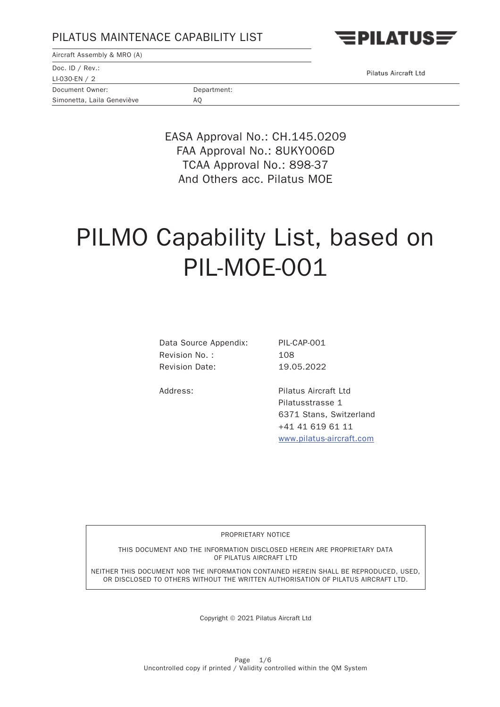

Doc. ID / Rev.: LI-030-EN / 2 Document Owner: Department: Simonetta, Laila Geneviève **AQ** 

Pilatus Aircraft Ltd

 $\equiv$ PILATUS $\equiv$ 

EASA Approval No.: CH.145.0209 FAA Approval No.: 8UKY006D TCAA Approval No.: 898-37 And Others acc. Pilatus MOE

# PILMO Capability List, based on PIL-MOE-001

 Data Source Appendix: PIL-CAP-001 Revision No. : 108 Revision Date: 19.05.2022

Address: Pilatus Aircraft Ltd Pilatusstrasse 1 6371 Stans, Switzerland +41 41 619 61 11 www.pilatus-aircraft.com

PROPRIETARY NOTICE

THIS DOCUMENT AND THE INFORMATION DISCLOSED HEREIN ARE PROPRIETARY DATA OF PILATUS AIRCRAFT LTD

NEITHER THIS DOCUMENT NOR THE INFORMATION CONTAINED HEREIN SHALL BE REPRODUCED, USED, OR DISCLOSED TO OTHERS WITHOUT THE WRITTEN AUTHORISATION OF PILATUS AIRCRAFT LTD.

Copyright © 2021 Pilatus Aircraft Ltd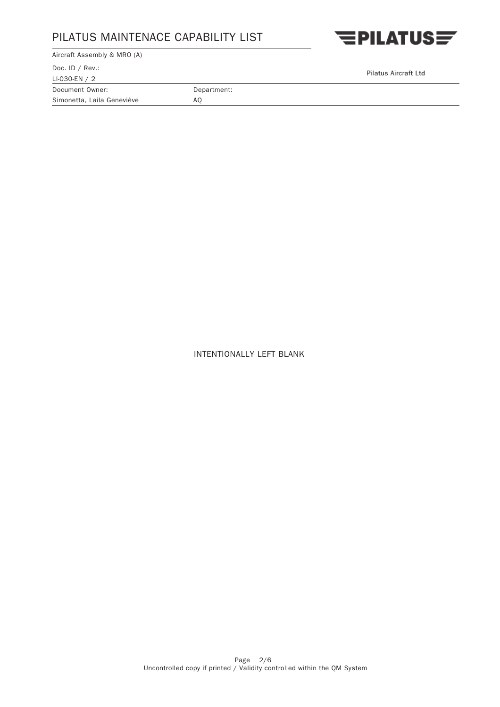

Aircraft Assembly & MRO (A)

Doc. ID / Rev.:

LI-030-EN / 2

Document Owner: Department: Simonetta, Laila Geneviève **AQ** 

Pilatus Aircraft Ltd

INTENTIONALLY LEFT BLANK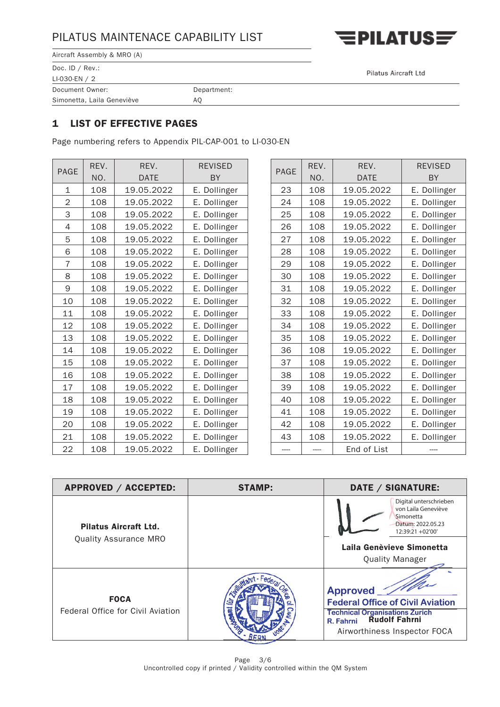

Pilatus Aircraft Ltd

Aircraft Assembly & MRO (A)

Doc. ID / Rev.: LI-030-EN / 2

Document Owner: Department:

Simonetta, Laila Geneviève **AQ** 

1 LIST OF EFFECTIVE PAGES

Page numbering refers to Appendix PIL-CAP-001 to LI-030-EN

|                | REV.              | REV.        | <b>REVISED</b>  |
|----------------|-------------------|-------------|-----------------|
| <b>PAGE</b>    | NO.               | <b>DATE</b> | BY              |
| $\mathbf{1}$   | 108               | 19.05.2022  | Dollinger<br>Е. |
| $\mathbf 2$    | 108               | 19.05.2022  | Dollinger<br>Е. |
| 3              | 108               | 19.05.2022  | E. Dollinger    |
| $\overline{4}$ | 108               | 19.05.2022  | E. Dollinger    |
| 5              | 108               | 19.05.2022  | Dollinger<br>Е. |
| 6              | 108               | 19.05.2022  | E. Dollinger    |
| $\overline{7}$ | 108               | 19.05.2022  | E. Dollinger    |
| 8              | 108               | 19.05.2022  | E. Dollinger    |
| 9              | 108<br>19.05.2022 |             | Dollinger<br>Е. |
| 10             | 108<br>19.05.2022 |             | Dollinger<br>Е. |
| 11             | 108<br>19.05.2022 |             | E. Dollinger    |
| 12             | 108               | 19.05.2022  | Dollinger<br>Е. |
| 13             | 108               | 19.05.2022  | E. Dollinger    |
| 14             | 108               | 19.05.2022  | Dollinger<br>Е. |
| 15             | 108               | 19.05.2022  | E. Dollinger    |
| 16             | 108               | 19.05.2022  | E. Dollinger    |
| 17             | 108               | 19.05.2022  | Dollinger<br>Е. |
| 18             | 108               | 19.05.2022  | Dollinger<br>Е. |
| 19             | 108               | 19.05.2022  | E. Dollinger    |
| 20             | 108               | 19.05.2022  | E. Dollinger    |
| 21             | 108               | 19.05.2022  | Dollinger<br>Е. |
| 22             | 108               | 19.05.2022  | E. Dollinger    |

|             | REV. | REV.        | <b>REVISED</b>  |
|-------------|------|-------------|-----------------|
| <b>PAGE</b> | NO.  | <b>DATE</b> | BY              |
| 23          | 108  | 19.05.2022  | E. Dollinger    |
| 24          | 108  | 19.05.2022  | E. Dollinger    |
| 25          | 108  | 19.05.2022  | E. Dollinger    |
| 26          | 108  | 19.05.2022  | E. Dollinger    |
| 27          | 108  | 19.05.2022  | E. Dollinger    |
| 28          | 108  | 19.05.2022  | E. Dollinger    |
| 29          | 108  | 19.05.2022  | E. Dollinger    |
| 30          | 108  | 19.05.2022  | E. Dollinger    |
| 31          | 108  | 19.05.2022  | E. Dollinger    |
| 32          | 108  | 19.05.2022  | E. Dollinger    |
| 33          | 108  | 19.05.2022  | E. Dollinger    |
| 34          | 108  | 19.05.2022  | E. Dollinger    |
| 35          | 108  | 19.05.2022  | E. Dollinger    |
| 36          | 108  | 19.05.2022  | Dollinger<br>Е. |
| 37          | 108  | 19.05.2022  | E. Dollinger    |
| 38          | 108  | 19.05.2022  | E. Dollinger    |
| 39          | 108  | 19.05.2022  | E. Dollinger    |
| 40          | 108  | 19.05.2022  | E. Dollinger    |
| 41          | 108  | 19.05.2022  | E. Dollinger    |
| 42          | 108  | 19.05.2022  | E. Dollinger    |
| 43          | 108  | 19.05.2022  | E. Dollinger    |
| ----        | ---- | End of List |                 |

| APPROVED / ACCEPTED:                             | <b>STAMP:</b> | DATE / SIGNATURE:                                                                                                                                                          |
|--------------------------------------------------|---------------|----------------------------------------------------------------------------------------------------------------------------------------------------------------------------|
| <b>Pilatus Aircraft Ltd.</b>                     |               | Digital unterschrieben<br>von Laila Geneviève<br>Simonetta<br>Datum: 2022.05.23<br>12:39:21 +02'00'                                                                        |
| <b>Quality Assurance MRO</b>                     |               | Laila Genèvieve Simonetta<br><b>Quality Manager</b>                                                                                                                        |
| <b>FOCA</b><br>Federal Office for Civil Aviation |               | Approved <u>2</u><br><b>Federal Office of Civil Aviation</b><br><b>Technical Organisations Zurich</b><br><b>Rudolf Fahrni</b><br>R. Fahrni<br>Airworthiness Inspector FOCA |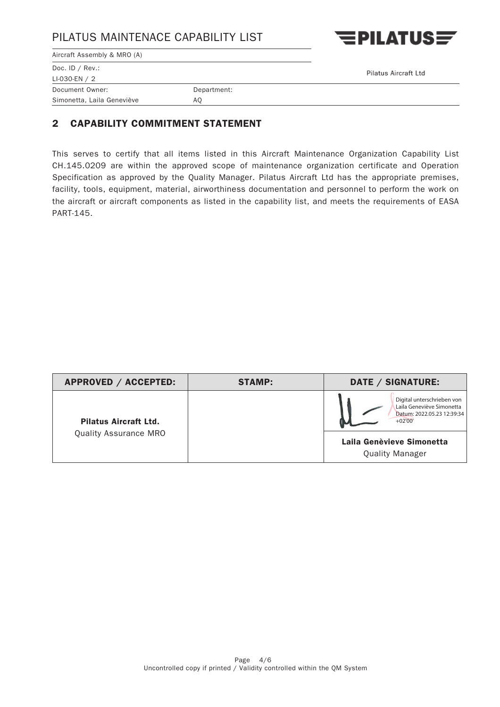

Aircraft Assembly & MRO (A) Doc. ID / Rev.: LI-030-EN / 2

Pilatus Aircraft Ltd

Document Owner: Department: Simonetta, Laila Geneviève **AQ** 

#### 2 CAPABILITY COMMITMENT STATEMENT

This serves to certify that all items listed in this Aircraft Maintenance Organization Capability List CH.145.0209 are within the approved scope of maintenance organization certificate and Operation Specification as approved by the Quality Manager. Pilatus Aircraft Ltd has the appropriate premises, facility, tools, equipment, material, airworthiness documentation and personnel to perform the work on the aircraft or aircraft components as listed in the capability list, and meets the requirements of EASA PART-145.

| APPROVED / ACCEPTED:         | <b>STAMP:</b> | DATE / SIGNATURE:                                                                                  |
|------------------------------|---------------|----------------------------------------------------------------------------------------------------|
| <b>Pilatus Aircraft Ltd.</b> |               | Digital unterschrieben von<br>Laila Geneviève Simonetta<br>Datum: 2022.05.23 12:39:34<br>$+02'00'$ |
| Quality Assurance MRO        |               | Laila Genèvieve Simonetta<br><b>Quality Manager</b>                                                |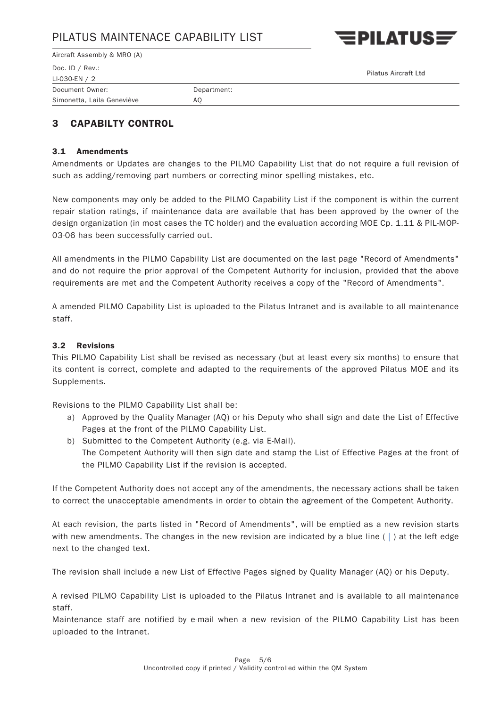

| Aircraft Assembly & MRO (A) |  |  |  |
|-----------------------------|--|--|--|
|-----------------------------|--|--|--|

Doc. ID / Rev.: LI-030-EN / 2 Document Owner: Department:

#### 3 CAPABILTY CONTROL

Simonetta, Laila Geneviève **AQ** 

#### 3.1 Amendments

Amendments or Updates are changes to the PILMO Capability List that do not require a full revision of such as adding/removing part numbers or correcting minor spelling mistakes, etc.

New components may only be added to the PILMO Capability List if the component is within the current repair station ratings, if maintenance data are available that has been approved by the owner of the design organization (in most cases the TC holder) and the evaluation according MOE Cp. 1.11 & PIL-MOP-03-06 has been successfully carried out.

All amendments in the PILMO Capability List are documented on the last page "Record of Amendments" and do not require the prior approval of the Competent Authority for inclusion, provided that the above requirements are met and the Competent Authority receives a copy of the "Record of Amendments".

A amended PILMO Capability List is uploaded to the Pilatus Intranet and is available to all maintenance staff.

#### 3.2 Revisions

This PILMO Capability List shall be revised as necessary (but at least every six months) to ensure that its content is correct, complete and adapted to the requirements of the approved Pilatus MOE and its Supplements.

Revisions to the PILMO Capability List shall be:

- a) Approved by the Quality Manager (AQ) or his Deputy who shall sign and date the List of Effective Pages at the front of the PILMO Capability List.
- b) Submitted to the Competent Authority (e.g. via E-Mail). The Competent Authority will then sign date and stamp the List of Effective Pages at the front of the PILMO Capability List if the revision is accepted.

If the Competent Authority does not accept any of the amendments, the necessary actions shall be taken to correct the unacceptable amendments in order to obtain the agreement of the Competent Authority.

At each revision, the parts listed in "Record of Amendments", will be emptied as a new revision starts with new amendments. The changes in the new revision are indicated by a blue line (|) at the left edge next to the changed text.

The revision shall include a new List of Effective Pages signed by Quality Manager (AQ) or his Deputy.

A revised PILMO Capability List is uploaded to the Pilatus Intranet and is available to all maintenance staff.

Maintenance staff are notified by e-mail when a new revision of the PILMO Capability List has been uploaded to the Intranet.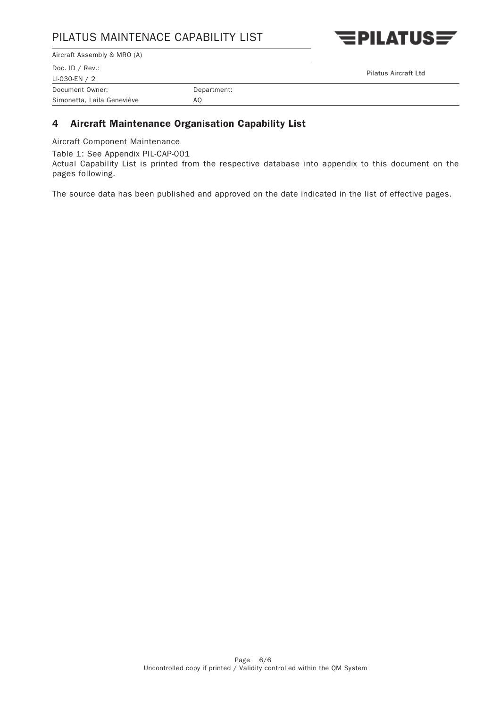

Pilatus Aircraft Ltd

Aircraft Assembly & MRO (A)

Doc. ID / Rev.: LI-030-EN / 2 Document Owner: Department: Simonetta, Laila Geneviève **AQ** 

#### 4 Aircraft Maintenance Organisation Capability List

Aircraft Component Maintenance

Table 1: See Appendix PIL-CAP-001

Actual Capability List is printed from the respective database into appendix to this document on the pages following.

The source data has been published and approved on the date indicated in the list of effective pages.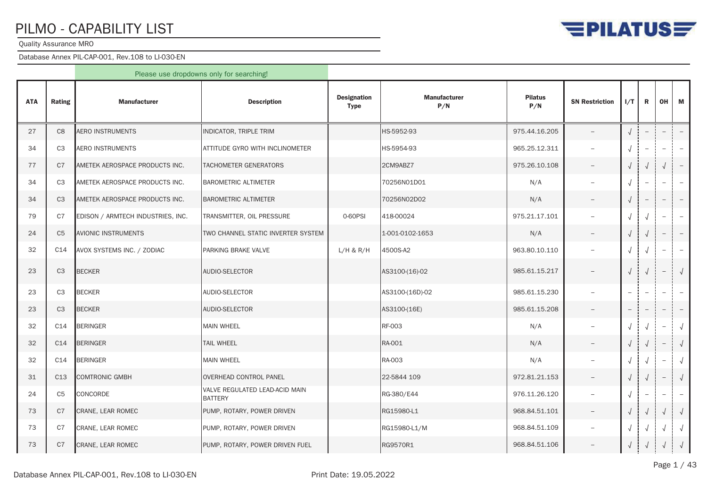

Quality Assurance MRO

Database Annex PIL-CAP-001, Rev.108 to LI-030-EN

|            | Please use dropdowns only for searching! |                                   |                                                  |                                   |                            |                       |                          |                      |   |    |                                 |
|------------|------------------------------------------|-----------------------------------|--------------------------------------------------|-----------------------------------|----------------------------|-----------------------|--------------------------|----------------------|---|----|---------------------------------|
| <b>ATA</b> | Rating                                   | <b>Manufacturer</b>               | <b>Description</b>                               | <b>Designation</b><br><b>Type</b> | <b>Manufacturer</b><br>P/N | <b>Pilatus</b><br>P/N | <b>SN Restriction</b>    | I/T                  | R | OH | lм                              |
| 27         | C8                                       | <b>AERO INSTRUMENTS</b>           | INDICATOR, TRIPLE TRIM                           |                                   | HS-5952-93                 | 975.44.16.205         | $\overline{\phantom{0}}$ | $\sqrt{\phantom{a}}$ |   |    |                                 |
| 34         | C <sub>3</sub>                           | <b>AERO INSTRUMENTS</b>           | ATTITUDE GYRO WITH INCLINOMETER                  |                                   | HS-5954-93                 | 965.25.12.311         |                          |                      |   |    |                                 |
| 77         | C <sub>7</sub>                           | AMETEK AEROSPACE PRODUCTS INC.    | TACHOMETER GENERATORS                            |                                   | 2CM9ABZ7                   | 975.26.10.108         |                          | $\sqrt{2}$           |   |    |                                 |
| 34         | C <sub>3</sub>                           | AMETEK AEROSPACE PRODUCTS INC.    | <b>BAROMETRIC ALTIMETER</b>                      |                                   | 70256N01D01                | N/A                   | $\overline{\phantom{0}}$ |                      |   |    |                                 |
| 34         | C3                                       | AMETEK AEROSPACE PRODUCTS INC.    | <b>BAROMETRIC ALTIMETER</b>                      |                                   | 70256N02D02                | N/A                   | $\overline{\phantom{m}}$ |                      |   |    |                                 |
| 79         | C7                                       | EDISON / ARMTECH INDUSTRIES, INC. | TRANSMITTER, OIL PRESSURE                        | 0-60PSI                           | 418-00024                  | 975.21.17.101         |                          | $\sqrt{2}$           |   |    |                                 |
| 24         | C <sub>5</sub>                           | AVIONIC INSTRUMENTS               | TWO CHANNEL STATIC INVERTER SYSTEM               |                                   | 1-001-0102-1653            | N/A                   |                          |                      |   |    | $\hspace{0.1mm}-\hspace{0.1mm}$ |
| 32         | C <sub>14</sub>                          | AVOX SYSTEMS INC. / ZODIAC        | PARKING BRAKE VALVE                              | L/H & R/H                         | 4500S-A2                   | 963.80.10.110         |                          |                      |   |    | $\hspace{0.1mm}-\hspace{0.1mm}$ |
| 23         | C <sub>3</sub>                           | <b>BECKER</b>                     | AUDIO-SELECTOR                                   |                                   | AS3100-(16)-02             | 985.61.15.217         |                          |                      |   |    | $\sqrt{ }$                      |
| 23         | C3                                       | <b>BECKER</b>                     | AUDIO-SELECTOR                                   |                                   | AS3100-(16D)-02            | 985.61.15.230         | $\overline{\phantom{0}}$ |                      |   |    |                                 |
| 23         | C <sub>3</sub>                           | <b>BECKER</b>                     | AUDIO-SELECTOR                                   |                                   | AS3100-(16E)               | 985.61.15.208         |                          |                      |   |    |                                 |
| 32         | C <sub>14</sub>                          | <b>BERINGER</b>                   | <b>MAIN WHEEL</b>                                |                                   | RF-003                     | N/A                   |                          |                      |   |    | $\sqrt{ }$                      |
| 32         | C <sub>14</sub>                          | <b>BERINGER</b>                   | <b>TAIL WHEEL</b>                                |                                   | RA-001                     | N/A                   | $\overline{\phantom{m}}$ | $\sqrt{2}$           |   |    | $\sqrt{2}$                      |
| 32         | C <sub>14</sub>                          | <b>BERINGER</b>                   | <b>MAIN WHEEL</b>                                |                                   | RA-003                     | N/A                   | $\overline{\phantom{m}}$ |                      |   |    | $\sqrt{ }$                      |
| 31         | C <sub>13</sub>                          | <b>COMTRONIC GMBH</b>             | OVERHEAD CONTROL PANEL                           |                                   | 22-5844 109                | 972.81.21.153         |                          | $\sqrt{2}$           |   |    | $\sqrt{2}$                      |
| 24         | C <sub>5</sub>                           | <b>CONCORDE</b>                   | VALVE REGULATED LEAD-ACID MAIN<br><b>BATTERY</b> |                                   | RG-380/E44                 | 976.11.26.120         | $\overline{\phantom{0}}$ |                      |   |    |                                 |
| 73         | C7                                       | CRANE, LEAR ROMEC                 | PUMP, ROTARY, POWER DRIVEN                       |                                   | RG15980-L1                 | 968.84.51.101         | $\overline{\phantom{m}}$ |                      |   |    | $\sqrt{ }$                      |
| 73         | C7                                       | CRANE, LEAR ROMEC                 | PUMP, ROTARY, POWER DRIVEN                       |                                   | RG15980-L1/M               | 968.84.51.109         |                          | $\sqrt{ }$           |   |    | $\sqrt{ }$                      |
| 73         | C7                                       | CRANE, LEAR ROMEC                 | PUMP, ROTARY, POWER DRIVEN FUEL                  |                                   | RG9570R1                   | 968.84.51.106         |                          | $\sqrt{ }$           |   |    | $\sqrt{ }$                      |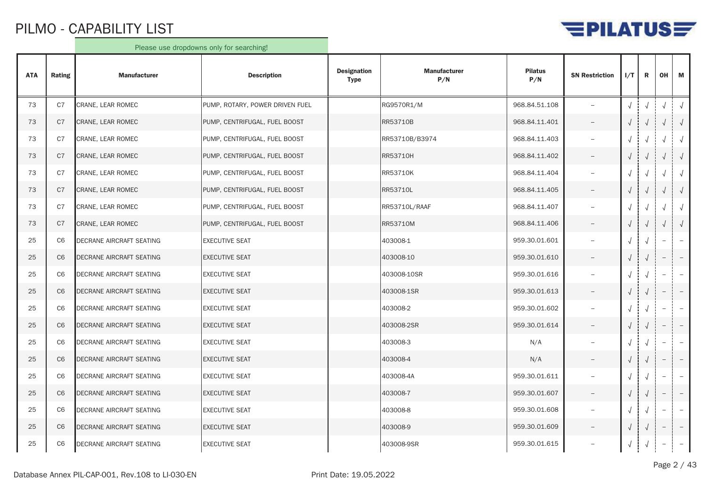

| <b>ATA</b> | Rating         | <b>Manufacturer</b>      | <b>Description</b>              | <b>Designation</b><br><b>Type</b> | <b>Manufacturer</b><br>P/N | <b>Pilatus</b><br>P/N | <b>SN Restriction</b>    | I/T        | R | OH | M                        |
|------------|----------------|--------------------------|---------------------------------|-----------------------------------|----------------------------|-----------------------|--------------------------|------------|---|----|--------------------------|
| 73         | C7             | CRANE, LEAR ROMEC        | PUMP, ROTARY, POWER DRIVEN FUEL |                                   | RG9570R1/M                 | 968.84.51.108         |                          | $\sqrt{ }$ |   |    |                          |
| 73         | C7             | CRANE, LEAR ROMEC        | PUMP, CENTRIFUGAL, FUEL BOOST   |                                   | RR53710B                   | 968.84.11.401         |                          |            |   |    | $\sqrt{ }$               |
| 73         | C7             | CRANE, LEAR ROMEC        | PUMP, CENTRIFUGAL, FUEL BOOST   |                                   | RR53710B/B3974             | 968.84.11.403         |                          |            |   |    |                          |
| 73         | C7             | CRANE, LEAR ROMEC        | PUMP, CENTRIFUGAL, FUEL BOOST   |                                   | RR53710H                   | 968.84.11.402         |                          |            |   |    |                          |
| 73         | C7             | CRANE, LEAR ROMEC        | PUMP, CENTRIFUGAL, FUEL BOOST   |                                   | RR53710K                   | 968.84.11.404         |                          |            |   |    |                          |
| 73         | C <sub>7</sub> | CRANE, LEAR ROMEC        | PUMP, CENTRIFUGAL, FUEL BOOST   |                                   | RR53710L                   | 968.84.11.405         |                          |            |   |    |                          |
| 73         | C7             | CRANE, LEAR ROMEC        | PUMP, CENTRIFUGAL, FUEL BOOST   |                                   | RR53710L/RAAF              | 968.84.11.407         |                          |            |   |    |                          |
| 73         | C7             | CRANE, LEAR ROMEC        | PUMP, CENTRIFUGAL, FUEL BOOST   |                                   | RR53710M                   | 968.84.11.406         |                          |            |   |    | $\sqrt{ }$               |
| 25         | C <sub>6</sub> | DECRANE AIRCRAFT SEATING | <b>EXECUTIVE SEAT</b>           |                                   | 403008-1                   | 959.30.01.601         |                          |            |   |    |                          |
| 25         | C <sub>6</sub> | DECRANE AIRCRAFT SEATING | <b>EXECUTIVE SEAT</b>           |                                   | 403008-10                  | 959.30.01.610         |                          |            |   |    |                          |
| 25         | C <sub>6</sub> | DECRANE AIRCRAFT SEATING | <b>EXECUTIVE SEAT</b>           |                                   | 403008-10SR                | 959.30.01.616         |                          |            |   |    |                          |
| 25         | C <sub>6</sub> | DECRANE AIRCRAFT SEATING | <b>EXECUTIVE SEAT</b>           |                                   | 403008-1SR                 | 959.30.01.613         |                          |            |   |    |                          |
| 25         | C <sub>6</sub> | DECRANE AIRCRAFT SEATING | <b>EXECUTIVE SEAT</b>           |                                   | 403008-2                   | 959.30.01.602         |                          |            |   |    |                          |
| 25         | C <sub>6</sub> | DECRANE AIRCRAFT SEATING | <b>EXECUTIVE SEAT</b>           |                                   | 403008-2SR                 | 959.30.01.614         |                          |            |   |    |                          |
| 25         | C <sub>6</sub> | DECRANE AIRCRAFT SEATING | <b>EXECUTIVE SEAT</b>           |                                   | 403008-3                   | N/A                   |                          |            |   |    |                          |
| 25         | C <sub>6</sub> | DECRANE AIRCRAFT SEATING | <b>EXECUTIVE SEAT</b>           |                                   | 403008-4                   | N/A                   | $\overline{\phantom{m}}$ |            |   |    | $\overline{\phantom{0}}$ |
| 25         | C <sub>6</sub> | DECRANE AIRCRAFT SEATING | <b>EXECUTIVE SEAT</b>           |                                   | 403008-4A                  | 959.30.01.611         |                          |            |   |    |                          |
| 25         | C <sub>6</sub> | DECRANE AIRCRAFT SEATING | <b>EXECUTIVE SEAT</b>           |                                   | 403008-7                   | 959.30.01.607         |                          |            |   |    |                          |
| 25         | C <sub>6</sub> | DECRANE AIRCRAFT SEATING | <b>EXECUTIVE SEAT</b>           |                                   | 403008-8                   | 959.30.01.608         |                          |            |   |    |                          |
| 25         | C6             | DECRANE AIRCRAFT SEATING | <b>EXECUTIVE SEAT</b>           |                                   | 403008-9                   | 959.30.01.609         |                          |            |   |    |                          |
| 25         | C <sub>6</sub> | DECRANE AIRCRAFT SEATING | <b>EXECUTIVE SEAT</b>           |                                   | 403008-9SR                 | 959.30.01.615         |                          |            |   |    |                          |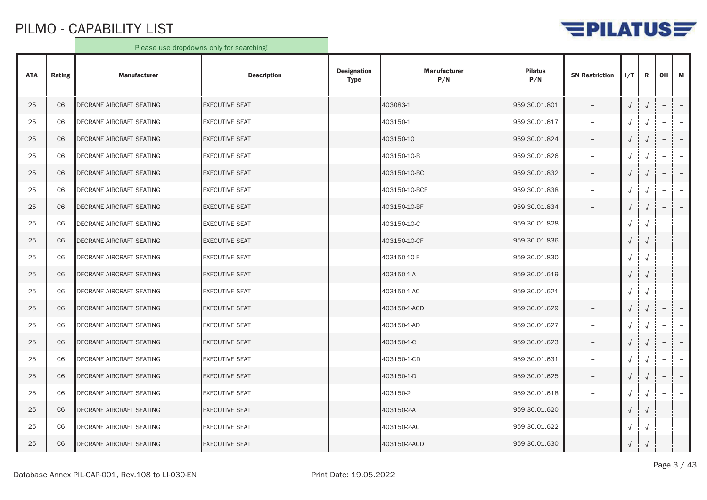

| <b>ATA</b> | Rating         | <b>Manufacturer</b>             | <b>Description</b>    | <b>Designation</b><br><b>Type</b> | <b>Manufacturer</b><br>P/N | <b>Pilatus</b><br>P/N | <b>SN Restriction</b>    | I/T        | R | OH | M |
|------------|----------------|---------------------------------|-----------------------|-----------------------------------|----------------------------|-----------------------|--------------------------|------------|---|----|---|
| 25         | C6             | DECRANE AIRCRAFT SEATING        | <b>EXECUTIVE SEAT</b> |                                   | 403083-1                   | 959.30.01.801         | $\overline{\phantom{a}}$ | $\sqrt{ }$ |   |    |   |
| 25         | C6             | DECRANE AIRCRAFT SEATING        | <b>EXECUTIVE SEAT</b> |                                   | 403150-1                   | 959.30.01.617         | $\overline{\phantom{0}}$ | $\sqrt{2}$ |   |    |   |
| 25         | C <sub>6</sub> | DECRANE AIRCRAFT SEATING        | <b>EXECUTIVE SEAT</b> |                                   | 403150-10                  | 959.30.01.824         |                          | $\sqrt{}$  |   |    |   |
| 25         | C <sub>6</sub> | DECRANE AIRCRAFT SEATING        | <b>EXECUTIVE SEAT</b> |                                   | 403150-10-B                | 959.30.01.826         |                          | $\sqrt{2}$ |   |    |   |
| 25         | C6             | DECRANE AIRCRAFT SEATING        | <b>EXECUTIVE SEAT</b> |                                   | 403150-10-BC               | 959.30.01.832         | $\qquad \qquad -$        | $\sqrt{2}$ |   |    |   |
| 25         | C <sub>6</sub> | DECRANE AIRCRAFT SEATING        | <b>EXECUTIVE SEAT</b> |                                   | 403150-10-BCF              | 959.30.01.838         | $\overline{\phantom{m}}$ | $\sqrt{ }$ |   |    |   |
| 25         | C6             | DECRANE AIRCRAFT SEATING        | <b>EXECUTIVE SEAT</b> |                                   | 403150-10-BF               | 959.30.01.834         |                          | √          |   |    |   |
| 25         | C <sub>6</sub> | DECRANE AIRCRAFT SEATING        | <b>EXECUTIVE SEAT</b> |                                   | 403150-10-C                | 959.30.01.828         | $\overline{\phantom{m}}$ | $\sqrt{ }$ |   |    |   |
| 25         | C <sub>6</sub> | DECRANE AIRCRAFT SEATING        | <b>EXECUTIVE SEAT</b> |                                   | 403150-10-CF               | 959.30.01.836         |                          | √          |   |    |   |
| 25         | C <sub>6</sub> | DECRANE AIRCRAFT SEATING        | <b>EXECUTIVE SEAT</b> |                                   | 403150-10-F                | 959.30.01.830         |                          | $\sqrt{ }$ |   |    |   |
| 25         | C6             | DECRANE AIRCRAFT SEATING        | <b>EXECUTIVE SEAT</b> |                                   | 403150-1-A                 | 959.30.01.619         | $\overline{\phantom{m}}$ | √          |   |    |   |
| 25         | C6             | DECRANE AIRCRAFT SEATING        | <b>EXECUTIVE SEAT</b> |                                   | 403150-1-AC                | 959.30.01.621         | $\overline{\phantom{m}}$ | V          |   |    |   |
| 25         | C6             | <b>DECRANE AIRCRAFT SEATING</b> | <b>EXECUTIVE SEAT</b> |                                   | 403150-1-ACD               | 959.30.01.629         |                          | $\sqrt{ }$ |   |    |   |
| 25         | C <sub>6</sub> | DECRANE AIRCRAFT SEATING        | <b>EXECUTIVE SEAT</b> |                                   | 403150-1-AD                | 959.30.01.627         |                          | $\sqrt{2}$ |   |    |   |
| 25         | C <sub>6</sub> | DECRANE AIRCRAFT SEATING        | <b>EXECUTIVE SEAT</b> |                                   | 403150-1-C                 | 959.30.01.623         | $\overline{\phantom{0}}$ | √          |   |    |   |
| 25         | C <sub>6</sub> | DECRANE AIRCRAFT SEATING        | <b>EXECUTIVE SEAT</b> |                                   | 403150-1-CD                | 959.30.01.631         | $\overline{\phantom{a}}$ | $\sqrt{2}$ |   |    |   |
| 25         | C6             | DECRANE AIRCRAFT SEATING        | <b>EXECUTIVE SEAT</b> |                                   | 403150-1-D                 | 959.30.01.625         |                          | √          |   |    |   |
| 25         | C6             | DECRANE AIRCRAFT SEATING        | <b>EXECUTIVE SEAT</b> |                                   | 403150-2                   | 959.30.01.618         | $\overline{\phantom{0}}$ | $\sqrt{ }$ |   |    |   |
| 25         | C6             | <b>DECRANE AIRCRAFT SEATING</b> | <b>EXECUTIVE SEAT</b> |                                   | 403150-2-A                 | 959.30.01.620         | $\qquad \qquad -$        | √          |   |    |   |
| 25         | C <sub>6</sub> | DECRANE AIRCRAFT SEATING        | <b>EXECUTIVE SEAT</b> |                                   | 403150-2-AC                | 959.30.01.622         |                          | $\sqrt{2}$ |   |    |   |
| 25         | C6             | DECRANE AIRCRAFT SEATING        | <b>EXECUTIVE SEAT</b> |                                   | 403150-2-ACD               | 959.30.01.630         |                          |            |   |    |   |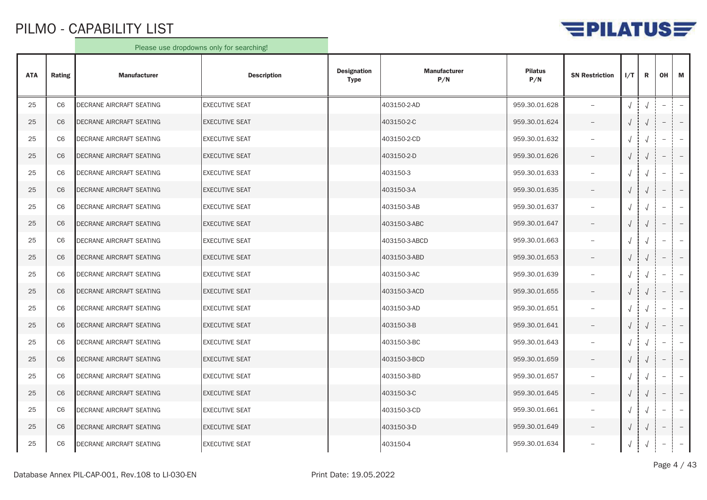

| <b>ATA</b> | Rating         | <b>Manufacturer</b>             | <b>Description</b>    | <b>Designation</b><br>Type | <b>Manufacturer</b><br>P/N | <b>Pilatus</b><br>P/N | <b>SN Restriction</b>    | I/T        | R | OH | M |
|------------|----------------|---------------------------------|-----------------------|----------------------------|----------------------------|-----------------------|--------------------------|------------|---|----|---|
| 25         | C6             | DECRANE AIRCRAFT SEATING        | <b>EXECUTIVE SEAT</b> |                            | 403150-2-AD                | 959.30.01.628         | $\equiv$                 | $\sqrt{ }$ |   |    |   |
| 25         | C6             | DECRANE AIRCRAFT SEATING        | <b>EXECUTIVE SEAT</b> |                            | 403150-2-C                 | 959.30.01.624         |                          |            |   |    |   |
| 25         | C <sub>6</sub> | DECRANE AIRCRAFT SEATING        | <b>EXECUTIVE SEAT</b> |                            | 403150-2-CD                | 959.30.01.632         |                          | $\sqrt{ }$ |   |    |   |
| 25         | C <sub>6</sub> | DECRANE AIRCRAFT SEATING        | <b>EXECUTIVE SEAT</b> |                            | 403150-2-D                 | 959.30.01.626         |                          | $\sqrt{}$  |   |    |   |
| 25         | C6             | DECRANE AIRCRAFT SEATING        | <b>EXECUTIVE SEAT</b> |                            | 403150-3                   | 959.30.01.633         |                          | $\sqrt{ }$ |   |    |   |
| 25         | C6             | DECRANE AIRCRAFT SEATING        | <b>EXECUTIVE SEAT</b> |                            | 403150-3-A                 | 959.30.01.635         |                          | $\sqrt{ }$ |   |    |   |
| 25         | C6             | DECRANE AIRCRAFT SEATING        | <b>EXECUTIVE SEAT</b> |                            | 403150-3-AB                | 959.30.01.637         |                          | $\sqrt{2}$ |   |    |   |
| 25         | C <sub>6</sub> | <b>DECRANE AIRCRAFT SEATING</b> | <b>EXECUTIVE SEAT</b> |                            | 403150-3-ABC               | 959.30.01.647         |                          | $\sqrt{}$  |   |    |   |
| 25         | C6             | DECRANE AIRCRAFT SEATING        | <b>EXECUTIVE SEAT</b> |                            | 403150-3-ABCD              | 959.30.01.663         |                          | $\sqrt{2}$ |   |    |   |
| 25         | C6             | DECRANE AIRCRAFT SEATING        | <b>EXECUTIVE SEAT</b> |                            | 403150-3-ABD               | 959.30.01.653         |                          | $\sqrt{2}$ |   |    |   |
| 25         | C6             | DECRANE AIRCRAFT SEATING        | <b>EXECUTIVE SEAT</b> |                            | 403150-3-AC                | 959.30.01.639         | $\overline{\phantom{0}}$ | $\sqrt{2}$ |   |    |   |
| 25         | C6             | DECRANE AIRCRAFT SEATING        | <b>EXECUTIVE SEAT</b> |                            | 403150-3-ACD               | 959.30.01.655         |                          | $\sqrt{ }$ |   |    |   |
| 25         | C <sub>6</sub> | DECRANE AIRCRAFT SEATING        | <b>EXECUTIVE SEAT</b> |                            | 403150-3-AD                | 959.30.01.651         |                          | $\sqrt{ }$ |   |    |   |
| 25         | C <sub>6</sub> | DECRANE AIRCRAFT SEATING        | <b>EXECUTIVE SEAT</b> |                            | 403150-3-B                 | 959.30.01.641         |                          | $\sqrt{}$  |   |    |   |
| 25         | C6             | DECRANE AIRCRAFT SEATING        | <b>EXECUTIVE SEAT</b> |                            | 403150-3-BC                | 959.30.01.643         |                          | $\sqrt{ }$ |   |    |   |
| 25         | C6             | DECRANE AIRCRAFT SEATING        | <b>EXECUTIVE SEAT</b> |                            | 403150-3-BCD               | 959.30.01.659         | $\overline{\phantom{m}}$ | $\sqrt{}$  |   |    |   |
| 25         | C6             | DECRANE AIRCRAFT SEATING        | <b>EXECUTIVE SEAT</b> |                            | 403150-3-BD                | 959.30.01.657         |                          | $\sqrt{2}$ |   |    |   |
| 25         | C6             | DECRANE AIRCRAFT SEATING        | <b>EXECUTIVE SEAT</b> |                            | 403150-3-C                 | 959.30.01.645         |                          | √          |   |    |   |
| 25         | C6             | DECRANE AIRCRAFT SEATING        | <b>EXECUTIVE SEAT</b> |                            | 403150-3-CD                | 959.30.01.661         |                          | $\sqrt{2}$ |   |    |   |
| 25         | C6             | DECRANE AIRCRAFT SEATING        | <b>EXECUTIVE SEAT</b> |                            | 403150-3-D                 | 959.30.01.649         |                          | $\sqrt{2}$ |   |    |   |
| 25         | C <sub>6</sub> | DECRANE AIRCRAFT SEATING        | <b>EXECUTIVE SEAT</b> |                            | 403150-4                   | 959.30.01.634         |                          | $\sqrt{2}$ |   |    |   |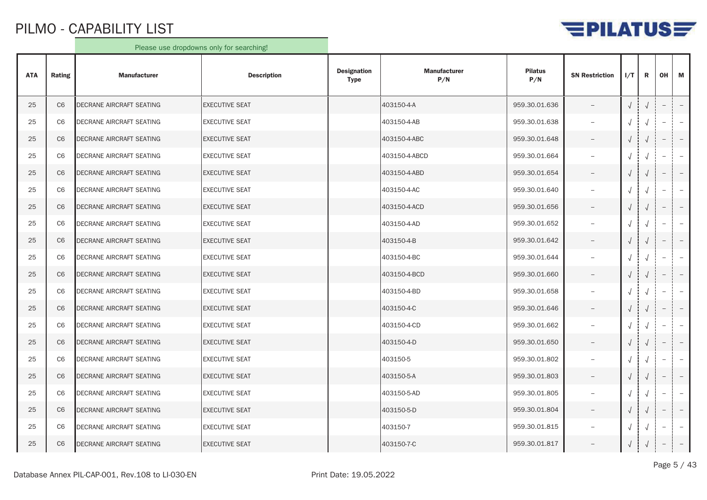

| <b>ATA</b> | Rating         | <b>Manufacturer</b>             | <b>Description</b>    | <b>Designation</b><br><b>Type</b> | <b>Manufacturer</b><br>P/N | <b>Pilatus</b><br>P/N | <b>SN Restriction</b>    | I/T        | R | OH | M |
|------------|----------------|---------------------------------|-----------------------|-----------------------------------|----------------------------|-----------------------|--------------------------|------------|---|----|---|
| 25         | C6             | DECRANE AIRCRAFT SEATING        | <b>EXECUTIVE SEAT</b> |                                   | 403150-4-A                 | 959.30.01.636         | $\overline{\phantom{m}}$ | $\sqrt{2}$ |   |    |   |
| 25         | C6             | DECRANE AIRCRAFT SEATING        | <b>EXECUTIVE SEAT</b> |                                   | 403150-4-AB                | 959.30.01.638         | $\overline{\phantom{0}}$ | $\sqrt{2}$ |   |    |   |
| 25         | C6             | DECRANE AIRCRAFT SEATING        | <b>EXECUTIVE SEAT</b> |                                   | 403150-4-ABC               | 959.30.01.648         |                          | $\sqrt{ }$ |   |    |   |
| 25         | C <sub>6</sub> | DECRANE AIRCRAFT SEATING        | <b>EXECUTIVE SEAT</b> |                                   | 403150-4-ABCD              | 959.30.01.664         |                          | $\sqrt{ }$ |   |    |   |
| 25         | C6             | DECRANE AIRCRAFT SEATING        | <b>EXECUTIVE SEAT</b> |                                   | 403150-4-ABD               | 959.30.01.654         | $\qquad \qquad -$        | $\sqrt{2}$ |   |    |   |
| 25         | C <sub>6</sub> | DECRANE AIRCRAFT SEATING        | <b>EXECUTIVE SEAT</b> |                                   | 403150-4-AC                | 959.30.01.640         | $\overline{\phantom{m}}$ | $\sqrt{ }$ |   |    |   |
| 25         | C6             | DECRANE AIRCRAFT SEATING        | <b>EXECUTIVE SEAT</b> |                                   | 403150-4-ACD               | 959.30.01.656         |                          | $\sqrt{}$  |   |    |   |
| 25         | C <sub>6</sub> | <b>DECRANE AIRCRAFT SEATING</b> | <b>EXECUTIVE SEAT</b> |                                   | 403150-4-AD                | 959.30.01.652         | $\overline{\phantom{m}}$ | $\sqrt{2}$ |   |    |   |
| 25         | C <sub>6</sub> | DECRANE AIRCRAFT SEATING        | <b>EXECUTIVE SEAT</b> |                                   | 403150-4-B                 | 959.30.01.642         |                          | √          |   |    |   |
| 25         | C <sub>6</sub> | DECRANE AIRCRAFT SEATING        | <b>EXECUTIVE SEAT</b> |                                   | 403150-4-BC                | 959.30.01.644         |                          | $\sqrt{2}$ |   |    |   |
| 25         | C6             | DECRANE AIRCRAFT SEATING        | <b>EXECUTIVE SEAT</b> |                                   | 403150-4-BCD               | 959.30.01.660         | $\overline{\phantom{m}}$ | √          |   |    |   |
| 25         | C <sub>6</sub> | DECRANE AIRCRAFT SEATING        | <b>EXECUTIVE SEAT</b> |                                   | 403150-4-BD                | 959.30.01.658         | $\overline{\phantom{m}}$ | $\sqrt{2}$ |   |    |   |
| 25         | C6             | <b>DECRANE AIRCRAFT SEATING</b> | <b>EXECUTIVE SEAT</b> |                                   | 403150-4-C                 | 959.30.01.646         |                          | $\sqrt{2}$ |   |    |   |
| 25         | C <sub>6</sub> | DECRANE AIRCRAFT SEATING        | <b>EXECUTIVE SEAT</b> |                                   | 403150-4-CD                | 959.30.01.662         |                          | $\sqrt{ }$ |   |    |   |
| 25         | C <sub>6</sub> | DECRANE AIRCRAFT SEATING        | <b>EXECUTIVE SEAT</b> |                                   | 403150-4-D                 | 959.30.01.650         | $\qquad \qquad -$        | √          |   |    |   |
| 25         | C6             | DECRANE AIRCRAFT SEATING        | <b>EXECUTIVE SEAT</b> |                                   | 403150-5                   | 959.30.01.802         | $\overline{\phantom{m}}$ | J          |   |    |   |
| 25         | C6             | DECRANE AIRCRAFT SEATING        | <b>EXECUTIVE SEAT</b> |                                   | 403150-5-A                 | 959.30.01.803         | $\overline{\phantom{0}}$ | √          |   |    |   |
| 25         | C <sub>6</sub> | DECRANE AIRCRAFT SEATING        | <b>EXECUTIVE SEAT</b> |                                   | 403150-5-AD                | 959.30.01.805         | $\overline{\phantom{0}}$ | $\sqrt{ }$ |   |    |   |
| 25         | C6             | DECRANE AIRCRAFT SEATING        | <b>EXECUTIVE SEAT</b> |                                   | 403150-5-D                 | 959.30.01.804         | $\overline{\phantom{0}}$ | √          |   |    |   |
| 25         | C <sub>6</sub> | DECRANE AIRCRAFT SEATING        | <b>EXECUTIVE SEAT</b> |                                   | 403150-7                   | 959.30.01.815         |                          | $\sqrt{2}$ |   |    |   |
| 25         | C6             | DECRANE AIRCRAFT SEATING        | <b>EXECUTIVE SEAT</b> |                                   | 403150-7-C                 | 959.30.01.817         |                          |            |   |    |   |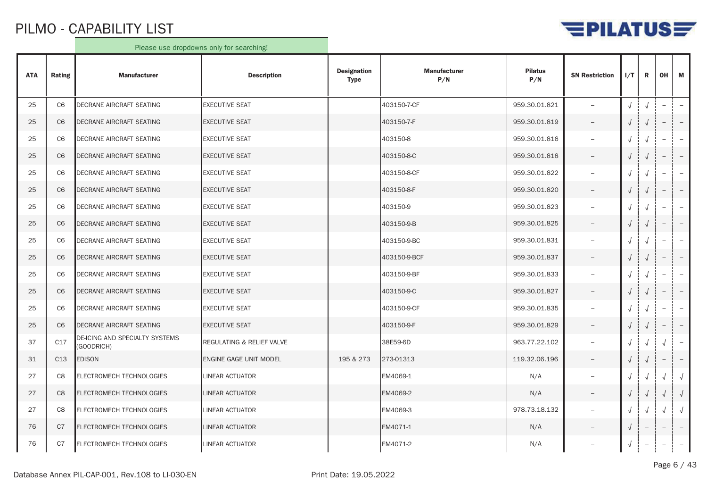

| <b>ATA</b> | Rating          | <b>Manufacturer</b>                          | <b>Description</b>                   | <b>Designation</b><br><b>Type</b> | <b>Manufacturer</b><br>P/N | <b>Pilatus</b><br>P/N | <b>SN Restriction</b>    | I/T        | R | OH | M |
|------------|-----------------|----------------------------------------------|--------------------------------------|-----------------------------------|----------------------------|-----------------------|--------------------------|------------|---|----|---|
| 25         | C6              | DECRANE AIRCRAFT SEATING                     | <b>EXECUTIVE SEAT</b>                |                                   | 403150-7-CF                | 959.30.01.821         | $\equiv$                 | $\sqrt{ }$ |   |    |   |
| 25         | C6              | DECRANE AIRCRAFT SEATING                     | <b>EXECUTIVE SEAT</b>                |                                   | 403150-7-F                 | 959.30.01.819         |                          | √          |   |    |   |
| 25         | C <sub>6</sub>  | DECRANE AIRCRAFT SEATING                     | <b>EXECUTIVE SEAT</b>                |                                   | 403150-8                   | 959.30.01.816         |                          | $\sqrt{ }$ |   |    |   |
| 25         | C <sub>6</sub>  | DECRANE AIRCRAFT SEATING                     | <b>EXECUTIVE SEAT</b>                |                                   | 403150-8-C                 | 959.30.01.818         |                          | $\sqrt{}$  |   |    |   |
| 25         | C <sub>6</sub>  | DECRANE AIRCRAFT SEATING                     | <b>EXECUTIVE SEAT</b>                |                                   | 403150-8-CF                | 959.30.01.822         |                          | $\sqrt{ }$ |   |    |   |
| 25         | C6              | DECRANE AIRCRAFT SEATING                     | <b>EXECUTIVE SEAT</b>                |                                   | 403150-8-F                 | 959.30.01.820         | $\overline{\phantom{m}}$ | $\sqrt{}$  |   |    |   |
| 25         | C6              | DECRANE AIRCRAFT SEATING                     | <b>EXECUTIVE SEAT</b>                |                                   | 403150-9                   | 959.30.01.823         | $\overline{\phantom{m}}$ | $\sqrt{ }$ |   |    |   |
| 25         | C6              | DECRANE AIRCRAFT SEATING                     | <b>EXECUTIVE SEAT</b>                |                                   | 403150-9-B                 | 959.30.01.825         |                          | $\sqrt{2}$ |   |    |   |
| 25         | C <sub>6</sub>  | DECRANE AIRCRAFT SEATING                     | <b>EXECUTIVE SEAT</b>                |                                   | 403150-9-BC                | 959.30.01.831         |                          | $\sqrt{ }$ |   |    |   |
| 25         | C6              | DECRANE AIRCRAFT SEATING                     | <b>EXECUTIVE SEAT</b>                |                                   | 403150-9-BCF               | 959.30.01.837         | $\overline{\phantom{m}}$ | $\sqrt{2}$ |   |    |   |
| 25         | C <sub>6</sub>  | DECRANE AIRCRAFT SEATING                     | <b>EXECUTIVE SEAT</b>                |                                   | 403150-9-BF                | 959.30.01.833         | $\overline{\phantom{0}}$ | $\sqrt{ }$ |   |    |   |
| 25         | C6              | DECRANE AIRCRAFT SEATING                     | <b>EXECUTIVE SEAT</b>                |                                   | 403150-9-C                 | 959.30.01.827         |                          | $\sqrt{}$  |   |    |   |
| 25         | C6              | DECRANE AIRCRAFT SEATING                     | <b>EXECUTIVE SEAT</b>                |                                   | 403150-9-CF                | 959.30.01.835         | $\overline{\phantom{0}}$ | $\sqrt{ }$ |   |    |   |
| 25         | C <sub>6</sub>  | DECRANE AIRCRAFT SEATING                     | <b>EXECUTIVE SEAT</b>                |                                   | 403150-9-F                 | 959.30.01.829         |                          | $\sqrt{}$  |   |    |   |
| 37         | C <sub>17</sub> | DE-ICING AND SPECIALTY SYSTEMS<br>(GOODRICH) | <b>REGULATING &amp; RELIEF VALVE</b> |                                   | 38E59-6D                   | 963.77.22.102         |                          | $\sqrt{2}$ |   |    |   |
| 31         | C13             | <b>EDISON</b>                                | <b>ENGINE GAGE UNIT MODEL</b>        | 195 & 273                         | 273-01313                  | 119.32.06.196         | $\overline{\phantom{m}}$ | $\sqrt{}$  |   |    |   |
| 27         | C8              | ELECTROMECH TECHNOLOGIES                     | LINEAR ACTUATOR                      |                                   | EM4069-1                   | N/A                   | $\overline{\phantom{0}}$ | $\sqrt{ }$ |   |    |   |
| 27         | C8              | <b>ELECTROMECH TECHNOLOGIES</b>              | <b>LINEAR ACTUATOR</b>               |                                   | EM4069-2                   | N/A                   | $\qquad \qquad -$        | $\sqrt{2}$ |   |    |   |
| 27         | C8              | ELECTROMECH TECHNOLOGIES                     | LINEAR ACTUATOR                      |                                   | EM4069-3                   | 978.73.18.132         |                          | $\sqrt{ }$ |   |    |   |
| 76         | C <sub>7</sub>  | ELECTROMECH TECHNOLOGIES                     | <b>LINEAR ACTUATOR</b>               |                                   | EM4071-1                   | N/A                   | $\overline{\phantom{m}}$ |            |   |    |   |
| 76         | C <sub>7</sub>  | ELECTROMECH TECHNOLOGIES                     | <b>LINEAR ACTUATOR</b>               |                                   | EM4071-2                   | N/A                   |                          |            |   |    |   |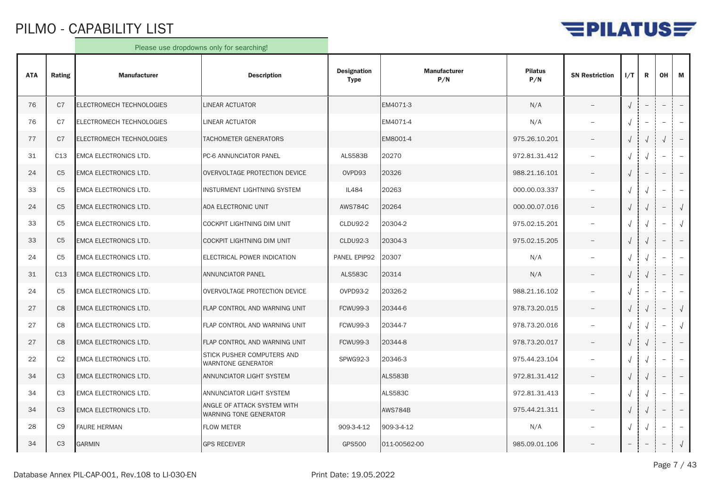

| <b>ATA</b> | Rating          | <b>Manufacturer</b>             | <b>Description</b>                                           | <b>Designation</b><br><b>Type</b> | <b>Manufacturer</b><br>P/N | <b>Pilatus</b><br>P/N | <b>SN Restriction</b>    | 1/T        | R | OH | M          |
|------------|-----------------|---------------------------------|--------------------------------------------------------------|-----------------------------------|----------------------------|-----------------------|--------------------------|------------|---|----|------------|
| 76         | C <sub>7</sub>  | ELECTROMECH TECHNOLOGIES        | <b>LINEAR ACTUATOR</b>                                       |                                   | EM4071-3                   | N/A                   | $\equiv$                 | $\sqrt{ }$ |   |    |            |
| 76         | C <sub>7</sub>  | ELECTROMECH TECHNOLOGIES        | LINEAR ACTUATOR                                              |                                   | EM4071-4                   | N/A                   |                          | $\sqrt{2}$ |   |    |            |
| 77         | C <sub>7</sub>  | <b>ELECTROMECH TECHNOLOGIES</b> | <b>TACHOMETER GENERATORS</b>                                 |                                   | EM8001-4                   | 975.26.10.201         |                          | √          |   |    |            |
| 31         | C <sub>13</sub> | <b>EMCA ELECTRONICS LTD.</b>    | <b>PC-6 ANNUNCIATOR PANEL</b>                                | <b>ALS583B</b>                    | 20270                      | 972.81.31.412         |                          | $\sqrt{ }$ |   |    |            |
| 24         | C <sub>5</sub>  | <b>EMCA ELECTRONICS LTD.</b>    | OVERVOLTAGE PROTECTION DEVICE                                | OVPD93                            | 20326                      | 988.21.16.101         | $\overline{\phantom{m}}$ | $\sqrt{ }$ |   |    |            |
| 33         | C <sub>5</sub>  | EMCA ELECTRONICS LTD.           | INSTURMENT LIGHTNING SYSTEM                                  | <b>IL484</b>                      | 20263                      | 000.00.03.337         | $\equiv$                 |            |   |    |            |
| 24         | C <sub>5</sub>  | <b>EMCA ELECTRONICS LTD.</b>    | AOA ELECTRONIC UNIT                                          | <b>AWS784C</b>                    | 20264                      | 000.00.07.016         |                          | $\sqrt{ }$ |   |    |            |
| 33         | C <sub>5</sub>  | <b>EMCA ELECTRONICS LTD.</b>    | COCKPIT LIGHTNING DIM UNIT                                   | <b>CLDU92-2</b>                   | 20304-2                    | 975.02.15.201         |                          | $\sqrt{ }$ |   |    |            |
| 33         | C <sub>5</sub>  | <b>EMCA ELECTRONICS LTD.</b>    | COCKPIT LIGHTNING DIM UNIT                                   | <b>CLDU92-3</b>                   | 20304-3                    | 975.02.15.205         |                          | $\sqrt{}$  |   |    |            |
| 24         | C <sub>5</sub>  | <b>EMCA ELECTRONICS LTD.</b>    | ELECTRICAL POWER INDICATION                                  | PANEL EPIP92                      | 20307                      | N/A                   |                          | $\sqrt{2}$ |   |    |            |
| 31         | C <sub>13</sub> | <b>EMCA ELECTRONICS LTD.</b>    | <b>ANNUNCIATOR PANEL</b>                                     | <b>ALS583C</b>                    | 20314                      | N/A                   | $\overline{\phantom{m}}$ | $\sqrt{2}$ |   |    |            |
| 24         | C <sub>5</sub>  | EMCA ELECTRONICS LTD.           | OVERVOLTAGE PROTECTION DEVICE                                | <b>OVPD93-2</b>                   | 20326-2                    | 988.21.16.102         | $\overline{\phantom{0}}$ |            |   |    |            |
| 27         | C8              | <b>EMCA ELECTRONICS LTD.</b>    | FLAP CONTROL AND WARNING UNIT                                | <b>FCWU99-3</b>                   | 20344-6                    | 978.73.20.015         |                          | √          |   |    | $\sqrt{ }$ |
| 27         | C8              | <b>EMCA ELECTRONICS LTD.</b>    | FLAP CONTROL AND WARNING UNIT                                | <b>FCWU99-3</b>                   | 20344-7                    | 978.73.20.016         |                          | $\sqrt{ }$ |   |    |            |
| 27         | C8              | <b>EMCA ELECTRONICS LTD.</b>    | FLAP CONTROL AND WARNING UNIT                                | <b>FCWU99-3</b>                   | 20344-8                    | 978.73.20.017         | $\overline{\phantom{m}}$ | $\sqrt{ }$ |   |    |            |
| 22         | C <sub>2</sub>  | EMCA ELECTRONICS LTD.           | STICK PUSHER COMPUTERS AND<br><b>WARNTONE GENERATOR</b>      | SPWG92-3                          | 20346-3                    | 975.44.23.104         | $\overline{\phantom{m}}$ |            |   |    |            |
| 34         | C <sub>3</sub>  | <b>EMCA ELECTRONICS LTD.</b>    | ANNUNCIATOR LIGHT SYSTEM                                     |                                   | <b>ALS583B</b>             | 972.81.31.412         | $\overline{\phantom{m}}$ | √          |   |    |            |
| 34         | C <sub>3</sub>  | <b>EMCA ELECTRONICS LTD.</b>    | ANNUNCIATOR LIGHT SYSTEM                                     |                                   | <b>ALS583C</b>             | 972.81.31.413         |                          | $\sqrt{ }$ |   |    |            |
| 34         | C <sub>3</sub>  | <b>EMCA ELECTRONICS LTD.</b>    | ANGLE OF ATTACK SYSTEM WITH<br><b>WARNING TONE GENERATOR</b> |                                   | <b>AWS784B</b>             | 975.44.21.311         |                          | $\sqrt{}$  |   |    |            |
| 28         | C <sub>9</sub>  | <b>FAURE HERMAN</b>             | <b>FLOW METER</b>                                            | 909-3-4-12                        | 909-3-4-12                 | N/A                   |                          | $\sqrt{ }$ |   |    |            |
| 34         | C <sub>3</sub>  | <b>GARMIN</b>                   | <b>GPS RECEIVER</b>                                          | GPS500                            | 011-00562-00               | 985.09.01.106         |                          | -          |   |    |            |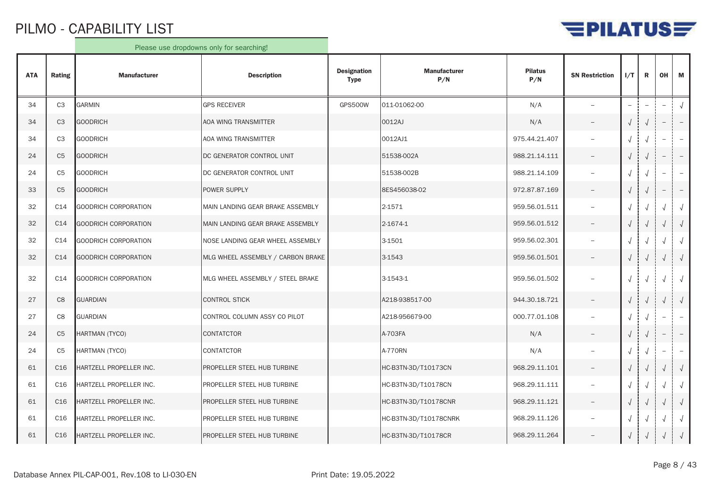

| <b>ATA</b> | <b>Rating</b>   | <b>Manufacturer</b>         | <b>Description</b>                | <b>Designation</b><br><b>Type</b> | <b>Manufacturer</b><br>P/N | <b>Pilatus</b><br>P/N | <b>SN Restriction</b>    | I/T                      | R | OH | M          |
|------------|-----------------|-----------------------------|-----------------------------------|-----------------------------------|----------------------------|-----------------------|--------------------------|--------------------------|---|----|------------|
| 34         | C3              | <b>GARMIN</b>               | <b>GPS RECEIVER</b>               | GPS500W                           | 011-01062-00               | N/A                   | $\equiv$                 | $\overline{\phantom{a}}$ |   |    | $\sqrt{ }$ |
| 34         | C <sub>3</sub>  | <b>GOODRICH</b>             | AOA WING TRANSMITTER              |                                   | 0012AJ                     | N/A                   |                          | $\sqrt{2}$               |   |    |            |
| 34         | C <sub>3</sub>  | <b>GOODRICH</b>             | AOA WING TRANSMITTER              |                                   | 0012AJ1                    | 975.44.21.407         |                          | $\sqrt{ }$               |   |    |            |
| 24         | C <sub>5</sub>  | <b>GOODRICH</b>             | DC GENERATOR CONTROL UNIT         |                                   | 51538-002A                 | 988.21.14.111         | $\overline{\phantom{a}}$ | $\sqrt{ }$               |   |    |            |
| 24         | C <sub>5</sub>  | <b>GOODRICH</b>             | DC GENERATOR CONTROL UNIT         |                                   | 51538-002B                 | 988.21.14.109         | $\overline{\phantom{a}}$ | $\sqrt{ }$               |   |    |            |
| 33         | C <sub>5</sub>  | <b>GOODRICH</b>             | POWER SUPPLY                      |                                   | 8ES456038-02               | 972.87.87.169         |                          | $\sqrt{2}$               |   |    |            |
| 32         | C14             | <b>GOODRICH CORPORATION</b> | MAIN LANDING GEAR BRAKE ASSEMBLY  |                                   | 2-1571                     | 959.56.01.511         | $\overline{\phantom{a}}$ | $\sqrt{2}$               |   |    |            |
| 32         | C14             | <b>GOODRICH CORPORATION</b> | MAIN LANDING GEAR BRAKE ASSEMBLY  |                                   | 2-1674-1                   | 959.56.01.512         | $\overline{\phantom{m}}$ | $\sqrt{}$                |   |    |            |
| 32         | C14             | <b>GOODRICH CORPORATION</b> | NOSE LANDING GEAR WHEEL ASSEMBLY  |                                   | 3-1501                     | 959.56.02.301         | $\overline{\phantom{a}}$ | $\sqrt{2}$               |   |    |            |
| 32         | C14             | <b>GOODRICH CORPORATION</b> | MLG WHEEL ASSEMBLY / CARBON BRAKE |                                   | 3-1543                     | 959.56.01.501         |                          | $\sqrt{ }$               |   |    |            |
| 32         | C14             | <b>GOODRICH CORPORATION</b> | MLG WHEEL ASSEMBLY / STEEL BRAKE  |                                   | 3-1543-1                   | 959.56.01.502         |                          | $\sqrt{2}$               |   |    |            |
| 27         | C8              | <b>GUARDIAN</b>             | <b>CONTROL STICK</b>              |                                   | A218-938517-00             | 944.30.18.721         |                          | $\sqrt{2}$               |   |    |            |
| 27         | C8              | <b>GUARDIAN</b>             | CONTROL COLUMN ASSY CO PILOT      |                                   | A218-956679-00             | 000.77.01.108         | $\overline{\phantom{m}}$ | $\sqrt{}$                |   |    |            |
| 24         | C <sub>5</sub>  | HARTMAN (TYCO)              | <b>CONTATCTOR</b>                 |                                   | A-703FA                    | N/A                   | $\overline{\phantom{m}}$ | $\sqrt{2}$               |   |    |            |
| 24         | C <sub>5</sub>  | HARTMAN (TYCO)              | CONTATCTOR                        |                                   | A-770RN                    | N/A                   |                          | $\sqrt{}$                |   |    |            |
| 61         | C <sub>16</sub> | HARTZELL PROPELLER INC.     | PROPELLER STEEL HUB TURBINE       |                                   | HC-B3TN-3D/T10173CN        | 968.29.11.101         | $\overline{\phantom{m}}$ | $\sqrt{2}$               |   |    |            |
| 61         | C <sub>16</sub> | HARTZELL PROPELLER INC.     | PROPELLER STEEL HUB TURBINE       |                                   | HC-B3TN-3D/T10178CN        | 968.29.11.111         | $\overline{\phantom{m}}$ | $\sqrt{}$                |   |    |            |
| 61         | C <sub>16</sub> | HARTZELL PROPELLER INC.     | PROPELLER STEEL HUB TURBINE       |                                   | HC-B3TN-3D/T10178CNR       | 968.29.11.121         | $\overline{\phantom{m}}$ | $\sqrt{2}$               |   |    |            |
| 61         | C <sub>16</sub> | HARTZELL PROPELLER INC.     | PROPELLER STEEL HUB TURBINE       |                                   | HC-B3TN-3D/T10178CNRK      | 968.29.11.126         |                          | $\sqrt{ }$               |   |    |            |
| 61         | C <sub>16</sub> | HARTZELL PROPELLER INC.     | PROPELLER STEEL HUB TURBINE       |                                   | HC-B3TN-3D/T10178CR        | 968.29.11.264         |                          | $\sqrt{2}$               |   |    |            |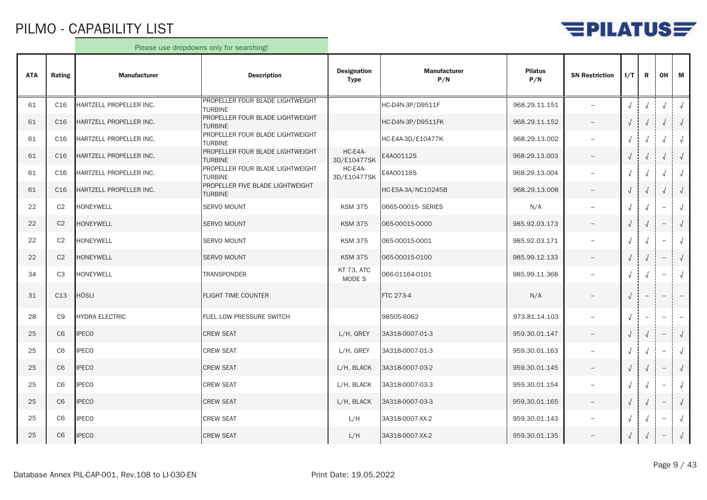

| <b>ATA</b> | Rating          | <b>Manufacturer</b>     | <b>Description</b>                                 | <b>Designation</b><br><b>Type</b> | <b>Manufacturer</b><br>P/N | <b>Pilatus</b><br>P/N | <b>SN Restriction</b>    | I/T        | R | OH | M          |
|------------|-----------------|-------------------------|----------------------------------------------------|-----------------------------------|----------------------------|-----------------------|--------------------------|------------|---|----|------------|
| 61         | C16             | HARTZELL PROPELLER INC. | PROPELLER FOUR BLADE LIGHTWEIGHT<br><b>TURBINE</b> |                                   | HC-D4N-3P/D9511F           | 968.29.11.151         | $\overline{\phantom{0}}$ | $\sqrt{ }$ |   |    |            |
| 61         | C <sub>16</sub> | HARTZELL PROPELLER INC. | PROPELLER FOUR BLADE LIGHTWEIGHT<br><b>TURBINE</b> |                                   | HC-D4N-3P/D9511FK          | 968.29.11.152         |                          | $\sqrt{2}$ |   |    |            |
| 61         | C <sub>16</sub> | HARTZELL PROPELLER INC. | PROPELLER FOUR BLADE LIGHTWEIGHT<br><b>TURBINE</b> |                                   | HC-E4A-3D/E10477K          | 968.29.13.002         |                          | $\sqrt{2}$ |   |    |            |
| 61         | C <sub>16</sub> | HARTZELL PROPELLER INC. | PROPELLER FOUR BLADE LIGHTWEIGHT<br><b>TURBINE</b> | HC-E4A-<br>3D/E10477SK            | E4A00112S                  | 968.29.13.003         | $\overline{\phantom{m}}$ | $\sqrt{ }$ |   |    |            |
| 61         | C <sub>16</sub> | HARTZELL PROPELLER INC. | PROPELLER FOUR BLADE LIGHTWEIGHT<br><b>TURBINE</b> | HC-E4A-<br>3D/E10477SK            | E4A00116S                  | 968.29.13.004         | $\overline{\phantom{a}}$ | $\sqrt{ }$ |   |    | $\sqrt{ }$ |
| 61         | C <sub>16</sub> | HARTZELL PROPELLER INC. | PROPELLER FIVE BLADE LIGHTWEIGHT<br><b>TURBINE</b> |                                   | HC-E5A-3A/NC10245B         | 968.29.13.008         |                          | $\sqrt{2}$ |   |    |            |
| 22         | C <sub>2</sub>  | <b>HONEYWELL</b>        | SERVO MOUNT                                        | <b>KSM 375</b>                    | 0665-00015- SERIES         | N/A                   |                          | $\sqrt{2}$ |   |    |            |
| 22         | C <sub>2</sub>  | <b>HONEYWELL</b>        | <b>SERVO MOUNT</b>                                 | <b>KSM 375</b>                    | 065-00015-0000             | 985.92.03.173         | $\overline{\phantom{m}}$ | $\sqrt{ }$ |   |    |            |
| 22         | C <sub>2</sub>  | <b>HONEYWELL</b>        | SERVO MOUNT                                        | <b>KSM 375</b>                    | 065-00015-0001             | 985.92.03.171         | $\overline{\phantom{0}}$ | $\sqrt{ }$ |   |    | $\sqrt{ }$ |
| 22         | C <sub>2</sub>  | <b>HONEYWELL</b>        | <b>SERVO MOUNT</b>                                 | <b>KSM 375</b>                    | 065-00015-0100             | 985.99.12.133         |                          | $\sqrt{}$  |   |    |            |
| 34         | C <sub>3</sub>  | HONEYWELL               | <b>TRANSPONDER</b>                                 | <b>KT 73, ATC</b><br>MODE S       | 066-01164-0101             | 985.99.11.368         |                          | $\sqrt{2}$ |   |    |            |
| 31         | C13             | HÖSLI                   | <b>FLIGHT TIME COUNTER</b>                         |                                   | FTC 273-4                  | N/A                   |                          | $\sqrt{ }$ |   |    |            |
| 28         | C <sub>9</sub>  | <b>HYDRA ELECTRIC</b>   | FUEL LOW PRESSURE SWITCH                           |                                   | 98505-6062                 | 973.81.14.103         | $\overline{\phantom{0}}$ | $\sqrt{2}$ |   |    |            |
| 25         | C6              | <b>IPECO</b>            | <b>CREW SEAT</b>                                   | L/H, GREY                         | 3A318-0007-01-3            | 959.30.01.147         | $\qquad \qquad -$        | √          |   |    |            |
| 25         | C <sub>6</sub>  | <b>IPECO</b>            | <b>CREW SEAT</b>                                   | L/H, GREY                         | 3A318-0007-01-3            | 959.30.01.163         | $\overline{\phantom{0}}$ | $\sqrt{ }$ |   |    |            |
| 25         | C6              | <b>IPECO</b>            | <b>CREW SEAT</b>                                   | L/H, BLACK                        | 3A318-0007-03-2            | 959.30.01.145         | $\overline{\phantom{m}}$ | $\sqrt{ }$ |   |    |            |
| 25         | C6              | <b>IPECO</b>            | <b>CREW SEAT</b>                                   | L/H, BLACK                        | 3A318-0007-03-3            | 959.30.01.154         | $\overline{\phantom{0}}$ | $\sqrt{2}$ |   |    |            |
| 25         | C6              | <b>IPECO</b>            | <b>CREW SEAT</b>                                   | L/H, BLACK                        | 3A318-0007-03-3            | 959.30.01.165         | $\qquad \qquad -$        | $\sqrt{ }$ |   |    | $\sqrt{ }$ |
| 25         | C <sub>6</sub>  | <b>IPECO</b>            | <b>CREW SEAT</b>                                   | L/H                               | 3A318-0007-XX-2            | 959.30.01.143         |                          | $\sqrt{ }$ |   |    | $\sqrt{ }$ |
| 25         | C6              | <b>IPECO</b>            | <b>CREW SEAT</b>                                   | L/H                               | 3A318-0007-XX-2            | 959.30.01.135         |                          |            |   |    |            |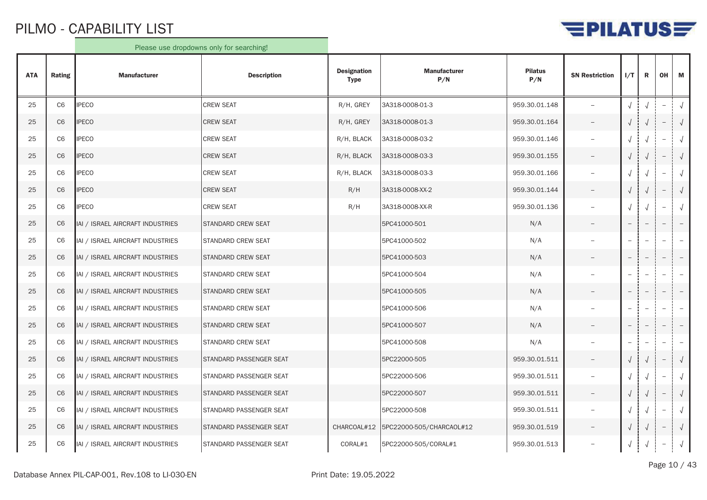

| <b>ATA</b> | Rating         | <b>Manufacturer</b>              | <b>Description</b>        | <b>Designation</b><br>Type | <b>Manufacturer</b><br>P/N | <b>Pilatus</b><br>P/N | <b>SN Restriction</b>    | I/T                              | R | OH   M     |
|------------|----------------|----------------------------------|---------------------------|----------------------------|----------------------------|-----------------------|--------------------------|----------------------------------|---|------------|
| 25         | C6             | <b>IPECO</b>                     | <b>CREW SEAT</b>          | R/H, GREY                  | 3A318-0008-01-3            | 959.30.01.148         |                          | $\sqrt{ }$                       |   | $\sqrt{ }$ |
| 25         | C <sub>6</sub> | <b>IPECO</b>                     | <b>CREW SEAT</b>          | R/H, GREY                  | 3A318-0008-01-3            | 959.30.01.164         |                          | $\sqrt{}$                        |   | $\sqrt{ }$ |
| 25         | C <sub>6</sub> | <b>IPECO</b>                     | CREW SEAT                 | R/H, BLACK                 | 3A318-0008-03-2            | 959.30.01.146         |                          | $\sqrt{2}$                       |   |            |
| 25         | C <sub>6</sub> | <b>IPECO</b>                     | <b>CREW SEAT</b>          | R/H, BLACK                 | 3A318-0008-03-3            | 959.30.01.155         |                          | $\sqrt{2}$                       |   |            |
| 25         | C <sub>6</sub> | <b>IPECO</b>                     | <b>CREW SEAT</b>          | R/H, BLACK                 | 3A318-0008-03-3            | 959.30.01.166         |                          | $\sqrt{2}$                       |   |            |
| 25         | C <sub>6</sub> | <b>IPECO</b>                     | <b>CREW SEAT</b>          | R/H                        | 3A318-0008-XX-2            | 959.30.01.144         |                          | $\sqrt{}$                        |   | $\sqrt{ }$ |
| 25         | C6             | <b>IPECO</b>                     | CREW SEAT                 | R/H                        | 3A318-0008-XX-R            | 959.30.01.136         |                          | $\sqrt{2}$                       |   |            |
| 25         | C <sub>6</sub> | IAI / ISRAEL AIRCRAFT INDUSTRIES | STANDARD CREW SEAT        |                            | 5PC41000-501               | N/A                   |                          |                                  |   |            |
| 25         | C <sub>6</sub> | IAI / ISRAEL AIRCRAFT INDUSTRIES | STANDARD CREW SEAT        |                            | 5PC41000-502               | N/A                   |                          | $\overline{\phantom{m}}$         |   |            |
| 25         | C <sub>6</sub> | IAI / ISRAEL AIRCRAFT INDUSTRIES | <b>STANDARD CREW SEAT</b> |                            | 5PC41000-503               | N/A                   | $\overline{\phantom{m}}$ | $\overline{\phantom{a}}$         |   |            |
| 25         | C6             | IAI / ISRAEL AIRCRAFT INDUSTRIES | STANDARD CREW SEAT        |                            | 5PC41000-504               | N/A                   |                          |                                  |   |            |
| 25         | C6             | IAI / ISRAEL AIRCRAFT INDUSTRIES | <b>STANDARD CREW SEAT</b> |                            | 5PC41000-505               | N/A                   |                          |                                  |   |            |
| 25         | C <sub>6</sub> | IAI / ISRAEL AIRCRAFT INDUSTRIES | STANDARD CREW SEAT        |                            | 5PC41000-506               | N/A                   |                          |                                  |   |            |
| 25         | C6             | IAI / ISRAEL AIRCRAFT INDUSTRIES | <b>STANDARD CREW SEAT</b> |                            | 5PC41000-507               | N/A                   |                          |                                  |   |            |
| 25         | C <sub>6</sub> | IAI / ISRAEL AIRCRAFT INDUSTRIES | STANDARD CREW SEAT        |                            | 5PC41000-508               | N/A                   |                          | $\overbrace{\phantom{12322111}}$ |   |            |
| 25         | C6             | IAI / ISRAEL AIRCRAFT INDUSTRIES | STANDARD PASSENGER SEAT   |                            | 5PC22000-505               | 959.30.01.511         | $\overline{\phantom{0}}$ | $\sqrt{2}$                       |   | $\sqrt{ }$ |
| 25         | C6             | IAI / ISRAEL AIRCRAFT INDUSTRIES | STANDARD PASSENGER SEAT   |                            | 5PC22000-506               | 959.30.01.511         |                          | $\sqrt{2}$                       |   | $\sqrt{ }$ |
| 25         | C6             | IAI / ISRAEL AIRCRAFT INDUSTRIES | STANDARD PASSENGER SEAT   |                            | 5PC22000-507               | 959.30.01.511         |                          | $\sqrt{2}$                       |   | $\sqrt{ }$ |
| 25         | C6             | IAI / ISRAEL AIRCRAFT INDUSTRIES | STANDARD PASSENGER SEAT   |                            | 5PC22000-508               | 959.30.01.511         |                          | $\sqrt{2}$                       |   | $\sqrt{ }$ |
| 25         | C6             | IAI / ISRAEL AIRCRAFT INDUSTRIES | STANDARD PASSENGER SEAT   | CHARCOAL#12                | 5PC22000-505/CHARCAOL#12   | 959.30.01.519         |                          | $\sqrt{2}$                       |   | $\sqrt{ }$ |
| 25         | C6             | IAI / ISRAEL AIRCRAFT INDUSTRIES | STANDARD PASSENGER SEAT   | CORAL#1                    | 5PC22000-505/CORAL#1       | 959.30.01.513         |                          | $\sqrt{ }$                       |   |            |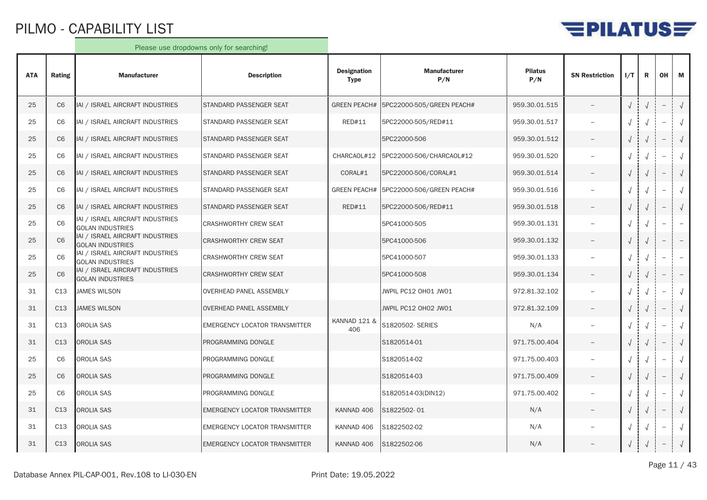

| <b>ATA</b> | Rating          | <b>Manufacturer</b>                                         | <b>Description</b>                   | <b>Designation</b><br>Type | <b>Manufacturer</b><br>P/N | <b>Pilatus</b><br>P/N | <b>SN Restriction</b>    | I/T        | R | OH | M |
|------------|-----------------|-------------------------------------------------------------|--------------------------------------|----------------------------|----------------------------|-----------------------|--------------------------|------------|---|----|---|
| 25         | C <sub>6</sub>  | IAI / ISRAEL AIRCRAFT INDUSTRIES                            | STANDARD PASSENGER SEAT              | <b>GREEN PEACH#</b>        | 5PC22000-505/GREEN PEACH#  | 959.30.01.515         |                          | $\sqrt{ }$ |   |    |   |
| 25         | C <sub>6</sub>  | IAI / ISRAEL AIRCRAFT INDUSTRIES                            | STANDARD PASSENGER SEAT              | <b>RED#11</b>              | 5PC22000-505/RED#11        | 959.30.01.517         |                          | $\sqrt{ }$ |   |    |   |
| 25         | C <sub>6</sub>  | IAI / ISRAEL AIRCRAFT INDUSTRIES                            | ISTANDARD PASSENGER SEAT             |                            | 5PC22000-506               | 959.30.01.512         |                          | $\sqrt{}$  |   |    |   |
| 25         | C <sub>6</sub>  | IAI / ISRAEL AIRCRAFT INDUSTRIES                            | STANDARD PASSENGER SEAT              | CHARCAOL#12                | 5PC22000-506/CHARCAOL#12   | 959.30.01.520         |                          | $\sqrt{ }$ |   |    |   |
| 25         | C <sub>6</sub>  | IAI / ISRAEL AIRCRAFT INDUSTRIES                            | STANDARD PASSENGER SEAT              | CORAL#1                    | 5PC22000-506/CORAL#1       | 959.30.01.514         |                          | √          |   |    |   |
| 25         | C <sub>6</sub>  | IAI / ISRAEL AIRCRAFT INDUSTRIES                            | STANDARD PASSENGER SEAT              | <b>GREEN PEACH#</b>        | 5PC22000-506/GREEN PEACH#  | 959.30.01.516         |                          |            |   |    |   |
| 25         | C <sub>6</sub>  | IAI / ISRAEL AIRCRAFT INDUSTRIES                            | STANDARD PASSENGER SEAT              | <b>RED#11</b>              | 5PC22000-506/RED#11        | 959.30.01.518         |                          | $\sqrt{ }$ |   |    |   |
| 25         | C6              | IAI / ISRAEL AIRCRAFT INDUSTRIES<br><b>GOLAN INDUSTRIES</b> | CRASHWORTHY CREW SEAT                |                            | 5PC41000-505               | 959.30.01.131         |                          | $\sqrt{2}$ |   |    |   |
| 25         | C6              | IAI / ISRAEL AIRCRAFT INDUSTRIES<br><b>GOLAN INDUSTRIES</b> | CRASHWORTHY CREW SEAT                |                            | 5PC41000-506               | 959.30.01.132         |                          | $\sqrt{}$  |   |    |   |
| 25         | C6              | IAI / ISRAEL AIRCRAFT INDUSTRIES<br><b>GOLAN INDUSTRIES</b> | CRASHWORTHY CREW SEAT                |                            | 5PC41000-507               | 959.30.01.133         |                          | $\sqrt{ }$ |   |    |   |
| 25         | C6              | IAI / ISRAEL AIRCRAFT INDUSTRIES<br><b>GOLAN INDUSTRIES</b> | CRASHWORTHY CREW SEAT                |                            | 5PC41000-508               | 959.30.01.134         | $\overline{\phantom{m}}$ | $\sqrt{ }$ |   |    |   |
| 31         | C <sub>13</sub> | <b>JAMES WILSON</b>                                         | OVERHEAD PANEL ASSEMBLY              |                            | JWPIL PC12 OH01 JW01       | 972.81.32.102         |                          | $\sqrt{2}$ |   |    |   |
| 31         | C13             | <b>JAMES WILSON</b>                                         | OVERHEAD PANEL ASSEMBLY              |                            | JWPIL PC12 OH02 JW01       | 972.81.32.109         |                          | $\sqrt{}$  |   |    |   |
| 31         | C <sub>13</sub> | <b>OROLIA SAS</b>                                           | <b>EMERGENCY LOCATOR TRANSMITTER</b> | KANNAD 121 &<br>406        | S1820502- SERIES           | N/A                   |                          |            |   |    |   |
| 31         | C13             | OROLIA SAS                                                  | PROGRAMMING DONGLE                   |                            | S1820514-01                | 971.75.00.404         | $\overline{\phantom{m}}$ | √          |   |    |   |
| 25         | C <sub>6</sub>  | <b>OROLIA SAS</b>                                           | PROGRAMMING DONGLE                   |                            | S1820514-02                | 971.75.00.403         |                          |            |   |    |   |
| 25         | C6              | <b>OROLIA SAS</b>                                           | PROGRAMMING DONGLE                   |                            | S1820514-03                | 971.75.00.409         |                          |            |   |    |   |
| 25         | C6              | <b>OROLIA SAS</b>                                           | PROGRAMMING DONGLE                   |                            | S1820514-03(DIN12)         | 971.75.00.402         |                          | $\sqrt{ }$ |   |    |   |
| 31         | C13             | OROLIA SAS                                                  | EMERGENCY LOCATOR TRANSMITTER        | KANNAD 406                 | S1822502-01                | N/A                   |                          | $\sqrt{ }$ |   |    |   |
| 31         | C <sub>13</sub> | OROLIA SAS                                                  | <b>EMERGENCY LOCATOR TRANSMITTER</b> | KANNAD 406                 | S1822502-02                | N/A                   |                          | $\sqrt{2}$ |   |    |   |
| 31         | C <sub>13</sub> | OROLIA SAS                                                  | EMERGENCY LOCATOR TRANSMITTER        | KANNAD 406                 | S1822502-06                | N/A                   |                          |            |   |    |   |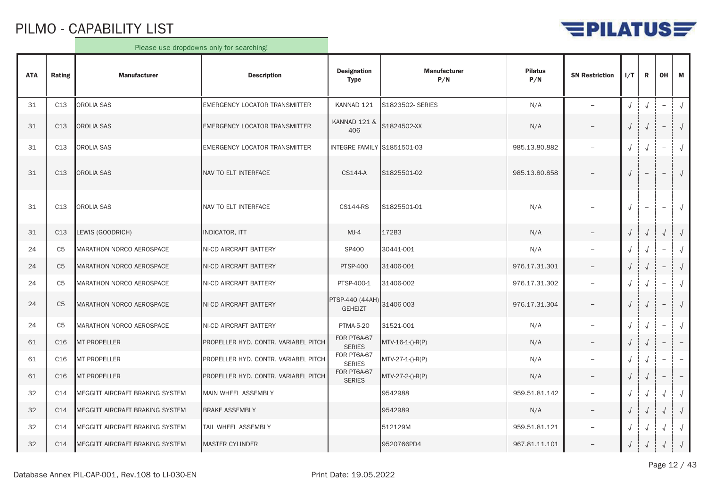

| <b>ATA</b> | Rating          | <b>Manufacturer</b>             | <b>Description</b>                   | <b>Designation</b><br><b>Type</b> | <b>Manufacturer</b><br>P/N | <b>Pilatus</b><br>P/N | <b>SN Restriction</b>    | I/T        | R | OH         | M          |
|------------|-----------------|---------------------------------|--------------------------------------|-----------------------------------|----------------------------|-----------------------|--------------------------|------------|---|------------|------------|
| 31         | C13             | OROLIA SAS                      | EMERGENCY LOCATOR TRANSMITTER        | KANNAD 121                        | S1823502- SERIES           | N/A                   | $\overline{\phantom{0}}$ | $\sqrt{2}$ |   |            |            |
| 31         | C13             | OROLIA SAS                      | <b>EMERGENCY LOCATOR TRANSMITTER</b> | KANNAD 121 &<br>406               | S1824502-XX                | N/A                   |                          | $\sqrt{ }$ |   |            |            |
| 31         | C13             | OROLIA SAS                      | EMERGENCY LOCATOR TRANSMITTER        | INTEGRE FAMILY S1851501-03        |                            | 985.13.80.882         | $\overline{\phantom{a}}$ | $\sqrt{2}$ |   |            |            |
| 31         | C13             | <b>OROLIA SAS</b>               | NAV TO ELT INTERFACE                 | CS144-A                           | S1825501-02                | 985.13.80.858         |                          | $\sqrt{2}$ |   |            | $\sqrt{ }$ |
| 31         | C13             | <b>OROLIA SAS</b>               | NAV TO ELT INTERFACE                 | <b>CS144-RS</b>                   | S1825501-01                | N/A                   |                          | $\sqrt{ }$ |   |            |            |
| 31         | C13             | LEWIS (GOODRICH)                | INDICATOR, ITT                       | $MJ-4$                            | 172B3                      | N/A                   | $\overline{\phantom{0}}$ | $\sqrt{2}$ |   | $\sqrt{ }$ |            |
| 24         | C <sub>5</sub>  | MARATHON NORCO AEROSPACE        | NI-CD AIRCRAFT BATTERY               | SP400                             | 30441-001                  | N/A                   | $\overline{\phantom{0}}$ | $\sqrt{ }$ |   |            |            |
| 24         | C <sub>5</sub>  | MARATHON NORCO AEROSPACE        | NI-CD AIRCRAFT BATTERY               | <b>PTSP-400</b>                   | 31406-001                  | 976.17.31.301         |                          | $\sqrt{}$  |   |            |            |
| 24         | C <sub>5</sub>  | MARATHON NORCO AEROSPACE        | NI-CD AIRCRAFT BATTERY               | PTSP-400-1                        | 31406-002                  | 976.17.31.302         |                          | $\sqrt{2}$ |   |            | $\sqrt{ }$ |
| 24         | C <sub>5</sub>  | MARATHON NORCO AEROSPACE        | NI-CD AIRCRAFT BATTERY               | PTSP-440 (44AH)<br><b>GEHEIZT</b> | 31406-003                  | 976.17.31.304         |                          | $\sqrt{2}$ |   |            |            |
| 24         | C <sub>5</sub>  | MARATHON NORCO AEROSPACE        | NI-CD AIRCRAFT BATTERY               | <b>PTMA-5-20</b>                  | 31521-001                  | N/A                   |                          | $\sqrt{ }$ |   |            |            |
| 61         | C <sub>16</sub> | <b>MT PROPELLER</b>             | PROPELLER HYD. CONTR. VARIABEL PITCH | FOR PT6A-67<br><b>SERIES</b>      | $MTV-16-1-() - R(P)$       | N/A                   | $\overline{\phantom{0}}$ | $\sqrt{}$  |   |            |            |
| 61         | C16             | <b>MT PROPELLER</b>             | PROPELLER HYD. CONTR. VARIABEL PITCH | FOR PT6A-67<br><b>SERIES</b>      | MTV-27-1-()-R(P)           | N/A                   |                          | $\sqrt{2}$ |   |            |            |
| 61         | C16             | <b>MT PROPELLER</b>             | PROPELLER HYD. CONTR. VARIABEL PITCH | FOR PT6A-67<br><b>SERIES</b>      | MTV-27-2-()-R(P)           | N/A                   |                          | $\sqrt{ }$ |   |            |            |
| 32         | C14             | MEGGITT AIRCRAFT BRAKING SYSTEM | MAIN WHEEL ASSEMBLY                  |                                   | 9542988                    | 959.51.81.142         | $\overline{\phantom{0}}$ | $\sqrt{ }$ |   |            |            |
| 32         | C14             | MEGGITT AIRCRAFT BRAKING SYSTEM | <b>BRAKE ASSEMBLY</b>                |                                   | 9542989                    | N/A                   | $\overline{\phantom{0}}$ | $\sqrt{ }$ |   |            |            |
| 32         | C14             | MEGGITT AIRCRAFT BRAKING SYSTEM | TAIL WHEEL ASSEMBLY                  |                                   | 512129M                    | 959.51.81.121         |                          | $\sqrt{ }$ |   |            |            |
| 32         | C14             | MEGGITT AIRCRAFT BRAKING SYSTEM | <b>MASTER CYLINDER</b>               |                                   | 9520766PD4                 | 967.81.11.101         |                          | $\sqrt{ }$ |   |            |            |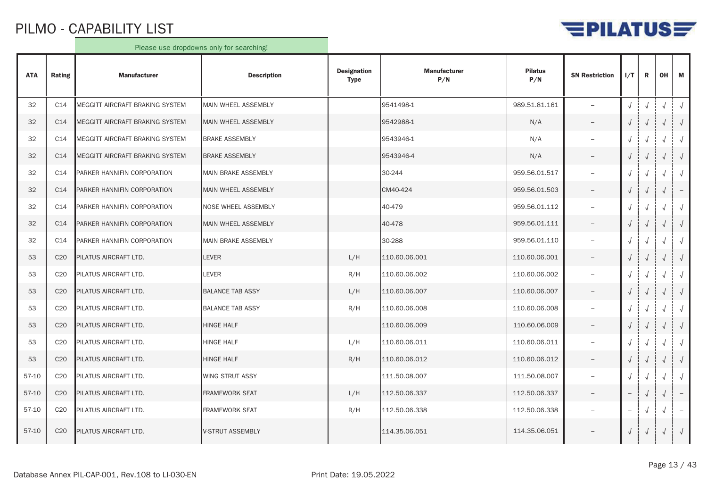

| <b>ATA</b> | Rating          | <b>Manufacturer</b>             | <b>Description</b>         | <b>Designation</b><br><b>Type</b> | <b>Manufacturer</b><br>P/N | <b>Pilatus</b><br>P/N | <b>SN Restriction</b>    | I/T               | R | OH         | M |
|------------|-----------------|---------------------------------|----------------------------|-----------------------------------|----------------------------|-----------------------|--------------------------|-------------------|---|------------|---|
| 32         | C <sub>14</sub> | MEGGITT AIRCRAFT BRAKING SYSTEM | MAIN WHEEL ASSEMBLY        |                                   | 9541498-1                  | 989.51.81.161         | $\overline{\phantom{m}}$ | $\sqrt{ }$        |   |            |   |
| 32         | C <sub>14</sub> | MEGGITT AIRCRAFT BRAKING SYSTEM | MAIN WHEEL ASSEMBLY        |                                   | 9542988-1                  | N/A                   |                          | $\sqrt{}$         |   |            |   |
| 32         | C <sub>14</sub> | MEGGITT AIRCRAFT BRAKING SYSTEM | <b>BRAKE ASSEMBLY</b>      |                                   | 9543946-1                  | N/A                   |                          | $\sqrt{ }$        |   |            |   |
| 32         | C14             | MEGGITT AIRCRAFT BRAKING SYSTEM | <b>BRAKE ASSEMBLY</b>      |                                   | 9543946-4                  | N/A                   | $\overline{\phantom{m}}$ | $\sqrt{ }$        |   |            |   |
| 32         | C14             | PARKER HANNIFIN CORPORATION     | MAIN BRAKE ASSEMBLY        |                                   | 30-244                     | 959.56.01.517         | $\overline{\phantom{0}}$ | $\sqrt{}$         |   |            |   |
| 32         | C <sub>14</sub> | PARKER HANNIFIN CORPORATION     | MAIN WHEEL ASSEMBLY        |                                   | CM40-424                   | 959.56.01.503         |                          | $\sqrt{}$         |   |            |   |
| 32         | C <sub>14</sub> | PARKER HANNIFIN CORPORATION     | <b>NOSE WHEEL ASSEMBLY</b> |                                   | 40-479                     | 959.56.01.112         |                          | $\sqrt{2}$        |   |            |   |
| 32         | C <sub>14</sub> | PARKER HANNIFIN CORPORATION     | MAIN WHEEL ASSEMBLY        |                                   | 40-478                     | 959.56.01.111         | $\overline{\phantom{m}}$ | $\sqrt{}$         |   |            |   |
| 32         | C <sub>14</sub> | PARKER HANNIFIN CORPORATION     | <b>MAIN BRAKE ASSEMBLY</b> |                                   | 30-288                     | 959.56.01.110         | $\overline{\phantom{0}}$ | $\sqrt{ }$        |   |            |   |
| 53         | C <sub>20</sub> | PILATUS AIRCRAFT LTD.           | <b>LEVER</b>               | L/H                               | 110.60.06.001              | 110.60.06.001         |                          | $\sqrt{}$         |   |            |   |
| 53         | C <sub>20</sub> | PILATUS AIRCRAFT LTD.           | <b>LEVER</b>               | R/H                               | 110.60.06.002              | 110.60.06.002         |                          | $\sqrt{ }$        |   |            |   |
| 53         | C <sub>20</sub> | PILATUS AIRCRAFT LTD.           | <b>BALANCE TAB ASSY</b>    | L/H                               | 110.60.06.007              | 110.60.06.007         |                          | $\sqrt{ }$        |   |            |   |
| 53         | C <sub>20</sub> | PILATUS AIRCRAFT LTD.           | <b>BALANCE TAB ASSY</b>    | R/H                               | 110.60.06.008              | 110.60.06.008         |                          | $\sqrt{ }$        |   |            |   |
| 53         | C <sub>20</sub> | PILATUS AIRCRAFT LTD.           | <b>HINGE HALF</b>          |                                   | 110.60.06.009              | 110.60.06.009         |                          | $\sqrt{}$         |   |            |   |
| 53         | C <sub>20</sub> | PILATUS AIRCRAFT LTD.           | <b>HINGE HALF</b>          | L/H                               | 110.60.06.011              | 110.60.06.011         | $\overline{\phantom{m}}$ | $\sqrt{2}$        |   |            |   |
| 53         | C <sub>20</sub> | PILATUS AIRCRAFT LTD.           | <b>HINGE HALF</b>          | R/H                               | 110.60.06.012              | 110.60.06.012         |                          | $\sqrt{ }$        |   |            |   |
| 57-10      | C <sub>20</sub> | PILATUS AIRCRAFT LTD.           | <b>WING STRUT ASSY</b>     |                                   | 111.50.08.007              | 111.50.08.007         |                          | $\sqrt{2}$        |   | $\sqrt{ }$ |   |
| 57-10      | C <sub>20</sub> | PILATUS AIRCRAFT LTD.           | <b>FRAMEWORK SEAT</b>      | L/H                               | 112.50.06.337              | 112.50.06.337         | $\overline{\phantom{m}}$ | $\qquad \qquad -$ |   |            |   |
| 57-10      | C20             | PILATUS AIRCRAFT LTD.           | <b>FRAMEWORK SEAT</b>      | R/H                               | 112.50.06.338              | 112.50.06.338         |                          | $\qquad \qquad -$ |   |            |   |
| 57-10      | C <sub>20</sub> | PILATUS AIRCRAFT LTD.           | <b>V-STRUT ASSEMBLY</b>    |                                   | 114.35.06.051              | 114.35.06.051         |                          | $\sqrt{ }$        |   |            |   |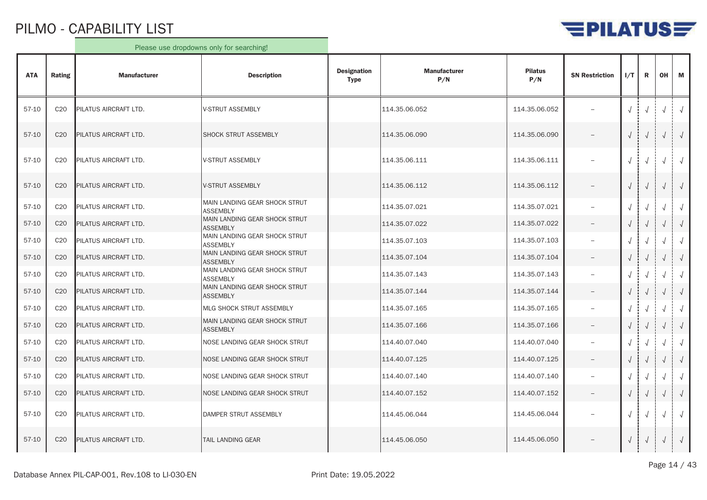

| <b>ATA</b> | Rating          | <b>Manufacturer</b>   | <b>Description</b>                               | <b>Designation</b><br><b>Type</b> | <b>Manufacturer</b><br>P/N | <b>Pilatus</b><br>P/N | <b>SN Restriction</b>    | I/T | $\mathbf R$ | OH | M          |
|------------|-----------------|-----------------------|--------------------------------------------------|-----------------------------------|----------------------------|-----------------------|--------------------------|-----|-------------|----|------------|
| 57-10      | C <sub>20</sub> | PILATUS AIRCRAFT LTD. | V-STRUT ASSEMBLY                                 |                                   | 114.35.06.052              | 114.35.06.052         |                          |     |             |    | $\sqrt{ }$ |
| 57-10      | C <sub>20</sub> | PILATUS AIRCRAFT LTD. | <b>SHOCK STRUT ASSEMBLY</b>                      |                                   | 114.35.06.090              | 114.35.06.090         |                          |     |             |    |            |
| 57-10      | C20             | PILATUS AIRCRAFT LTD. | <b>V-STRUT ASSEMBLY</b>                          |                                   | 114.35.06.111              | 114.35.06.111         |                          |     |             |    |            |
| 57-10      | C <sub>20</sub> | PILATUS AIRCRAFT LTD. | <b>V-STRUT ASSEMBLY</b>                          |                                   | 114.35.06.112              | 114.35.06.112         |                          |     |             |    | $\sqrt{ }$ |
| 57-10      | C <sub>20</sub> | PILATUS AIRCRAFT LTD. | MAIN LANDING GEAR SHOCK STRUT<br><b>ASSEMBLY</b> |                                   | 114.35.07.021              | 114.35.07.021         |                          |     |             |    |            |
| 57-10      | C <sub>20</sub> | PILATUS AIRCRAFT LTD. | MAIN LANDING GEAR SHOCK STRUT<br><b>ASSEMBLY</b> |                                   | 114.35.07.022              | 114.35.07.022         |                          |     |             |    | $\sqrt{ }$ |
| 57-10      | C <sub>20</sub> | PILATUS AIRCRAFT LTD. | MAIN LANDING GEAR SHOCK STRUT<br><b>ASSEMBLY</b> |                                   | 114.35.07.103              | 114.35.07.103         |                          |     |             |    |            |
| 57-10      | C <sub>20</sub> | PILATUS AIRCRAFT LTD. | MAIN LANDING GEAR SHOCK STRUT<br><b>ASSEMBLY</b> |                                   | 114.35.07.104              | 114.35.07.104         |                          |     |             |    |            |
| 57-10      | C <sub>20</sub> | PILATUS AIRCRAFT LTD. | MAIN LANDING GEAR SHOCK STRUT<br><b>ASSEMBLY</b> |                                   | 114.35.07.143              | 114.35.07.143         |                          |     |             |    |            |
| 57-10      | C <sub>20</sub> | PILATUS AIRCRAFT LTD. | MAIN LANDING GEAR SHOCK STRUT<br><b>ASSEMBLY</b> |                                   | 114.35.07.144              | 114.35.07.144         |                          |     |             |    |            |
| 57-10      | C20             | PILATUS AIRCRAFT LTD. | MLG SHOCK STRUT ASSEMBLY                         |                                   | 114.35.07.165              | 114.35.07.165         | $\overline{\phantom{0}}$ |     |             |    | $\sqrt{ }$ |
| 57-10      | C <sub>20</sub> | PILATUS AIRCRAFT LTD. | MAIN LANDING GEAR SHOCK STRUT<br><b>ASSEMBLY</b> |                                   | 114.35.07.166              | 114.35.07.166         |                          |     |             |    |            |
| 57-10      | C <sub>20</sub> | PILATUS AIRCRAFT LTD. | NOSE LANDING GEAR SHOCK STRUT                    |                                   | 114.40.07.040              | 114.40.07.040         |                          |     |             |    |            |
| 57-10      | C <sub>20</sub> | PILATUS AIRCRAFT LTD. | NOSE LANDING GEAR SHOCK STRUT                    |                                   | 114.40.07.125              | 114.40.07.125         | $\qquad \qquad -$        |     |             |    | $\sqrt{ }$ |
| 57-10      | C <sub>20</sub> | PILATUS AIRCRAFT LTD. | NOSE LANDING GEAR SHOCK STRUT                    |                                   | 114.40.07.140              | 114.40.07.140         |                          |     |             |    |            |
| 57-10      | C <sub>20</sub> | PILATUS AIRCRAFT LTD. | NOSE LANDING GEAR SHOCK STRUT                    |                                   | 114.40.07.152              | 114.40.07.152         |                          |     |             |    | $\sqrt{ }$ |
| 57-10      | C <sub>20</sub> | PILATUS AIRCRAFT LTD. | <b>DAMPER STRUT ASSEMBLY</b>                     |                                   | 114.45.06.044              | 114.45.06.044         |                          |     |             |    | $\sqrt{ }$ |
| 57-10      | C <sub>20</sub> | PILATUS AIRCRAFT LTD. | TAIL LANDING GEAR                                |                                   | 114.45.06.050              | 114.45.06.050         |                          |     |             |    |            |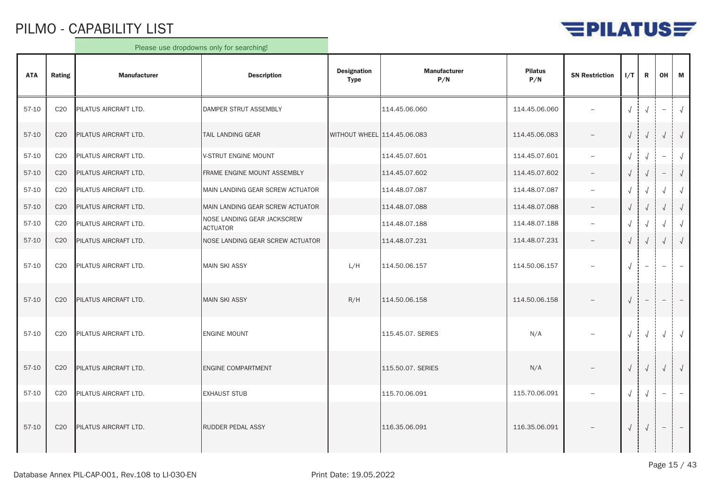

| <b>ATA</b> | Rating          | <b>Manufacturer</b>          | <b>Description</b>                             | <b>Designation</b><br><b>Type</b> | <b>Manufacturer</b><br>P/N | <b>Pilatus</b><br>P/N | <b>SN Restriction</b>    | 1/T        | $\mathbf R$ | OH                       | M                        |
|------------|-----------------|------------------------------|------------------------------------------------|-----------------------------------|----------------------------|-----------------------|--------------------------|------------|-------------|--------------------------|--------------------------|
| 57-10      | C20             | PILATUS AIRCRAFT LTD.        | <b>DAMPER STRUT ASSEMBLY</b>                   |                                   | 114.45.06.060              | 114.45.06.060         |                          |            |             |                          | $\sqrt{ }$               |
| 57-10      | C <sub>20</sub> | PILATUS AIRCRAFT LTD.        | TAIL LANDING GEAR                              | WITHOUT WHEEL 114.45.06.083       |                            | 114.45.06.083         |                          | $\sqrt{ }$ | $\sqrt{ }$  |                          | $\sqrt{ }$               |
| $57-10$    | C20             | PILATUS AIRCRAFT LTD.        | V-STRUT ENGINE MOUNT                           |                                   | 114.45.07.601              | 114.45.07.601         |                          | $\sqrt{2}$ | $\sqrt{ }$  | $\overline{\phantom{0}}$ | $\sqrt{ }$               |
| 57-10      | C20             | PILATUS AIRCRAFT LTD.        | FRAME ENGINE MOUNT ASSEMBLY                    |                                   | 114.45.07.602              | 114.45.07.602         |                          |            |             |                          |                          |
| 57-10      | C20             | PILATUS AIRCRAFT LTD.        | MAIN LANDING GEAR SCREW ACTUATOR               |                                   | 114.48.07.087              | 114.48.07.087         |                          |            |             |                          |                          |
| 57-10      | C20             | PILATUS AIRCRAFT LTD.        | MAIN LANDING GEAR SCREW ACTUATOR               |                                   | 114.48.07.088              | 114.48.07.088         |                          |            |             |                          |                          |
| $57-10$    | C20             | PILATUS AIRCRAFT LTD.        | NOSE LANDING GEAR JACKSCREW<br><b>ACTUATOR</b> |                                   | 114.48.07.188              | 114.48.07.188         | $\overline{\phantom{0}}$ |            |             |                          | $\sqrt{ }$               |
| $57-10$    | C20             | PILATUS AIRCRAFT LTD.        | NOSE LANDING GEAR SCREW ACTUATOR               |                                   | 114.48.07.231              | 114.48.07.231         |                          | $\sqrt{2}$ |             |                          | $\sqrt{2}$               |
| 57-10      | C <sub>20</sub> | <b>PILATUS AIRCRAFT LTD.</b> | <b>MAIN SKI ASSY</b>                           | L/H                               | 114.50.06.157              | 114.50.06.157         |                          |            |             |                          | $\overline{\phantom{a}}$ |
| 57-10      | C <sub>20</sub> | PILATUS AIRCRAFT LTD.        | <b>MAIN SKI ASSY</b>                           | R/H                               | 114.50.06.158              | 114.50.06.158         |                          |            |             |                          |                          |
| 57-10      | C20             | PILATUS AIRCRAFT LTD.        | <b>ENGINE MOUNT</b>                            |                                   | 115.45.07. SERIES          | N/A                   |                          |            |             |                          | $\sqrt{ }$               |
| 57-10      | C <sub>20</sub> | <b>PILATUS AIRCRAFT LTD.</b> | <b>ENGINE COMPARTMENT</b>                      |                                   | 115.50.07. SERIES          | N/A                   |                          | $\sqrt{ }$ | $\sqrt{ }$  |                          | $\sqrt{ }$               |
| 57-10      | C <sub>20</sub> | PILATUS AIRCRAFT LTD.        | <b>EXHAUST STUB</b>                            |                                   | 115.70.06.091              | 115.70.06.091         |                          |            |             |                          |                          |
| 57-10      | C <sub>20</sub> | PILATUS AIRCRAFT LTD.        | <b>RUDDER PEDAL ASSY</b>                       |                                   | 116.35.06.091              | 116.35.06.091         |                          | $\sqrt{ }$ |             |                          | $-$                      |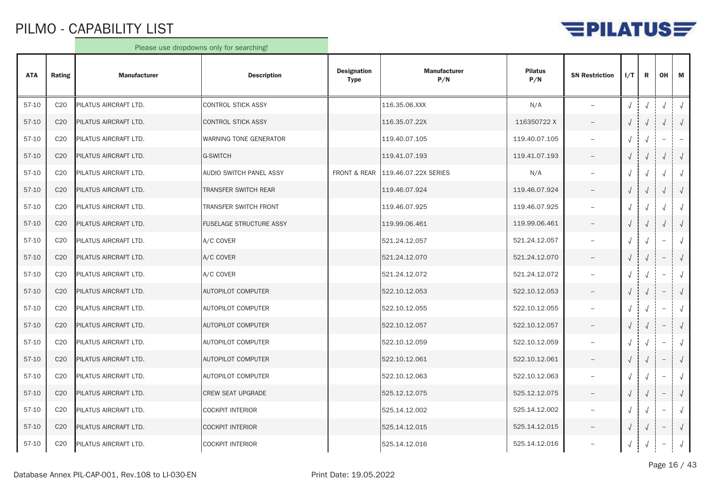

| <b>ATA</b> | <b>Rating</b>   | <b>Manufacturer</b>   | <b>Description</b>             | <b>Designation</b><br><b>Type</b> | <b>Manufacturer</b><br>P/N | <b>Pilatus</b><br>P/N | <b>SN Restriction</b>    | I/T        | R | OH | M |
|------------|-----------------|-----------------------|--------------------------------|-----------------------------------|----------------------------|-----------------------|--------------------------|------------|---|----|---|
| 57-10      | C <sub>20</sub> | PILATUS AIRCRAFT LTD. | <b>CONTROL STICK ASSY</b>      |                                   | 116.35.06.XXX              | N/A                   | $\qquad \qquad -$        | $\sqrt{ }$ |   |    |   |
| 57-10      | C <sub>20</sub> | PILATUS AIRCRAFT LTD. | <b>CONTROL STICK ASSY</b>      |                                   | 116.35.07.22X              | 116350722 X           |                          | √          |   |    |   |
| 57-10      | C <sub>20</sub> | PILATUS AIRCRAFT LTD. | <b>WARNING TONE GENERATOR</b>  |                                   | 119.40.07.105              | 119.40.07.105         |                          | $\sqrt{ }$ |   |    |   |
| 57-10      | C <sub>20</sub> | PILATUS AIRCRAFT LTD. | <b>G-SWITCH</b>                |                                   | 119.41.07.193              | 119.41.07.193         |                          | $\sqrt{}$  |   |    |   |
| 57-10      | C <sub>20</sub> | PILATUS AIRCRAFT LTD. | AUDIO SWITCH PANEL ASSY        | <b>FRONT &amp; REAR</b>           | 119.46.07.22X SERIES       | N/A                   |                          | $\sqrt{2}$ |   |    |   |
| 57-10      | C <sub>20</sub> | PILATUS AIRCRAFT LTD. | TRANSFER SWITCH REAR           |                                   | 119.46.07.924              | 119.46.07.924         | $\overline{\phantom{m}}$ | $\sqrt{}$  |   |    |   |
| 57-10      | C <sub>20</sub> | PILATUS AIRCRAFT LTD. | <b>TRANSFER SWITCH FRONT</b>   |                                   | 119.46.07.925              | 119.46.07.925         | $\overline{\phantom{0}}$ | $\sqrt{2}$ |   |    |   |
| 57-10      | C <sub>20</sub> | PILATUS AIRCRAFT LTD. | <b>FUSELAGE STRUCTURE ASSY</b> |                                   | 119.99.06.461              | 119.99.06.461         |                          | $\sqrt{}$  |   |    |   |
| 57-10      | C <sub>20</sub> | PILATUS AIRCRAFT LTD. | A/C COVER                      |                                   | 521.24.12.057              | 521.24.12.057         |                          | $\sqrt{2}$ |   |    |   |
| 57-10      | C <sub>20</sub> | PILATUS AIRCRAFT LTD. | A/C COVER                      |                                   | 521.24.12.070              | 521.24.12.070         |                          |            |   |    |   |
| 57-10      | C <sub>20</sub> | PILATUS AIRCRAFT LTD. | A/C COVER                      |                                   | 521.24.12.072              | 521.24.12.072         |                          |            |   |    |   |
| 57-10      | C <sub>20</sub> | PILATUS AIRCRAFT LTD. | <b>AUTOPILOT COMPUTER</b>      |                                   | 522.10.12.053              | 522.10.12.053         |                          | √          |   |    |   |
| 57-10      | C20             | PILATUS AIRCRAFT LTD. | AUTOPILOT COMPUTER             |                                   | 522.10.12.055              | 522.10.12.055         | $\overline{\phantom{0}}$ | $\sqrt{2}$ |   |    |   |
| 57-10      | C <sub>20</sub> | PILATUS AIRCRAFT LTD. | <b>AUTOPILOT COMPUTER</b>      |                                   | 522.10.12.057              | 522.10.12.057         |                          | $\sqrt{}$  |   |    |   |
| 57-10      | C <sub>20</sub> | PILATUS AIRCRAFT LTD. | <b>AUTOPILOT COMPUTER</b>      |                                   | 522.10.12.059              | 522.10.12.059         |                          | $\sqrt{2}$ |   |    |   |
| 57-10      | C <sub>20</sub> | PILATUS AIRCRAFT LTD. | <b>AUTOPILOT COMPUTER</b>      |                                   | 522.10.12.061              | 522.10.12.061         | $\overline{\phantom{m}}$ | $\sqrt{ }$ |   |    |   |
| 57-10      | C <sub>20</sub> | PILATUS AIRCRAFT LTD. | <b>AUTOPILOT COMPUTER</b>      |                                   | 522.10.12.063              | 522.10.12.063         |                          |            |   |    |   |
| 57-10      | C20             | PILATUS AIRCRAFT LTD. | <b>CREW SEAT UPGRADE</b>       |                                   | 525.12.12.075              | 525.12.12.075         |                          | $\sqrt{}$  |   |    |   |
| 57-10      | C20             | PILATUS AIRCRAFT LTD. | <b>COCKPIT INTERIOR</b>        |                                   | 525.14.12.002              | 525.14.12.002         |                          | $\sqrt{ }$ |   |    |   |
| 57-10      | C <sub>20</sub> | PILATUS AIRCRAFT LTD. | <b>COCKPIT INTERIOR</b>        |                                   | 525.14.12.015              | 525.14.12.015         | $\overline{\phantom{m}}$ |            |   |    |   |
| 57-10      | C <sub>20</sub> | PILATUS AIRCRAFT LTD. | <b>COCKPIT INTERIOR</b>        |                                   | 525.14.12.016              | 525.14.12.016         |                          |            |   |    |   |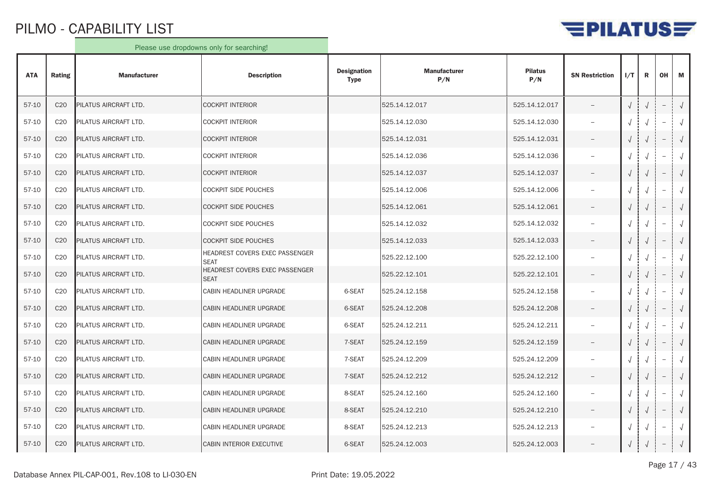

| <b>ATA</b> | Rating          | <b>Manufacturer</b>   | <b>Description</b>                            | <b>Designation</b><br>Type | <b>Manufacturer</b><br>P/N | <b>Pilatus</b><br>P/N | <b>SN Restriction</b>    | 1/T        | R | OH | M |
|------------|-----------------|-----------------------|-----------------------------------------------|----------------------------|----------------------------|-----------------------|--------------------------|------------|---|----|---|
| 57-10      | C <sub>20</sub> | PILATUS AIRCRAFT LTD. | <b>COCKPIT INTERIOR</b>                       |                            | 525.14.12.017              | 525.14.12.017         | $\overline{\phantom{a}}$ | $\sqrt{ }$ |   |    |   |
| 57-10      | C20             | PILATUS AIRCRAFT LTD. | <b>COCKPIT INTERIOR</b>                       |                            | 525.14.12.030              | 525.14.12.030         |                          | $\sqrt{ }$ |   |    |   |
| 57-10      | C <sub>20</sub> | PILATUS AIRCRAFT LTD. | <b>COCKPIT INTERIOR</b>                       |                            | 525.14.12.031              | 525.14.12.031         |                          | $\sqrt{ }$ |   |    |   |
| 57-10      | C <sub>20</sub> | PILATUS AIRCRAFT LTD. | <b>COCKPIT INTERIOR</b>                       |                            | 525.14.12.036              | 525.14.12.036         |                          | $\sqrt{ }$ |   |    |   |
| 57-10      | C <sub>20</sub> | PILATUS AIRCRAFT LTD. | <b>COCKPIT INTERIOR</b>                       |                            | 525.14.12.037              | 525.14.12.037         |                          | $\sqrt{2}$ |   |    |   |
| 57-10      | C <sub>20</sub> | PILATUS AIRCRAFT LTD. | <b>COCKPIT SIDE POUCHES</b>                   |                            | 525.14.12.006              | 525.14.12.006         | $\equiv$                 |            |   |    |   |
| 57-10      | C <sub>20</sub> | PILATUS AIRCRAFT LTD. | <b>COCKPIT SIDE POUCHES</b>                   |                            | 525.14.12.061              | 525.14.12.061         |                          |            |   |    |   |
| 57-10      | C <sub>20</sub> | PILATUS AIRCRAFT LTD. | <b>COCKPIT SIDE POUCHES</b>                   |                            | 525.14.12.032              | 525.14.12.032         |                          | $\sqrt{ }$ |   |    |   |
| 57-10      | C <sub>20</sub> | PILATUS AIRCRAFT LTD. | <b>COCKPIT SIDE POUCHES</b>                   |                            | 525.14.12.033              | 525.14.12.033         |                          | $\sqrt{}$  |   |    |   |
| 57-10      | C <sub>20</sub> | PILATUS AIRCRAFT LTD. | HEADREST COVERS EXEC PASSENGER<br><b>SEAT</b> |                            | 525.22.12.100              | 525.22.12.100         |                          | $\sqrt{ }$ |   |    |   |
| 57-10      | C <sub>20</sub> | PILATUS AIRCRAFT LTD. | HEADREST COVERS EXEC PASSENGER<br><b>SEAT</b> |                            | 525.22.12.101              | 525.22.12.101         | $\overline{\phantom{m}}$ |            |   |    |   |
| 57-10      | C <sub>20</sub> | PILATUS AIRCRAFT LTD. | CABIN HEADLINER UPGRADE                       | 6-SEAT                     | 525.24.12.158              | 525.24.12.158         | $\overline{\phantom{0}}$ |            |   |    |   |
| 57-10      | C <sub>20</sub> | PILATUS AIRCRAFT LTD. | CABIN HEADLINER UPGRADE                       | 6-SEAT                     | 525.24.12.208              | 525.24.12.208         |                          | $\sqrt{2}$ |   |    |   |
| 57-10      | C <sub>20</sub> | PILATUS AIRCRAFT LTD. | CABIN HEADLINER UPGRADE                       | 6-SEAT                     | 525.24.12.211              | 525.24.12.211         |                          | $\sqrt{ }$ |   |    |   |
| 57-10      | C20             | PILATUS AIRCRAFT LTD. | CABIN HEADLINER UPGRADE                       | 7-SEAT                     | 525.24.12.159              | 525.24.12.159         | $\qquad \qquad -$        |            |   |    |   |
| 57-10      | C <sub>20</sub> | PILATUS AIRCRAFT LTD. | CABIN HEADLINER UPGRADE                       | 7-SEAT                     | 525.24.12.209              | 525.24.12.209         |                          |            |   |    |   |
| 57-10      | C <sub>20</sub> | PILATUS AIRCRAFT LTD. | CABIN HEADLINER UPGRADE                       | 7-SEAT                     | 525.24.12.212              | 525.24.12.212         |                          |            |   |    |   |
| 57-10      | C <sub>20</sub> | PILATUS AIRCRAFT LTD. | CABIN HEADLINER UPGRADE                       | 8-SEAT                     | 525.24.12.160              | 525.24.12.160         | $\overline{\phantom{m}}$ | $\sqrt{2}$ |   |    |   |
| 57-10      | C <sub>20</sub> | PILATUS AIRCRAFT LTD. | CABIN HEADLINER UPGRADE                       | 8-SEAT                     | 525.24.12.210              | 525.24.12.210         | $\overline{\phantom{a}}$ | $\sqrt{}$  |   |    |   |
| 57-10      | C <sub>20</sub> | PILATUS AIRCRAFT LTD. | CABIN HEADLINER UPGRADE                       | 8-SEAT                     | 525.24.12.213              | 525.24.12.213         |                          | $\sqrt{ }$ |   |    |   |
| 57-10      | C <sub>20</sub> | PILATUS AIRCRAFT LTD. | CABIN INTERIOR EXECUTIVE                      | 6-SEAT                     | 525.24.12.003              | 525.24.12.003         |                          |            |   |    |   |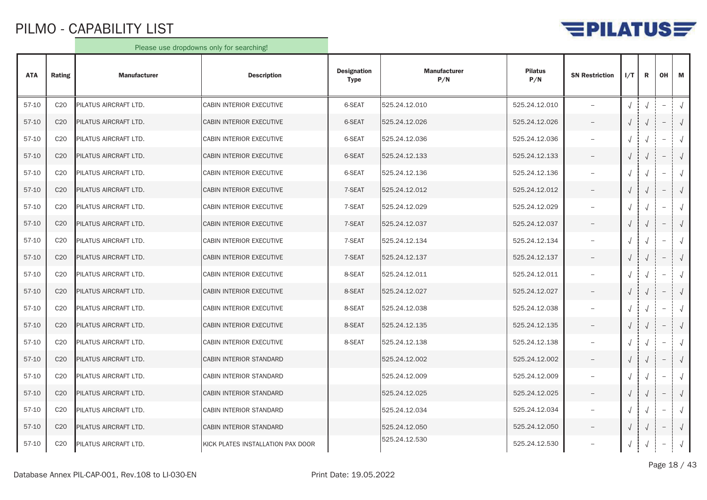

| ATA   | Rating          | <b>Manufacturer</b>   | <b>Description</b>                | Designation<br>Type | <b>Manufacturer</b><br>P/N | <b>Pilatus</b><br>P/N | <b>SN Restriction</b>    | 1/T        | R | OH | M |
|-------|-----------------|-----------------------|-----------------------------------|---------------------|----------------------------|-----------------------|--------------------------|------------|---|----|---|
| 57-10 | C <sub>20</sub> | PILATUS AIRCRAFT LTD. | CABIN INTERIOR EXECUTIVE          | 6-SEAT              | 525.24.12.010              | 525.24.12.010         | $\overline{\phantom{a}}$ | $\sqrt{2}$ |   |    |   |
| 57-10 | C20             | PILATUS AIRCRAFT LTD. | <b>CABIN INTERIOR EXECUTIVE</b>   | 6-SEAT              | 525.24.12.026              | 525.24.12.026         |                          |            |   |    |   |
| 57-10 | C <sub>20</sub> | PILATUS AIRCRAFT LTD. | <b>CABIN INTERIOR EXECUTIVE</b>   | 6-SEAT              | 525.24.12.036              | 525.24.12.036         | $\overline{\phantom{0}}$ |            |   |    |   |
| 57-10 | C <sub>20</sub> | PILATUS AIRCRAFT LTD. | CABIN INTERIOR EXECUTIVE          | 6-SEAT              | 525.24.12.133              | 525.24.12.133         |                          | $\sqrt{}$  |   |    |   |
| 57-10 | C <sub>20</sub> | PILATUS AIRCRAFT LTD. | <b>CABIN INTERIOR EXECUTIVE</b>   | 6-SEAT              | 525.24.12.136              | 525.24.12.136         |                          | $\sqrt{2}$ |   |    |   |
| 57-10 | C <sub>20</sub> | PILATUS AIRCRAFT LTD. | CABIN INTERIOR EXECUTIVE          | 7-SEAT              | 525.24.12.012              | 525.24.12.012         | $\overline{\phantom{m}}$ | $\sqrt{ }$ |   |    |   |
| 57-10 | C <sub>20</sub> | PILATUS AIRCRAFT LTD. | CABIN INTERIOR EXECUTIVE          | 7-SEAT              | 525.24.12.029              | 525.24.12.029         |                          |            |   |    |   |
| 57-10 | C <sub>20</sub> | PILATUS AIRCRAFT LTD. | <b>CABIN INTERIOR EXECUTIVE</b>   | 7-SEAT              | 525.24.12.037              | 525.24.12.037         |                          | $\sqrt{}$  |   |    |   |
| 57-10 | C <sub>20</sub> | PILATUS AIRCRAFT LTD. | <b>CABIN INTERIOR EXECUTIVE</b>   | 7-SEAT              | 525.24.12.134              | 525.24.12.134         |                          | $\sqrt{ }$ |   |    |   |
| 57-10 | C <sub>20</sub> | PILATUS AIRCRAFT LTD. | <b>CABIN INTERIOR EXECUTIVE</b>   | 7-SEAT              | 525.24.12.137              | 525.24.12.137         |                          |            |   |    |   |
| 57-10 | C <sub>20</sub> | PILATUS AIRCRAFT LTD. | CABIN INTERIOR EXECUTIVE          | 8-SEAT              | 525.24.12.011              | 525.24.12.011         | $\overline{\phantom{0}}$ |            |   |    |   |
| 57-10 | C20             | PILATUS AIRCRAFT LTD. | <b>CABIN INTERIOR EXECUTIVE</b>   | 8-SEAT              | 525.24.12.027              | 525.24.12.027         |                          | √          |   |    |   |
| 57-10 | C <sub>20</sub> | PILATUS AIRCRAFT LTD. | <b>CABIN INTERIOR EXECUTIVE</b>   | 8-SEAT              | 525.24.12.038              | 525.24.12.038         |                          |            |   |    |   |
| 57-10 | C <sub>20</sub> | PILATUS AIRCRAFT LTD. | <b>CABIN INTERIOR EXECUTIVE</b>   | 8-SEAT              | 525.24.12.135              | 525.24.12.135         |                          | √          |   |    |   |
| 57-10 | C <sub>20</sub> | PILATUS AIRCRAFT LTD. | CABIN INTERIOR EXECUTIVE          | 8-SEAT              | 525.24.12.138              | 525.24.12.138         |                          | $\sqrt{2}$ |   |    |   |
| 57-10 | C <sub>20</sub> | PILATUS AIRCRAFT LTD. | <b>CABIN INTERIOR STANDARD</b>    |                     | 525.24.12.002              | 525.24.12.002         | $\overline{\phantom{m}}$ |            |   |    |   |
| 57-10 | C <sub>20</sub> | PILATUS AIRCRAFT LTD. | <b>CABIN INTERIOR STANDARD</b>    |                     | 525.24.12.009              | 525.24.12.009         | $\overline{\phantom{m}}$ | $\sqrt{ }$ |   |    |   |
| 57-10 | C20             | PILATUS AIRCRAFT LTD. | <b>CABIN INTERIOR STANDARD</b>    |                     | 525.24.12.025              | 525.24.12.025         |                          | $\sqrt{}$  |   |    |   |
| 57-10 | C <sub>20</sub> | PILATUS AIRCRAFT LTD. | <b>CABIN INTERIOR STANDARD</b>    |                     | 525.24.12.034              | 525.24.12.034         |                          | $\sqrt{ }$ |   |    |   |
| 57-10 | C <sub>20</sub> | PILATUS AIRCRAFT LTD. | <b>CABIN INTERIOR STANDARD</b>    |                     | 525.24.12.050              | 525.24.12.050         | $\overline{\phantom{m}}$ |            |   |    |   |
| 57-10 | C <sub>20</sub> | PILATUS AIRCRAFT LTD. | KICK PLATES INSTALLATION PAX DOOR |                     | 525.24.12.530              | 525.24.12.530         |                          |            |   |    |   |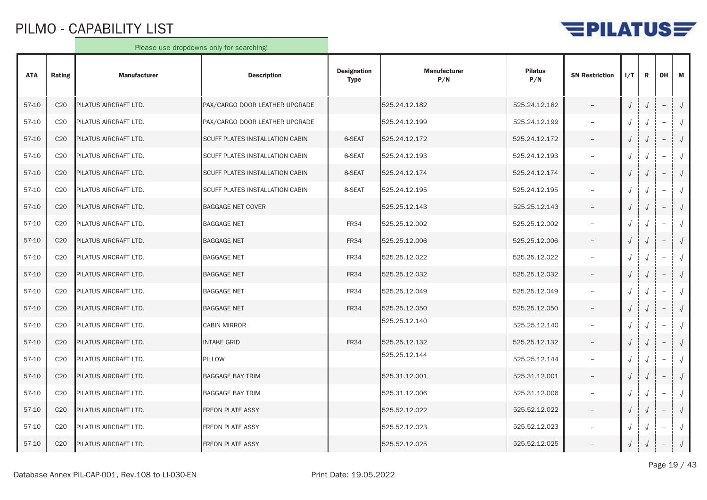

| ATA     | Rating          | <b>Manufacturer</b>   | <b>Description</b>              | <b>Designation</b><br><b>Type</b> | <b>Manufacturer</b><br>P/N | <b>Pilatus</b><br>P/N | <b>SN Restriction</b>    | I/T        | R | OH | M |
|---------|-----------------|-----------------------|---------------------------------|-----------------------------------|----------------------------|-----------------------|--------------------------|------------|---|----|---|
| 57-10   | C20             | PILATUS AIRCRAFT LTD. | PAX/CARGO DOOR LEATHER UPGRADE  |                                   | 525.24.12.182              | 525.24.12.182         | $\overline{\phantom{m}}$ | $\sqrt{2}$ |   |    |   |
| 57-10   | C <sub>20</sub> | PILATUS AIRCRAFT LTD. | PAX/CARGO DOOR LEATHER UPGRADE  |                                   | 525.24.12.199              | 525.24.12.199         |                          | $\sqrt{ }$ |   |    |   |
| $57-10$ | C <sub>20</sub> | PILATUS AIRCRAFT LTD. | SCUFF PLATES INSTALLATION CABIN | 6-SEAT                            | 525.24.12.172              | 525.24.12.172         |                          | $\sqrt{}$  |   |    |   |
| 57-10   | C <sub>20</sub> | PILATUS AIRCRAFT LTD. | SCUFF PLATES INSTALLATION CABIN | 6-SEAT                            | 525.24.12.193              | 525.24.12.193         |                          | $\sqrt{2}$ |   |    |   |
| 57-10   | C <sub>20</sub> | PILATUS AIRCRAFT LTD. | SCUFF PLATES INSTALLATION CABIN | 8-SEAT                            | 525.24.12.174              | 525.24.12.174         |                          |            |   |    |   |
| 57-10   | C <sub>20</sub> | PILATUS AIRCRAFT LTD. | SCUFF PLATES INSTALLATION CABIN | 8-SEAT                            | 525.24.12.195              | 525.24.12.195         | $\overline{\phantom{0}}$ | $\sqrt{2}$ |   |    |   |
| 57-10   | C <sub>20</sub> | PILATUS AIRCRAFT LTD. | <b>BAGGAGE NET COVER</b>        |                                   | 525.25.12.143              | 525.25.12.143         |                          | √          |   |    |   |
| 57-10   | C <sub>20</sub> | PILATUS AIRCRAFT LTD. | <b>BAGGAGE NET</b>              | <b>FR34</b>                       | 525.25.12.002              | 525.25.12.002         |                          | $\sqrt{ }$ |   |    |   |
| 57-10   | C <sub>20</sub> | PILATUS AIRCRAFT LTD. | <b>BAGGAGE NET</b>              | <b>FR34</b>                       | 525.25.12.006              | 525.25.12.006         |                          | $\sqrt{}$  |   |    |   |
| 57-10   | C <sub>20</sub> | PILATUS AIRCRAFT LTD. | <b>BAGGAGE NET</b>              | <b>FR34</b>                       | 525.25.12.022              | 525.25.12.022         |                          | $\sqrt{ }$ |   |    |   |
| 57-10   | C <sub>20</sub> | PILATUS AIRCRAFT LTD. | <b>BAGGAGE NET</b>              | <b>FR34</b>                       | 525.25.12.032              | 525.25.12.032         | $\overline{\phantom{m}}$ |            |   |    |   |
| 57-10   | C <sub>20</sub> | PILATUS AIRCRAFT LTD. | <b>BAGGAGE NET</b>              | <b>FR34</b>                       | 525.25.12.049              | 525.25.12.049         | $\overline{\phantom{0}}$ | $\sqrt{2}$ |   |    |   |
| 57-10   | C <sub>20</sub> | PILATUS AIRCRAFT LTD. | <b>BAGGAGE NET</b>              | <b>FR34</b>                       | 525.25.12.050              | 525.25.12.050         |                          | √          |   |    |   |
| 57-10   | C <sub>20</sub> | PILATUS AIRCRAFT LTD. | <b>CABIN MIRROR</b>             |                                   | 525.25.12.140              | 525.25.12.140         |                          | $\sqrt{ }$ |   |    |   |
| 57-10   | C <sub>20</sub> | PILATUS AIRCRAFT LTD. | <b>INTAKE GRID</b>              | <b>FR34</b>                       | 525.25.12.132              | 525.25.12.132         | $\overline{\phantom{0}}$ |            |   |    |   |
| 57-10   | C <sub>20</sub> | PILATUS AIRCRAFT LTD. | PILLOW                          |                                   | 525.25.12.144              | 525.25.12.144         | $\overline{\phantom{0}}$ |            |   |    |   |
| 57-10   | C <sub>20</sub> | PILATUS AIRCRAFT LTD. | <b>BAGGAGE BAY TRIM</b>         |                                   | 525.31.12.001              | 525.31.12.001         |                          | $\sqrt{}$  |   |    |   |
| 57-10   | C <sub>20</sub> | PILATUS AIRCRAFT LTD. | <b>BAGGAGE BAY TRIM</b>         |                                   | 525.31.12.006              | 525.31.12.006         | $\overline{\phantom{m}}$ | $\sqrt{2}$ |   |    |   |
| 57-10   | C <sub>20</sub> | PILATUS AIRCRAFT LTD. | <b>FREON PLATE ASSY</b>         |                                   | 525.52.12.022              | 525.52.12.022         | $\overline{\phantom{0}}$ | $\sqrt{}$  |   |    |   |
| 57-10   | C <sub>20</sub> | PILATUS AIRCRAFT LTD. | FREON PLATE ASSY                |                                   | 525.52.12.023              | 525.52.12.023         |                          | $\sqrt{2}$ |   |    |   |
| 57-10   | C <sub>20</sub> | PILATUS AIRCRAFT LTD. | <b>FREON PLATE ASSY</b>         |                                   | 525.52.12.025              | 525.52.12.025         |                          | V          |   |    |   |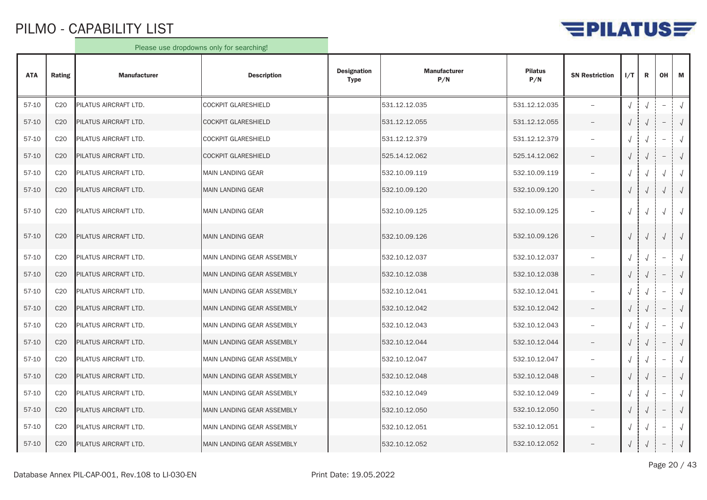

| ATA   | Rating          | <b>Manufacturer</b>   | <b>Description</b>         | <b>Designation</b><br>Type | <b>Manufacturer</b><br>P/N | <b>Pilatus</b><br>P/N | <b>SN Restriction</b>    | I/T        | R | OH | M |
|-------|-----------------|-----------------------|----------------------------|----------------------------|----------------------------|-----------------------|--------------------------|------------|---|----|---|
| 57-10 | C <sub>20</sub> | PILATUS AIRCRAFT LTD. | <b>COCKPIT GLARESHIELD</b> |                            | 531.12.12.035              | 531.12.12.035         | $\overline{\phantom{a}}$ | $\sqrt{ }$ |   |    |   |
| 57-10 | C <sub>20</sub> | PILATUS AIRCRAFT LTD. | <b>COCKPIT GLARESHIELD</b> |                            | 531.12.12.055              | 531.12.12.055         |                          | √          |   |    |   |
| 57-10 | C <sub>20</sub> | PILATUS AIRCRAFT LTD. | <b>COCKPIT GLARESHIELD</b> |                            | 531.12.12.379              | 531.12.12.379         | $\overline{\phantom{m}}$ | J          |   |    |   |
| 57-10 | C <sub>20</sub> | PILATUS AIRCRAFT LTD. | <b>COCKPIT GLARESHIELD</b> |                            | 525.14.12.062              | 525.14.12.062         | $\qquad \qquad -$        | √          |   |    |   |
| 57-10 | C <sub>20</sub> | PILATUS AIRCRAFT LTD. | <b>MAIN LANDING GEAR</b>   |                            | 532.10.09.119              | 532.10.09.119         |                          | $\sqrt{ }$ |   |    |   |
| 57-10 | C <sub>20</sub> | PILATUS AIRCRAFT LTD. | MAIN LANDING GEAR          |                            | 532.10.09.120              | 532.10.09.120         | $\overline{\phantom{m}}$ | $\sqrt{}$  |   |    |   |
| 57-10 | C <sub>20</sub> | PILATUS AIRCRAFT LTD. | <b>MAIN LANDING GEAR</b>   |                            | 532.10.09.125              | 532.10.09.125         | $\qquad \qquad -$        | J          |   |    |   |
| 57-10 | C <sub>20</sub> | PILATUS AIRCRAFT LTD. | <b>MAIN LANDING GEAR</b>   |                            | 532.10.09.126              | 532.10.09.126         |                          | $\sqrt{}$  |   |    |   |
| 57-10 | C <sub>20</sub> | PILATUS AIRCRAFT LTD. | MAIN LANDING GEAR ASSEMBLY |                            | 532.10.12.037              | 532.10.12.037         |                          | J          |   |    |   |
| 57-10 | C <sub>20</sub> | PILATUS AIRCRAFT LTD. | MAIN LANDING GEAR ASSEMBLY |                            | 532.10.12.038              | 532.10.12.038         | $\qquad \qquad -$        |            |   |    |   |
| 57-10 | C <sub>20</sub> | PILATUS AIRCRAFT LTD. | MAIN LANDING GEAR ASSEMBLY |                            | 532.10.12.041              | 532.10.12.041         | $\overline{\phantom{m}}$ | J          |   |    |   |
| 57-10 | C <sub>20</sub> | PILATUS AIRCRAFT LTD. | MAIN LANDING GEAR ASSEMBLY |                            | 532.10.12.042              | 532.10.12.042         |                          | $\sqrt{}$  |   |    |   |
| 57-10 | C <sub>20</sub> | PILATUS AIRCRAFT LTD. | MAIN LANDING GEAR ASSEMBLY |                            | 532.10.12.043              | 532.10.12.043         | $\overline{\phantom{0}}$ | $\sqrt{}$  |   |    |   |
| 57-10 | C <sub>20</sub> | PILATUS AIRCRAFT LTD. | MAIN LANDING GEAR ASSEMBLY |                            | 532.10.12.044              | 532.10.12.044         |                          | √          |   |    |   |
| 57-10 | C <sub>20</sub> | PILATUS AIRCRAFT LTD. | MAIN LANDING GEAR ASSEMBLY |                            | 532.10.12.047              | 532.10.12.047         |                          | $\sqrt{}$  |   |    |   |
| 57-10 | C <sub>20</sub> | PILATUS AIRCRAFT LTD. | MAIN LANDING GEAR ASSEMBLY |                            | 532.10.12.048              | 532.10.12.048         | $\overline{\phantom{m}}$ | $\sqrt{}$  |   |    |   |
| 57-10 | C <sub>20</sub> | PILATUS AIRCRAFT LTD. | MAIN LANDING GEAR ASSEMBLY |                            | 532.10.12.049              | 532.10.12.049         | $\overline{\phantom{0}}$ | $\sqrt{2}$ |   |    |   |
| 57-10 | C <sub>20</sub> | PILATUS AIRCRAFT LTD. | MAIN LANDING GEAR ASSEMBLY |                            | 532.10.12.050              | 532.10.12.050         |                          | $\sqrt{}$  |   |    |   |
| 57-10 | C <sub>20</sub> | PILATUS AIRCRAFT LTD. | MAIN LANDING GEAR ASSEMBLY |                            | 532.10.12.051              | 532.10.12.051         |                          | $\sqrt{ }$ |   |    |   |
| 57-10 | C <sub>20</sub> | PILATUS AIRCRAFT LTD. | MAIN LANDING GEAR ASSEMBLY |                            | 532.10.12.052              | 532.10.12.052         |                          |            |   |    |   |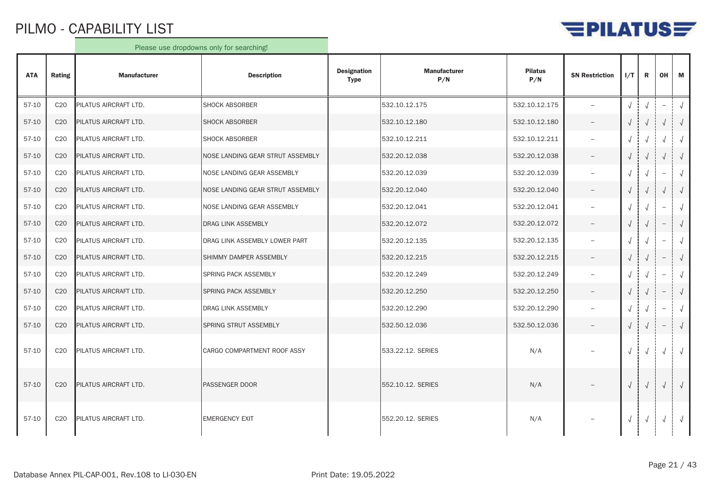

| <b>ATA</b> | Rating          | <b>Manufacturer</b>   | <b>Description</b>               | <b>Designation</b><br><b>Type</b> | <b>Manufacturer</b><br>P/N | <b>Pilatus</b><br>P/N | <b>SN Restriction</b>    | 1/T        | R | OH         | M |
|------------|-----------------|-----------------------|----------------------------------|-----------------------------------|----------------------------|-----------------------|--------------------------|------------|---|------------|---|
| 57-10      | C20             | PILATUS AIRCRAFT LTD. | <b>SHOCK ABSORBER</b>            |                                   | 532.10.12.175              | 532.10.12.175         | $\overline{\phantom{a}}$ | $\sqrt{ }$ |   |            |   |
| 57-10      | C <sub>20</sub> | PILATUS AIRCRAFT LTD. | <b>SHOCK ABSORBER</b>            |                                   | 532.10.12.180              | 532.10.12.180         |                          | $\sqrt{2}$ |   |            |   |
| 57-10      | C <sub>20</sub> | PILATUS AIRCRAFT LTD. | <b>SHOCK ABSORBER</b>            |                                   | 532.10.12.211              | 532.10.12.211         |                          | $\sqrt{2}$ |   |            |   |
| 57-10      | C <sub>20</sub> | PILATUS AIRCRAFT LTD. | NOSE LANDING GEAR STRUT ASSEMBLY |                                   | 532.20.12.038              | 532.20.12.038         |                          | $\sqrt{}$  |   |            |   |
| 57-10      | C20             | PILATUS AIRCRAFT LTD. | NOSE LANDING GEAR ASSEMBLY       |                                   | 532.20.12.039              | 532.20.12.039         |                          | $\sqrt{ }$ |   |            |   |
| 57-10      | C <sub>20</sub> | PILATUS AIRCRAFT LTD. | NOSE LANDING GEAR STRUT ASSEMBLY |                                   | 532.20.12.040              | 532.20.12.040         | $\overline{\phantom{a}}$ | $\sqrt{ }$ |   |            |   |
| 57-10      | C <sub>20</sub> | PILATUS AIRCRAFT LTD. | NOSE LANDING GEAR ASSEMBLY       |                                   | 532.20.12.041              | 532.20.12.041         | $\overline{\phantom{a}}$ | $\sqrt{2}$ |   |            |   |
| 57-10      | C <sub>20</sub> | PILATUS AIRCRAFT LTD. | <b>DRAG LINK ASSEMBLY</b>        |                                   | 532.20.12.072              | 532.20.12.072         |                          | $\sqrt{ }$ |   |            |   |
| 57-10      | C <sub>20</sub> | PILATUS AIRCRAFT LTD. | DRAG LINK ASSEMBLY LOWER PART    |                                   | 532.20.12.135              | 532.20.12.135         |                          | $\sqrt{ }$ |   |            |   |
| 57-10      | C <sub>20</sub> | PILATUS AIRCRAFT LTD. | SHIMMY DAMPER ASSEMBLY           |                                   | 532.20.12.215              | 532.20.12.215         |                          | $\sqrt{ }$ |   |            |   |
| 57-10      | C <sub>20</sub> | PILATUS AIRCRAFT LTD. | SPRING PACK ASSEMBLY             |                                   | 532.20.12.249              | 532.20.12.249         |                          | $\sqrt{2}$ |   |            |   |
| 57-10      | C20             | PILATUS AIRCRAFT LTD. | SPRING PACK ASSEMBLY             |                                   | 532.20.12.250              | 532.20.12.250         | $\overline{\phantom{m}}$ |            |   |            |   |
| 57-10      | C20             | PILATUS AIRCRAFT LTD. | DRAG LINK ASSEMBLY               |                                   | 532.20.12.290              | 532.20.12.290         |                          | $\sqrt{2}$ |   |            |   |
| 57-10      | C <sub>20</sub> | PILATUS AIRCRAFT LTD. | <b>SPRING STRUT ASSEMBLY</b>     |                                   | 532.50.12.036              | 532.50.12.036         |                          | $\sqrt{}$  |   |            |   |
| 57-10      | C <sub>20</sub> | PILATUS AIRCRAFT LTD. | CARGO COMPARTMENT ROOF ASSY      |                                   | 533.22.12. SERIES          | N/A                   |                          | $\sqrt{2}$ |   |            |   |
| 57-10      | C <sub>20</sub> | PILATUS AIRCRAFT LTD. | <b>PASSENGER DOOR</b>            |                                   | 552.10.12. SERIES          | N/A                   |                          | $\sqrt{ }$ |   | $\sqrt{ }$ |   |
| 57-10      | C <sub>20</sub> | PILATUS AIRCRAFT LTD. | <b>EMERGENCY EXIT</b>            |                                   | 552.20.12. SERIES          | N/A                   |                          | $\sqrt{ }$ |   |            |   |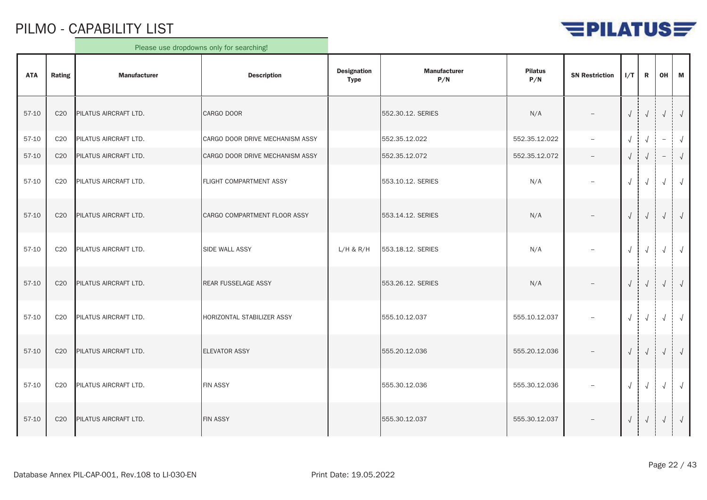

| <b>ATA</b> | <b>Rating</b>   | <b>Manufacturer</b>          | <b>Description</b>              | <b>Designation</b><br><b>Type</b> | <b>Manufacturer</b><br>P/N | <b>Pilatus</b><br>P/N | <b>SN Restriction</b>    | I/T        | $\mathbf R$ |            | OH M                 |
|------------|-----------------|------------------------------|---------------------------------|-----------------------------------|----------------------------|-----------------------|--------------------------|------------|-------------|------------|----------------------|
| 57-10      | C20             | PILATUS AIRCRAFT LTD.        | CARGO DOOR                      |                                   | 552.30.12. SERIES          | N/A                   |                          | $\sqrt{ }$ |             |            | $\sqrt{ }$           |
| 57-10      | C <sub>20</sub> | PILATUS AIRCRAFT LTD.        | CARGO DOOR DRIVE MECHANISM ASSY |                                   | 552.35.12.022              | 552.35.12.022         | $\overline{\phantom{0}}$ | $\sqrt{ }$ |             |            | $\sqrt{2}$           |
| 57-10      | C20             | PILATUS AIRCRAFT LTD.        | CARGO DOOR DRIVE MECHANISM ASSY |                                   | 552.35.12.072              | 552.35.12.072         |                          | $\sqrt{2}$ |             |            | $\sqrt{\phantom{a}}$ |
| 57-10      | C <sub>20</sub> | <b>PILATUS AIRCRAFT LTD.</b> | FLIGHT COMPARTMENT ASSY         |                                   | 553.10.12. SERIES          | N/A                   |                          | $\sqrt{ }$ | $\sqrt{ }$  | $\sqrt{ }$ | $\sqrt{ }$           |
| 57-10      | C20             | PILATUS AIRCRAFT LTD.        | CARGO COMPARTMENT FLOOR ASSY    |                                   | 553.14.12. SERIES          | N/A                   |                          | $\sqrt{2}$ | $\sqrt{ }$  |            | $\sqrt{ }$           |
| 57-10      | C <sub>20</sub> | <b>PILATUS AIRCRAFT LTD.</b> | SIDE WALL ASSY                  | L/H & R/H                         | 553.18.12. SERIES          | N/A                   |                          | $\sqrt{ }$ |             |            | $\sqrt{ }$           |
| $57-10$    | C <sub>20</sub> | PILATUS AIRCRAFT LTD.        | <b>REAR FUSSELAGE ASSY</b>      |                                   | 553.26.12. SERIES          | N/A                   |                          | $\sqrt{ }$ | $\sqrt{ }$  | $\sqrt{2}$ | $\sqrt{ }$           |
| $57-10$    | C20             | PILATUS AIRCRAFT LTD.        | HORIZONTAL STABILIZER ASSY      |                                   | 555.10.12.037              | 555.10.12.037         |                          | $\sqrt{ }$ | $\sqrt{ }$  |            | $\sqrt{ }$           |
| 57-10      | C <sub>20</sub> | PILATUS AIRCRAFT LTD.        | <b>ELEVATOR ASSY</b>            |                                   | 555.20.12.036              | 555.20.12.036         |                          | $\sqrt{ }$ | $\sqrt{ }$  | $\sqrt{ }$ | $\sqrt{ }$           |
| 57-10      | C <sub>20</sub> | PILATUS AIRCRAFT LTD.        | <b>FIN ASSY</b>                 |                                   | 555.30.12.036              | 555.30.12.036         |                          | $\sqrt{ }$ | $\sqrt{ }$  |            | $\sqrt{ }$           |
| 57-10      | C20             | PILATUS AIRCRAFT LTD.        | <b>FIN ASSY</b>                 |                                   | 555.30.12.037              | 555.30.12.037         |                          | $\sqrt{ }$ | $\sqrt{ }$  |            | $\sqrt{ }$           |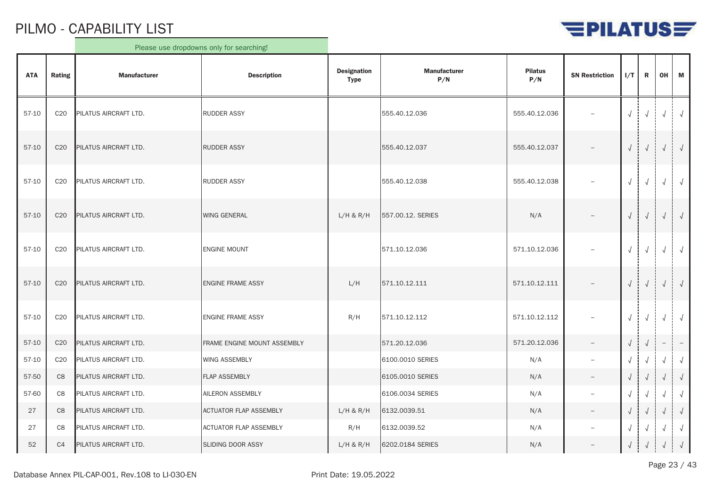

| <b>ATA</b> | Rating          | <b>Manufacturer</b>   | <b>Description</b>            | <b>Designation</b><br><b>Type</b> | <b>Manufacturer</b><br>P/N | <b>Pilatus</b><br>P/N | <b>SN Restriction</b>    | I/T        | R          | OH I       | M                    |
|------------|-----------------|-----------------------|-------------------------------|-----------------------------------|----------------------------|-----------------------|--------------------------|------------|------------|------------|----------------------|
| 57-10      | C <sub>20</sub> | PILATUS AIRCRAFT LTD. | RUDDER ASSY                   |                                   | 555.40.12.036              | 555.40.12.036         |                          | $\sqrt{2}$ | $\sqrt{ }$ | $\sqrt{1}$ | $\sqrt{ }$           |
| 57-10      | C <sub>20</sub> | PILATUS AIRCRAFT LTD. | RUDDER ASSY                   |                                   | 555.40.12.037              | 555.40.12.037         |                          |            |            |            | $\sqrt{ }$           |
| 57-10      | C <sub>20</sub> | PILATUS AIRCRAFT LTD. | <b>RUDDER ASSY</b>            |                                   | 555.40.12.038              | 555.40.12.038         |                          | $\sqrt{ }$ |            |            | $\sqrt{ }$           |
| 57-10      | C20             | PILATUS AIRCRAFT LTD. | WING GENERAL                  | L/H & R/H                         | 557.00.12. SERIES          | N/A                   |                          |            |            |            | $\sqrt{ }$           |
| 57-10      | C <sub>20</sub> | PILATUS AIRCRAFT LTD. | ENGINE MOUNT                  |                                   | 571.10.12.036              | 571.10.12.036         |                          | $\sqrt{ }$ | $\sqrt{ }$ | -1         | $\sqrt{ }$           |
| $57-10$    | C <sub>20</sub> | PILATUS AIRCRAFT LTD. | <b>ENGINE FRAME ASSY</b>      | L/H                               | 571.10.12.111              | 571.10.12.111         |                          | $\sqrt{ }$ |            |            | $\sqrt{ }$           |
| 57-10      | C <sub>20</sub> | PILATUS AIRCRAFT LTD. | ENGINE FRAME ASSY             | R/H                               | 571.10.12.112              | 571.10.12.112         |                          |            |            |            | $\sqrt{ }$           |
| 57-10      | C20             | PILATUS AIRCRAFT LTD. | FRAME ENGINE MOUNT ASSEMBLY   |                                   | 571.20.12.036              | 571.20.12.036         |                          | $\sqrt{ }$ |            |            |                      |
| 57-10      | C <sub>20</sub> | PILATUS AIRCRAFT LTD. | WING ASSEMBLY                 |                                   | 6100.0010 SERIES           | N/A                   | $\overline{\phantom{0}}$ |            |            |            | $\sqrt{ }$           |
| 57-50      | C8              | PILATUS AIRCRAFT LTD. | <b>FLAP ASSEMBLY</b>          |                                   | 6105.0010 SERIES           | N/A                   | $\qquad \qquad -$        | $\sqrt{ }$ |            |            | $\sqrt{ }$           |
| 57-60      | C8              | PILATUS AIRCRAFT LTD. | AILERON ASSEMBLY              |                                   | 6106.0034 SERIES           | N/A                   | $\overline{\phantom{0}}$ | $\sqrt{ }$ |            |            | $\sqrt{2}$           |
| 27         | C8              | PILATUS AIRCRAFT LTD. | <b>ACTUATOR FLAP ASSEMBLY</b> | L/H & R/H                         | 6132.0039.51               | N/A                   | $\qquad \qquad -$        | $\sqrt{ }$ |            |            | $\sqrt{2}$           |
| 27         | C8              | PILATUS AIRCRAFT LTD. | ACTUATOR FLAP ASSEMBLY        | R/H                               | 6132.0039.52               | N/A                   |                          | $\sqrt{2}$ |            |            | $\sqrt{ }$           |
| 52         | C <sub>4</sub>  | PILATUS AIRCRAFT LTD. | SLIDING DOOR ASSY             | L/H & R/H                         | 6202.0184 SERIES           | N/A                   |                          | $\sqrt{ }$ |            |            | $\sqrt{\phantom{a}}$ |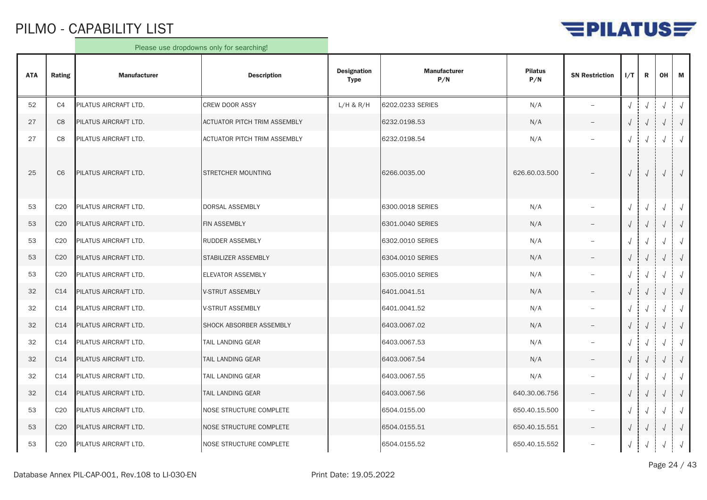

| <b>ATA</b> | Rating          | <b>Manufacturer</b>   | <b>Description</b>                  | <b>Designation</b><br><b>Type</b> | <b>Manufacturer</b><br>P/N | <b>Pilatus</b><br>P/N | <b>SN Restriction</b>    | I/T                  | R | OH         | M          |
|------------|-----------------|-----------------------|-------------------------------------|-----------------------------------|----------------------------|-----------------------|--------------------------|----------------------|---|------------|------------|
| 52         | C4              | PILATUS AIRCRAFT LTD. | CREW DOOR ASSY                      | L/H & R/H                         | 6202.0233 SERIES           | N/A                   | $\overline{\phantom{a}}$ | $\sqrt{\phantom{a}}$ |   |            |            |
| 27         | C8              | PILATUS AIRCRAFT LTD. | ACTUATOR PITCH TRIM ASSEMBLY        |                                   | 6232.0198.53               | N/A                   |                          | $\sqrt{}$            |   |            |            |
| 27         | C8              | PILATUS AIRCRAFT LTD. | <b>ACTUATOR PITCH TRIM ASSEMBLY</b> |                                   | 6232.0198.54               | N/A                   | $\overline{\phantom{0}}$ | $\sqrt{2}$           |   | V          | $\sqrt{ }$ |
| 25         | C <sub>6</sub>  | PILATUS AIRCRAFT LTD. | STRETCHER MOUNTING                  |                                   | 6266.0035.00               | 626.60.03.500         |                          | $\sqrt{2}$           |   |            |            |
| 53         | C <sub>20</sub> | PILATUS AIRCRAFT LTD. | DORSAL ASSEMBLY                     |                                   | 6300.0018 SERIES           | N/A                   |                          | $\sqrt{ }$           |   |            |            |
| 53         | C <sub>20</sub> | PILATUS AIRCRAFT LTD. | <b>FIN ASSEMBLY</b>                 |                                   | 6301.0040 SERIES           | N/A                   |                          | $\sqrt{2}$           |   |            |            |
| 53         | C20             | PILATUS AIRCRAFT LTD. | RUDDER ASSEMBLY                     |                                   | 6302.0010 SERIES           | N/A                   |                          | $\sqrt{ }$           |   | $\sqrt{ }$ |            |
| 53         | C <sub>20</sub> | PILATUS AIRCRAFT LTD. | STABILIZER ASSEMBLY                 |                                   | 6304.0010 SERIES           | N/A                   |                          | √                    |   |            |            |
| 53         | C20             | PILATUS AIRCRAFT LTD. | ELEVATOR ASSEMBLY                   |                                   | 6305.0010 SERIES           | N/A                   | $\overline{\phantom{0}}$ | $\sqrt{ }$           |   |            |            |
| 32         | C14             | PILATUS AIRCRAFT LTD. | V-STRUT ASSEMBLY                    |                                   | 6401.0041.51               | N/A                   |                          | $\sqrt{}$            |   |            |            |
| 32         | C14             | PILATUS AIRCRAFT LTD. | V-STRUT ASSEMBLY                    |                                   | 6401.0041.52               | N/A                   | $\overline{\phantom{m}}$ | $\sqrt{ }$           |   |            |            |
| 32         | C14             | PILATUS AIRCRAFT LTD. | SHOCK ABSORBER ASSEMBLY             |                                   | 6403.0067.02               | N/A                   |                          | $\sqrt{}$            |   |            |            |
| 32         | C14             | PILATUS AIRCRAFT LTD. | TAIL LANDING GEAR                   |                                   | 6403.0067.53               | N/A                   |                          | $\sqrt{}$            |   |            |            |
| 32         | C14             | PILATUS AIRCRAFT LTD. | TAIL LANDING GEAR                   |                                   | 6403.0067.54               | N/A                   | $\overline{\phantom{m}}$ | $\sqrt{}$            |   |            |            |
| 32         | C14             | PILATUS AIRCRAFT LTD. | TAIL LANDING GEAR                   |                                   | 6403.0067.55               | N/A                   | $\overline{\phantom{0}}$ | $\sqrt{ }$           |   |            |            |
| 32         | C14             | PILATUS AIRCRAFT LTD. | TAIL LANDING GEAR                   |                                   | 6403.0067.56               | 640.30.06.756         |                          | $\sqrt{2}$           |   |            |            |
| 53         | C <sub>20</sub> | PILATUS AIRCRAFT LTD. | NOSE STRUCTURE COMPLETE             |                                   | 6504.0155.00               | 650.40.15.500         |                          | $\sqrt{2}$           |   |            |            |
| 53         | C <sub>20</sub> | PILATUS AIRCRAFT LTD. | NOSE STRUCTURE COMPLETE             |                                   | 6504.0155.51               | 650.40.15.551         |                          | $\sqrt{2}$           |   |            |            |
| 53         | C20             | PILATUS AIRCRAFT LTD. | NOSE STRUCTURE COMPLETE             |                                   | 6504.0155.52               | 650.40.15.552         | $\overline{\phantom{0}}$ | $\sqrt{ }$           |   |            |            |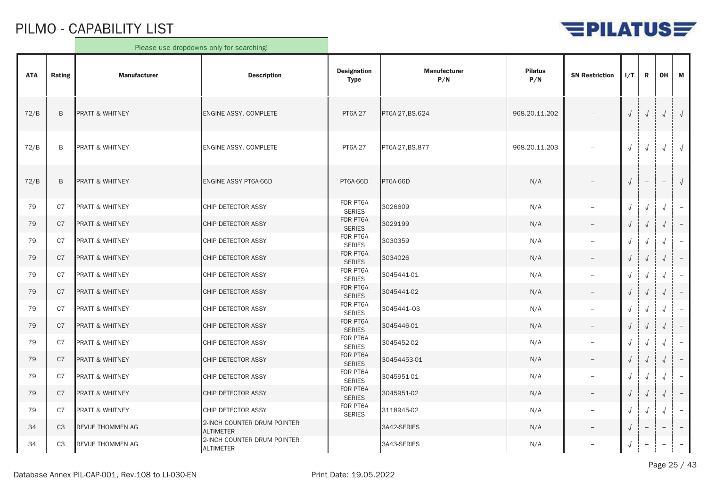

| <b>ATA</b> | Rating         | <b>Manufacturer</b>        | <b>Description</b>                              | <b>Designation</b><br><b>Type</b> | <b>Manufacturer</b><br>P/N | <b>Pilatus</b><br>P/N | <b>SN Restriction</b>    | I/T        | R          |            | OH   M                   |
|------------|----------------|----------------------------|-------------------------------------------------|-----------------------------------|----------------------------|-----------------------|--------------------------|------------|------------|------------|--------------------------|
| 72/B       | B              | <b>PRATT &amp; WHITNEY</b> | ENGINE ASSY, COMPLETE                           | PT6A-27                           | PT6A-27, BS.624            | 968.20.11.202         |                          | $\sqrt{2}$ | $\sqrt{ }$ | $\sqrt{ }$ | $\frac{1}{2}$            |
| 72/B       | B              | <b>PRATT &amp; WHITNEY</b> | ENGINE ASSY, COMPLETE                           | PT6A-27                           | PT6A-27, BS.877            | 968.20.11.203         |                          | $\sqrt{ }$ |            |            | $\sqrt{ }$               |
| 72/B       | B              | <b>PRATT &amp; WHITNEY</b> | ENGINE ASSY PT6A-66D                            | <b>PT6A-66D</b>                   | <b>PT6A-66D</b>            | N/A                   |                          |            |            |            | $\sqrt{ }$               |
| 79         | C7             | PRATT & WHITNEY            | CHIP DETECTOR ASSY                              | FOR PT6A<br><b>SERIES</b>         | 3026609                    | N/A                   | $\qquad \qquad -$        |            |            |            |                          |
| 79         | C7             | <b>PRATT &amp; WHITNEY</b> | CHIP DETECTOR ASSY                              | FOR PT6A<br><b>SERIES</b>         | 3029199                    | N/A                   |                          |            |            |            |                          |
| 79         | C7             | <b>PRATT &amp; WHITNEY</b> | CHIP DETECTOR ASSY                              | FOR PT6A<br><b>SERIES</b>         | 3030359                    | N/A                   |                          |            |            |            |                          |
| 79         | C7             | <b>PRATT &amp; WHITNEY</b> | CHIP DETECTOR ASSY                              | FOR PT6A<br><b>SERIES</b>         | 3034026                    | N/A                   |                          | $\sqrt{2}$ |            |            |                          |
| 79         | C7             | <b>PRATT &amp; WHITNEY</b> | CHIP DETECTOR ASSY                              | FOR PT6A<br><b>SERIES</b>         | 3045441-01                 | N/A                   |                          |            |            |            |                          |
| 79         | C7             | <b>PRATT &amp; WHITNEY</b> | CHIP DETECTOR ASSY                              | FOR PT6A<br><b>SERIES</b>         | 3045441-02                 | N/A                   | $\overline{\phantom{m}}$ |            |            |            |                          |
| 79         | C7             | <b>PRATT &amp; WHITNEY</b> | CHIP DETECTOR ASSY                              | FOR PT6A<br><b>SERIES</b>         | 3045441-03                 | N/A                   | $\overline{\phantom{m}}$ | $\sqrt{ }$ |            |            |                          |
| 79         | C <sub>7</sub> | <b>PRATT &amp; WHITNEY</b> | CHIP DETECTOR ASSY                              | FOR PT6A<br><b>SERIES</b>         | 3045446-01                 | N/A                   |                          |            |            |            |                          |
| 79         | C <sub>7</sub> | <b>PRATT &amp; WHITNEY</b> | CHIP DETECTOR ASSY                              | FOR PT6A<br><b>SERIES</b>         | 3045452-02                 | N/A                   | $\qquad \qquad -$        | $\sqrt{2}$ |            |            |                          |
| 79         | C7             | <b>PRATT &amp; WHITNEY</b> | CHIP DETECTOR ASSY                              | FOR PT6A<br><b>SERIES</b>         | 30454453-01                | N/A                   |                          | $\sqrt{ }$ |            |            |                          |
| 79         | C7             | <b>PRATT &amp; WHITNEY</b> | CHIP DETECTOR ASSY                              | FOR PT6A<br><b>SERIES</b>         | 3045951-01                 | N/A                   |                          |            |            |            |                          |
| 79         | C7             | <b>PRATT &amp; WHITNEY</b> | CHIP DETECTOR ASSY                              | FOR PT6A<br><b>SERIES</b>         | 3045951-02                 | N/A                   | $\overline{\phantom{m}}$ |            |            |            | $-$                      |
| 79         | C7             | <b>PRATT &amp; WHITNEY</b> | CHIP DETECTOR ASSY                              | FOR PT6A<br><b>SERIES</b>         | 3118945-02                 | N/A                   | $\overline{\phantom{0}}$ |            |            |            | $\overline{\phantom{a}}$ |
| 34         | C <sub>3</sub> | REVUE THOMMEN AG           | 2-INCH COUNTER DRUM POINTER<br><b>ALTIMETER</b> |                                   | 3A42-SERIES                | N/A                   |                          |            |            |            |                          |
| 34         | C <sub>3</sub> | <b>REVUE THOMMEN AG</b>    | 2-INCH COUNTER DRUM POINTER<br><b>ALTIMETER</b> |                                   | 3A43-SERIES                | N/A                   |                          |            |            |            |                          |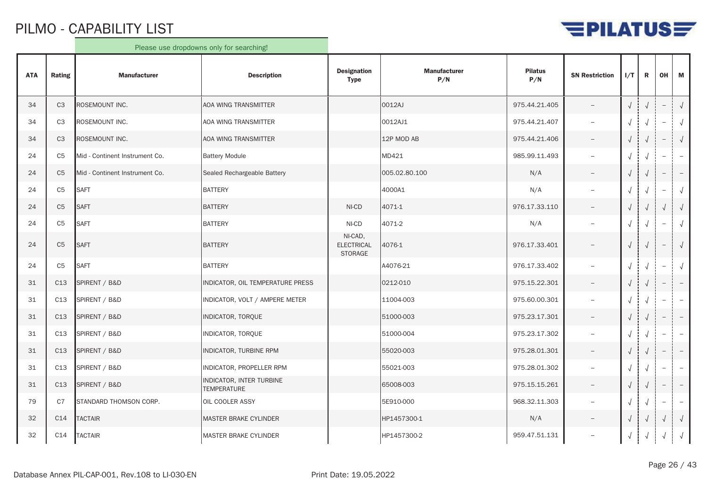

| <b>ATA</b> | Rating         | <b>Manufacturer</b>            | <b>Description</b>                             | <b>Designation</b><br><b>Type</b>       | <b>Manufacturer</b><br>P/N | <b>Pilatus</b><br>P/N | <b>SN Restriction</b>    | I/T                  | R | OH | M          |
|------------|----------------|--------------------------------|------------------------------------------------|-----------------------------------------|----------------------------|-----------------------|--------------------------|----------------------|---|----|------------|
| 34         | C3             | ROSEMOUNT INC.                 | AOA WING TRANSMITTER                           |                                         | 0012AJ                     | 975.44.21.405         | $\overline{\phantom{0}}$ | $\sqrt{ }$           |   |    | $\sqrt{ }$ |
| 34         | C <sub>3</sub> | ROSEMOUNT INC.                 | AOA WING TRANSMITTER                           |                                         | 0012AJ1                    | 975.44.21.407         |                          | $\sqrt{2}$           |   |    | $\sqrt{ }$ |
| 34         | C <sub>3</sub> | ROSEMOUNT INC.                 | AOA WING TRANSMITTER                           |                                         | 12P MOD AB                 | 975.44.21.406         |                          | $\sqrt{ }$           |   |    |            |
| 24         | C <sub>5</sub> | Mid - Continent Instrument Co. | <b>Battery Module</b>                          |                                         | MD421                      | 985.99.11.493         | $\overline{\phantom{0}}$ | $\sqrt{2}$           |   |    |            |
| 24         | C <sub>5</sub> | Mid - Continent Instrument Co. | Sealed Rechargeable Battery                    |                                         | 005.02.80.100              | N/A                   |                          | √                    |   |    |            |
| 24         | C <sub>5</sub> | <b>SAFT</b>                    | <b>BATTERY</b>                                 |                                         | 4000A1                     | N/A                   |                          | $\sqrt{ }$           |   |    | $\sqrt{ }$ |
| 24         | C <sub>5</sub> | <b>SAFT</b>                    | <b>BATTERY</b>                                 | NI-CD                                   | 4071-1                     | 976.17.33.110         |                          | $\sqrt{ }$           |   |    |            |
| 24         | C <sub>5</sub> | <b>SAFT</b>                    | <b>BATTERY</b>                                 | NI-CD                                   | 4071-2                     | N/A                   | $\overline{\phantom{0}}$ | $\sqrt{2}$           |   |    |            |
| 24         | C <sub>5</sub> | <b>SAFT</b>                    | <b>BATTERY</b>                                 | NI-CAD,<br><b>ELECTRICAL</b><br>STORAGE | 4076-1                     | 976.17.33.401         | $\qquad \qquad -$        | √                    |   |    | $\sqrt{ }$ |
| 24         | C <sub>5</sub> | <b>SAFT</b>                    | <b>BATTERY</b>                                 |                                         | A4076-21                   | 976.17.33.402         | $\overline{\phantom{m}}$ | $\sqrt{ }$           |   |    | $\sqrt{ }$ |
| 31         | C13            | SPIRENT / B&D                  | INDICATOR, OIL TEMPERATURE PRESS               |                                         | 0212-010                   | 975.15.22.301         |                          | $\sqrt{}$            |   |    |            |
| 31         | C13            | SPIRENT / B&D                  | INDICATOR, VOLT / AMPERE METER                 |                                         | 11004-003                  | 975.60.00.301         |                          | $\sqrt{2}$           |   |    |            |
| 31         | C13            | SPIRENT / B&D                  | INDICATOR, TORQUE                              |                                         | 51000-003                  | 975.23.17.301         |                          | $\sqrt{}$            |   |    |            |
| 31         | C13            | SPIRENT / B&D                  | INDICATOR, TORQUE                              |                                         | 51000-004                  | 975.23.17.302         | $\overline{\phantom{m}}$ | $\sqrt{}$            |   |    |            |
| 31         | C13            | SPIRENT / B&D                  | INDICATOR, TURBINE RPM                         |                                         | 55020-003                  | 975.28.01.301         |                          | $\sqrt{2}$           |   |    |            |
| 31         | C13            | SPIRENT / B&D                  | INDICATOR, PROPELLER RPM                       |                                         | 55021-003                  | 975.28.01.302         |                          | $\sqrt{2}$           |   |    |            |
| 31         | C13            | SPIRENT / B&D                  | INDICATOR, INTER TURBINE<br><b>TEMPERATURE</b> |                                         | 65008-003                  | 975.15.15.261         | $\qquad \qquad -$        | $\sqrt{2}$           |   |    |            |
| 79         | C7             | STANDARD THOMSON CORP.         | <b>OIL COOLER ASSY</b>                         |                                         | 5E910-000                  | 968.32.11.303         |                          | $\sqrt{ }$           |   |    |            |
| 32         | C14            | <b>TACTAIR</b>                 | <b>MASTER BRAKE CYLINDER</b>                   |                                         | HP1457300-1                | N/A                   | $\overline{\phantom{m}}$ | $\sqrt{ }$           |   |    |            |
| 32         | C14            | <b>TACTAIR</b>                 | MASTER BRAKE CYLINDER                          |                                         | HP1457300-2                | 959.47.51.131         | $\overline{\phantom{0}}$ | $\sqrt{\phantom{a}}$ |   |    |            |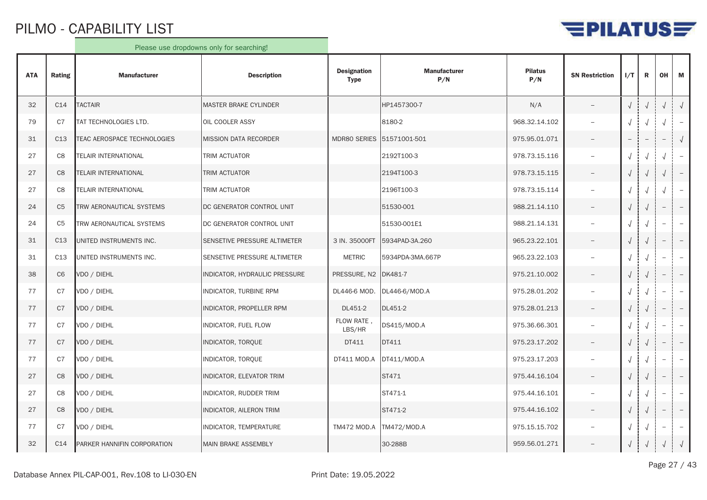

| <b>ATA</b> | <b>Rating</b>   | <b>Manufacturer</b>         | <b>Description</b>                  | <b>Designation</b><br>Type | <b>Manufacturer</b><br>P/N | <b>Pilatus</b><br>P/N | <b>SN Restriction</b>    | I/T                  | R          | OH | M          |
|------------|-----------------|-----------------------------|-------------------------------------|----------------------------|----------------------------|-----------------------|--------------------------|----------------------|------------|----|------------|
| 32         | C <sub>14</sub> | <b>TACTAIR</b>              | <b>MASTER BRAKE CYLINDER</b>        |                            | HP1457300-7                | N/A                   | $\overline{\phantom{m}}$ | $\sqrt{\phantom{a}}$ |            |    |            |
| 79         | C <sub>7</sub>  | TAT TECHNOLOGIES LTD.       | OIL COOLER ASSY                     |                            | 8180-2                     | 968.32.14.102         |                          | $\sqrt{2}$           |            |    |            |
| 31         | C <sub>13</sub> | TEAC AEROSPACE TECHNOLOGIES | MISSION DATA RECORDER               | MDR80 SERIES 51571001-501  |                            | 975.95.01.071         |                          |                      |            |    | $\sqrt{ }$ |
| 27         | C8              | <b>TELAIR INTERNATIONAL</b> | TRIM ACTUATOR                       |                            | 2192T100-3                 | 978.73.15.116         |                          | $\sqrt{2}$           | $\sqrt{ }$ |    |            |
| 27         | C8              | <b>TELAIR INTERNATIONAL</b> | <b>TRIM ACTUATOR</b>                |                            | 2194T100-3                 | 978.73.15.115         | $\overline{\phantom{a}}$ | $\sqrt{2}$           |            |    |            |
| 27         | C <sub>8</sub>  | TELAIR INTERNATIONAL        | TRIM ACTUATOR                       |                            | 2196T100-3                 | 978.73.15.114         | $\overline{\phantom{m}}$ |                      |            |    |            |
| 24         | C <sub>5</sub>  | TRW AERONAUTICAL SYSTEMS    | DC GENERATOR CONTROL UNIT           |                            | 51530-001                  | 988.21.14.110         |                          | $\sqrt{}$            |            |    |            |
| 24         | C <sub>5</sub>  | TRW AERONAUTICAL SYSTEMS    | DC GENERATOR CONTROL UNIT           |                            | 51530-001E1                | 988.21.14.131         | $\equiv$                 | $\sqrt{ }$           |            |    |            |
| 31         | C13             | UNITED INSTRUMENTS INC.     | <b>SENSETIVE PRESSURE ALTIMETER</b> | 3 IN. 35000FT              | 5934PAD-3A.260             | 965.23.22.101         |                          | $\sqrt{}$            |            |    |            |
| 31         | C <sub>13</sub> | UNITED INSTRUMENTS INC.     | SENSETIVE PRESSURE ALTIMETER        | <b>METRIC</b>              | 5934PDA-3MA.667P           | 965.23.22.103         |                          | $\sqrt{2}$           |            |    |            |
| 38         | C6              | VDO / DIEHL                 | INDICATOR, HYDRAULIC PRESSURE       | PRESSURE, N2               | DK481-7                    | 975.21.10.002         | $\overline{\phantom{m}}$ | $\sqrt{2}$           |            |    |            |
| 77         | C <sub>7</sub>  | VDO / DIEHL                 | INDICATOR, TURBINE RPM              | DL446-6 MOD.               | DL446-6/MOD.A              | 975.28.01.202         | $\overline{\phantom{m}}$ | $\sqrt{2}$           |            |    |            |
| 77         | C7              | VDO / DIEHL                 | INDICATOR, PROPELLER RPM            | DL451-2                    | DL451-2                    | 975.28.01.213         |                          | $\sqrt{}$            |            |    |            |
| 77         | C7              | VDO / DIEHL                 | INDICATOR, FUEL FLOW                | FLOW RATE<br>LBS/HR        | DS415/MOD.A                | 975.36.66.301         |                          | $\sqrt{ }$           |            |    |            |
| 77         | C7              | VDO / DIEHL                 | INDICATOR, TORQUE                   | DT411                      | DT411                      | 975.23.17.202         | $\overline{\phantom{a}}$ | √                    |            |    |            |
| 77         | C <sub>7</sub>  | VDO / DIEHL                 | INDICATOR, TORQUE                   | DT411 MOD.A                | DT411/MOD.A                | 975.23.17.203         | $\overline{\phantom{0}}$ |                      |            |    |            |
| 27         | C8              | VDO / DIEHL                 | INDICATOR, ELEVATOR TRIM            |                            | ST471                      | 975.44.16.104         |                          | √                    |            |    |            |
| 27         | C8              | VDO / DIEHL                 | INDICATOR, RUDDER TRIM              |                            | ST471-1                    | 975.44.16.101         |                          | $\sqrt{2}$           |            |    |            |
| 27         | C8              | VDO / DIEHL                 | INDICATOR, AILERON TRIM             |                            | ST471-2                    | 975.44.16.102         |                          | $\sqrt{}$            |            |    |            |
| 77         | C <sub>7</sub>  | VDO / DIEHL                 | INDICATOR, TEMPERATURE              | <b>TM472 MOD.A</b>         | TM472/MOD.A                | 975.15.15.702         |                          | $\sqrt{ }$           |            |    |            |
| 32         | C <sub>14</sub> | PARKER HANNIFIN CORPORATION | <b>MAIN BRAKE ASSEMBLY</b>          |                            | 30-288B                    | 959.56.01.271         |                          | $\sqrt{ }$           |            |    |            |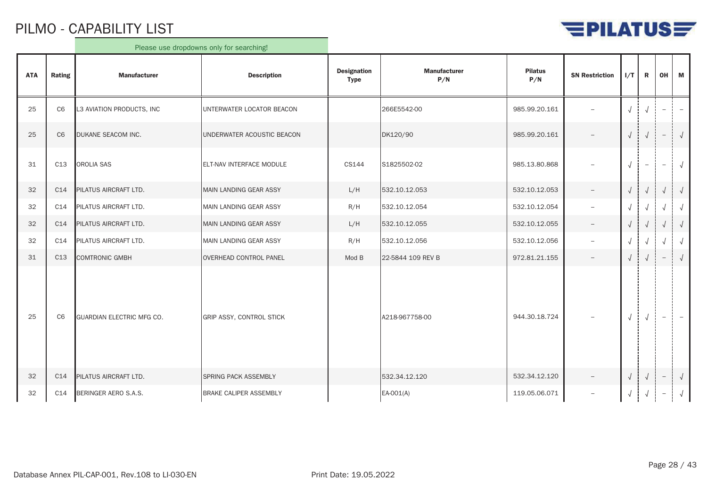

| <b>ATA</b> | Rating          | <b>Manufacturer</b>       | <b>Description</b>              | <b>Designation</b><br><b>Type</b> | <b>Manufacturer</b><br>P/N | <b>Pilatus</b><br>P/N | <b>SN Restriction</b>    | I/T        | R          | OH         | M          |
|------------|-----------------|---------------------------|---------------------------------|-----------------------------------|----------------------------|-----------------------|--------------------------|------------|------------|------------|------------|
| 25         | C6              | L3 AVIATION PRODUCTS, INC | UNTERWATER LOCATOR BEACON       |                                   | 266E5542-00                | 985.99.20.161         | $\overline{\phantom{0}}$ | $\sqrt{ }$ |            |            |            |
| 25         | C6              | DUKANE SEACOM INC.        | UNDERWATER ACOUSTIC BEACON      |                                   | DK120/90                   | 985.99.20.161         | $\overline{\phantom{m}}$ | $\sqrt{ }$ | $\sqrt{ }$ |            | $\sqrt{ }$ |
| 31         | C13             | OROLIA SAS                | ELT-NAV INTERFACE MODULE        | CS144                             | S1825502-02                | 985.13.80.868         |                          | $\sqrt{2}$ |            |            | $\sqrt{ }$ |
| 32         | C14             | PILATUS AIRCRAFT LTD.     | MAIN LANDING GEAR ASSY          | L/H                               | 532.10.12.053              | 532.10.12.053         | $\overline{\phantom{a}}$ | $\sqrt{ }$ |            |            | $\sqrt{ }$ |
| 32         | C14             | PILATUS AIRCRAFT LTD.     | MAIN LANDING GEAR ASSY          | R/H                               | 532.10.12.054              | 532.10.12.054         |                          | $\sqrt{ }$ |            |            |            |
| 32         | C14             | PILATUS AIRCRAFT LTD.     | MAIN LANDING GEAR ASSY          | L/H                               | 532.10.12.055              | 532.10.12.055         |                          | $\sqrt{ }$ |            |            | √          |
| 32         | C14             | PILATUS AIRCRAFT LTD.     | MAIN LANDING GEAR ASSY          | R/H                               | 532.10.12.056              | 532.10.12.056         | $\overline{\phantom{m}}$ | $\sqrt{ }$ |            | $\sqrt{ }$ | $\sqrt{ }$ |
| 31         | C <sub>13</sub> | <b>COMTRONIC GMBH</b>     | OVERHEAD CONTROL PANEL          | Mod B                             | 22-5844 109 REV B          | 972.81.21.155         | $\overline{\phantom{0}}$ | $\sqrt{ }$ |            |            | $\sqrt{ }$ |
| 25         | C <sub>6</sub>  | GUARDIAN ELECTRIC MFG CO. | <b>GRIP ASSY, CONTROL STICK</b> |                                   | A218-967758-00             | 944.30.18.724         |                          | $\sqrt{ }$ |            |            |            |
| 32         | C14             | PILATUS AIRCRAFT LTD.     | SPRING PACK ASSEMBLY            |                                   | 532.34.12.120              | 532.34.12.120         | $\overline{\phantom{m}}$ | $\sqrt{ }$ | $\sqrt{ }$ |            | $\sqrt{ }$ |
| 32         | C14             | BERINGER AERO S.A.S.      | <b>BRAKE CALIPER ASSEMBLY</b>   |                                   | $EA-OO1(A)$                | 119.05.06.071         |                          | $\sqrt{ }$ |            |            | √          |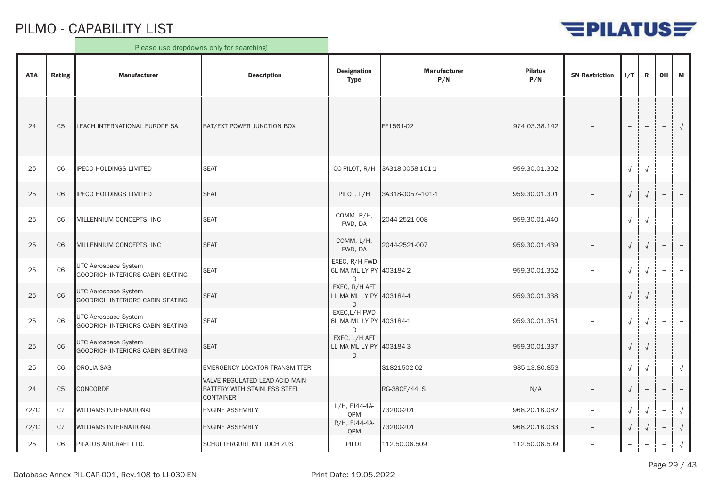

| ATA  | Rating         | <b>Manufacturer</b>                                             | <b>Description</b>                                                                 | <b>Designation</b><br><b>Type</b>             | <b>Manufacturer</b><br>P/N | <b>Pilatus</b><br>P/N | <b>SN Restriction</b> | I/T        | R | OH M |            |
|------|----------------|-----------------------------------------------------------------|------------------------------------------------------------------------------------|-----------------------------------------------|----------------------------|-----------------------|-----------------------|------------|---|------|------------|
| 24   | C <sub>5</sub> | LEACH INTERNATIONAL EUROPE SA                                   | BAT/EXT POWER JUNCTION BOX                                                         |                                               | FE1561-02                  | 974.03.38.142         |                       |            |   |      |            |
| 25   | C <sub>6</sub> | <b>IPECO HOLDINGS LIMITED</b>                                   | <b>SEAT</b>                                                                        | CO-PILOT, R/H                                 | 3A318-0058-101-1           | 959.30.01.302         |                       | $\sqrt{}$  |   |      |            |
| 25   | C6             | <b>IPECO HOLDINGS LIMITED</b>                                   | <b>SEAT</b>                                                                        | PILOT, L/H                                    | 3A318-0057-101-1           | 959.30.01.301         |                       | $\sqrt{2}$ |   |      |            |
| 25   | C6             | MILLENNIUM CONCEPTS, INC                                        | <b>SEAT</b>                                                                        | COMM, R/H,<br>FWD, DA                         | 2044-2521-008              | 959.30.01.440         |                       | $\sqrt{ }$ |   |      |            |
| 25   | C6             | MILLENNIUM CONCEPTS, INC                                        | <b>SEAT</b>                                                                        | COMM, L/H,<br>FWD, DA                         | 2044-2521-007              | 959.30.01.439         |                       | $\sqrt{ }$ |   |      |            |
| 25   | C <sub>6</sub> | UTC Aerospace System<br>GOODRICH INTERIORS CABIN SEATING        | <b>SEAT</b>                                                                        | EXEC, R/H FWD<br>6L MA ML LY PY 403184-2<br>D |                            | 959.30.01.352         |                       | $\sqrt{2}$ |   |      |            |
| 25   | C6             | <b>UTC Aerospace System</b><br>GOODRICH INTERIORS CABIN SEATING | <b>SEAT</b>                                                                        | EXEC, R/H AFT<br>LL MA ML LY PY 403184-4<br>D |                            | 959.30.01.338         |                       | $\sqrt{2}$ |   |      |            |
| 25   | C <sub>6</sub> | UTC Aerospace System<br>GOODRICH INTERIORS CABIN SEATING        | <b>SEAT</b>                                                                        | EXEC, L/H FWD<br>6L MA ML LY PY 403184-1<br>D |                            | 959.30.01.351         |                       | $\sqrt{ }$ |   |      |            |
| 25   | C <sub>6</sub> | UTC Aerospace System<br>GOODRICH INTERIORS CABIN SEATING        | <b>SEAT</b>                                                                        | EXEC, L/H AFT<br>LL MA ML LY PY 403184-3<br>D |                            | 959.30.01.337         |                       | $\sqrt{2}$ |   |      |            |
| 25   | C <sub>6</sub> | OROLIA SAS                                                      | EMERGENCY LOCATOR TRANSMITTER                                                      |                                               | S1821502-02                | 985.13.80.853         |                       | $\sqrt{ }$ |   |      | $\sqrt{ }$ |
| 24   | C <sub>5</sub> | <b>CONCORDE</b>                                                 | VALVE REGULATED LEAD-ACID MAIN<br>BATTERY WITH STAINLESS STEEL<br><b>CONTAINER</b> |                                               | RG-380E/44LS               | N/A                   |                       | $\sqrt{2}$ |   |      |            |
| 72/C | C7             | <b>WILLIAMS INTERNATIONAL</b>                                   | ENGINE ASSEMBLY                                                                    | L/H, FJ44-4A-<br>QPM                          | 73200-201                  | 968.20.18.062         |                       | $\sqrt{ }$ |   |      | $\sqrt{ }$ |
| 72/C | C7             | <b>WILLIAMS INTERNATIONAL</b>                                   | ENGINE ASSEMBLY                                                                    | R/H, FJ44-4A-<br>QPM                          | 73200-201                  | 968.20.18.063         |                       | $\sqrt{ }$ |   |      |            |
| 25   | C <sub>6</sub> | PILATUS AIRCRAFT LTD.                                           | SCHULTERGURT MIT JOCH ZUS                                                          | PILOT                                         | 112.50.06.509              | 112.50.06.509         |                       |            |   |      |            |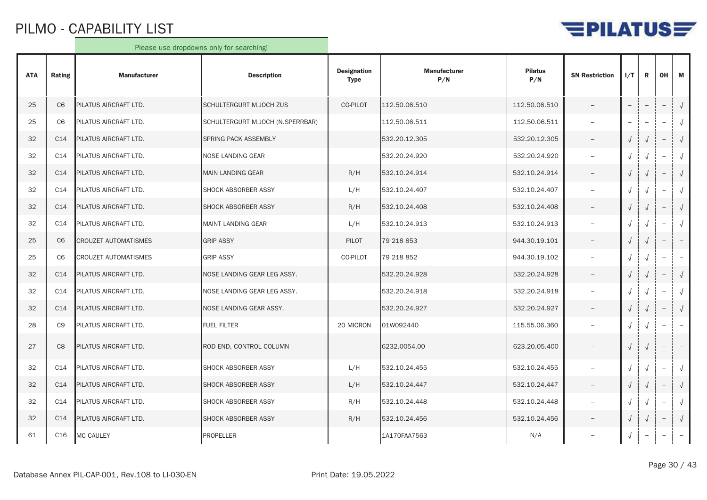

| ATA | Rating          | <b>Manufacturer</b>         | <b>Description</b>               | <b>Designation</b><br><b>Type</b> | <b>Manufacturer</b><br>P/N | <b>Pilatus</b><br>P/N | <b>SN Restriction</b>    | I/T        | R | OH | M          |
|-----|-----------------|-----------------------------|----------------------------------|-----------------------------------|----------------------------|-----------------------|--------------------------|------------|---|----|------------|
| 25  | C <sub>6</sub>  | PILATUS AIRCRAFT LTD.       | SCHULTERGURT M.JOCH ZUS          | CO-PILOT                          | 112.50.06.510              | 112.50.06.510         | $\overline{\phantom{0}}$ |            |   |    |            |
| 25  | C <sub>6</sub>  | PILATUS AIRCRAFT LTD.       | SCHULTERGURT M.JOCH (N.SPERRBAR) |                                   | 112.50.06.511              | 112.50.06.511         |                          |            |   |    | $\sqrt{ }$ |
| 32  | C14             | PILATUS AIRCRAFT LTD.       | SPRING PACK ASSEMBLY             |                                   | 532.20.12.305              | 532.20.12.305         | $\overline{\phantom{0}}$ | $\sqrt{ }$ |   |    |            |
| 32  | C14             | PILATUS AIRCRAFT LTD.       | NOSE LANDING GEAR                |                                   | 532.20.24.920              | 532.20.24.920         | $\overline{\phantom{a}}$ | $\sqrt{ }$ |   |    |            |
| 32  | C14             | PILATUS AIRCRAFT LTD.       | <b>MAIN LANDING GEAR</b>         | R/H                               | 532.10.24.914              | 532.10.24.914         |                          | $\sqrt{}$  |   |    |            |
| 32  | C14             | PILATUS AIRCRAFT LTD.       | SHOCK ABSORBER ASSY              | L/H                               | 532.10.24.407              | 532.10.24.407         |                          | $\sqrt{ }$ |   |    |            |
| 32  | C14             | PILATUS AIRCRAFT LTD.       | SHOCK ABSORBER ASSY              | R/H                               | 532.10.24.408              | 532.10.24.408         | $\overline{\phantom{0}}$ |            |   |    |            |
| 32  | C14             | PILATUS AIRCRAFT LTD.       | MAINT LANDING GEAR               | L/H                               | 532.10.24.913              | 532.10.24.913         | $\overline{\phantom{m}}$ | $\sqrt{2}$ |   |    |            |
| 25  | C <sub>6</sub>  | <b>CROUZET AUTOMATISMES</b> | <b>GRIP ASSY</b>                 | <b>PILOT</b>                      | 79 218 853                 | 944.30.19.101         |                          | $\sqrt{}$  |   |    |            |
| 25  | C <sub>6</sub>  | <b>CROUZET AUTOMATISMES</b> | <b>GRIP ASSY</b>                 | CO-PILOT                          | 79 218 852                 | 944.30.19.102         |                          | $\sqrt{2}$ |   |    |            |
| 32  | C14             | PILATUS AIRCRAFT LTD.       | NOSE LANDING GEAR LEG ASSY.      |                                   | 532.20.24.928              | 532.20.24.928         | $\overline{\phantom{m}}$ | $\sqrt{ }$ |   |    |            |
| 32  | C14             | PILATUS AIRCRAFT LTD.       | NOSE LANDING GEAR LEG ASSY.      |                                   | 532.20.24.918              | 532.20.24.918         | $\overline{\phantom{m}}$ | $\sqrt{ }$ |   |    |            |
| 32  | C14             | PILATUS AIRCRAFT LTD.       | NOSE LANDING GEAR ASSY.          |                                   | 532.20.24.927              | 532.20.24.927         | $\overline{\phantom{0}}$ | $\sqrt{2}$ |   |    |            |
| 28  | C9              | PILATUS AIRCRAFT LTD.       | <b>FUEL FILTER</b>               | 20 MICRON                         | 01W092440                  | 115.55.06.360         |                          | $\sqrt{2}$ |   |    |            |
| 27  | C8              | PILATUS AIRCRAFT LTD.       | ROD END, CONTROL COLUMN          |                                   | 6232.0054.00               | 623.20.05.400         |                          | $\sqrt{ }$ |   |    |            |
| 32  | C14             | PILATUS AIRCRAFT LTD.       | SHOCK ABSORBER ASSY              | L/H                               | 532.10.24.455              | 532.10.24.455         | $\overline{\phantom{0}}$ | $\sqrt{2}$ |   |    |            |
| 32  | C14             | PILATUS AIRCRAFT LTD.       | SHOCK ABSORBER ASSY              | L/H                               | 532.10.24.447              | 532.10.24.447         | $\overline{\phantom{m}}$ | $\sqrt{}$  |   |    |            |
| 32  | C <sub>14</sub> | PILATUS AIRCRAFT LTD.       | SHOCK ABSORBER ASSY              | R/H                               | 532.10.24.448              | 532.10.24.448         | $\overline{\phantom{0}}$ | $\sqrt{ }$ |   |    |            |
| 32  | C14             | PILATUS AIRCRAFT LTD.       | SHOCK ABSORBER ASSY              | R/H                               | 532.10.24.456              | 532.10.24.456         | $\overline{\phantom{0}}$ | √          |   |    |            |
| 61  | C16             | <b>MC CAULEY</b>            | <b>PROPELLER</b>                 |                                   | 1A170FAA7563               | N/A                   |                          |            |   |    |            |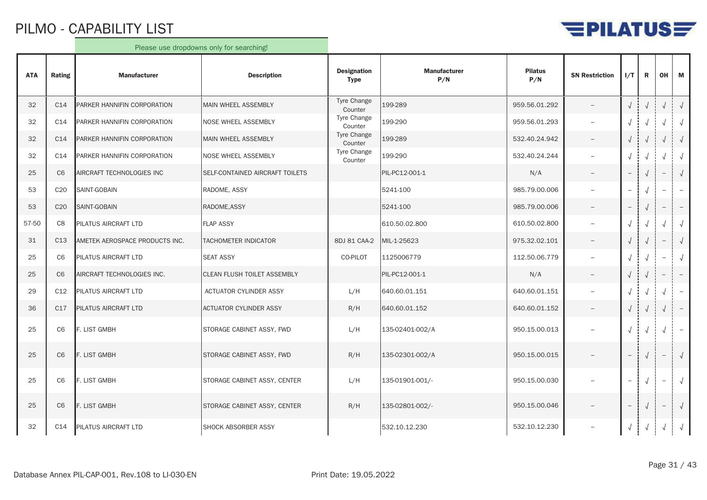

| <b>ATA</b> | Rating          | <b>Manufacturer</b>            | <b>Description</b>                     | <b>Designation</b><br><b>Type</b> | <b>Manufacturer</b><br>P/N | <b>Pilatus</b><br>P/N | <b>SN Restriction</b>    | I/T               | R          | OH         | M          |
|------------|-----------------|--------------------------------|----------------------------------------|-----------------------------------|----------------------------|-----------------------|--------------------------|-------------------|------------|------------|------------|
| 32         | C14             | PARKER HANNIFIN CORPORATION    | MAIN WHEEL ASSEMBLY                    | Tyre Change<br>Counter            | 199-289                    | 959.56.01.292         | $\overline{\phantom{m}}$ | $\sqrt{ }$        |            |            |            |
| 32         | C14             | PARKER HANNIFIN CORPORATION    | NOSE WHEEL ASSEMBLY                    | Tyre Change<br>Counter            | 199-290                    | 959.56.01.293         | $\overline{\phantom{0}}$ | $\sqrt{2}$        |            |            |            |
| 32         | C14             | PARKER HANNIFIN CORPORATION    | MAIN WHEEL ASSEMBLY                    | Tyre Change<br>Counter            | 199-289                    | 532.40.24.942         |                          | $\sqrt{2}$        |            |            |            |
| 32         | C14             | PARKER HANNIFIN CORPORATION    | NOSE WHEEL ASSEMBLY                    | Tyre Change<br>Counter            | 199-290                    | 532.40.24.244         |                          | $\sqrt{ }$        | $\sqrt{ }$ | $\sqrt{ }$ | $\sqrt{ }$ |
| 25         | C6              | AIRCRAFT TECHNOLOGIES INC      | <b>SELF-CONTAINED AIRCRAFT TOILETS</b> |                                   | PIL-PC12-001-1             | N/A                   | $\overline{\phantom{m}}$ | $\qquad \qquad -$ |            |            | $\sqrt{ }$ |
| 53         | C <sub>20</sub> | SAINT-GOBAIN                   | RADOME, ASSY                           |                                   | 5241-100                   | 985.79.00.006         |                          | $\qquad \qquad -$ |            |            |            |
| 53         | C <sub>20</sub> | SAINT-GOBAIN                   | RADOME, ASSY                           |                                   | 5241-100                   | 985.79.00.006         |                          | -                 |            |            |            |
| 57-50      | C8              | PILATUS AIRCRAFT LTD           | <b>FLAP ASSY</b>                       |                                   | 610.50.02.800              | 610.50.02.800         | $\overline{\phantom{m}}$ | $\sqrt{2}$        |            |            |            |
| 31         | C <sub>13</sub> | AMETEK AEROSPACE PRODUCTS INC. | <b>TACHOMETER INDICATOR</b>            | 8DJ 81 CAA-2                      | MIL-1-25623                | 975.32.02.101         |                          | $\sqrt{}$         |            |            |            |
| 25         | C <sub>6</sub>  | PILATUS AIRCRAFT LTD           | <b>SEAT ASSY</b>                       | CO-PILOT                          | 1125006779                 | 112.50.06.779         |                          | $\sqrt{ }$        |            |            | $\sqrt{ }$ |
| 25         | C6              | AIRCRAFT TECHNOLOGIES INC.     | <b>CLEAN FLUSH TOILET ASSEMBLY</b>     |                                   | PIL-PC12-001-1             | N/A                   | $\overline{\phantom{m}}$ | $\sqrt{2}$        |            |            |            |
| 29         | C12             | PILATUS AIRCRAFT LTD           | ACTUATOR CYLINDER ASSY                 | L/H                               | 640.60.01.151              | 640.60.01.151         | $\overline{\phantom{m}}$ | $\sqrt{2}$        |            |            |            |
| 36         | C17             | PILATUS AIRCRAFT LTD           | <b>ACTUATOR CYLINDER ASSY</b>          | R/H                               | 640.60.01.152              | 640.60.01.152         |                          | $\sqrt{}$         |            |            |            |
| 25         | C <sub>6</sub>  | F. LIST GMBH                   | STORAGE CABINET ASSY, FWD              | L/H                               | 135-02401-002/A            | 950.15.00.013         |                          | $\sqrt{2}$        |            |            |            |
| 25         | C <sub>6</sub>  | F. LIST GMBH                   | STORAGE CABINET ASSY, FWD              | R/H                               | 135-02301-002/A            | 950.15.00.015         |                          |                   |            |            |            |
| 25         | C <sub>6</sub>  | F. LIST GMBH                   | STORAGE CABINET ASSY, CENTER           | L/H                               | 135-01901-001/-            | 950.15.00.030         |                          | $\qquad \qquad -$ |            |            | $\sqrt{ }$ |
| 25         | C6              | F. LIST GMBH                   | STORAGE CABINET ASSY, CENTER           | R/H                               | 135-02801-002/-            | 950.15.00.046         |                          |                   |            |            |            |
| 32         | C14             | PILATUS AIRCRAFT LTD           | <b>SHOCK ABSORBER ASSY</b>             |                                   | 532.10.12.230              | 532.10.12.230         |                          | $\sqrt{ }$        |            |            |            |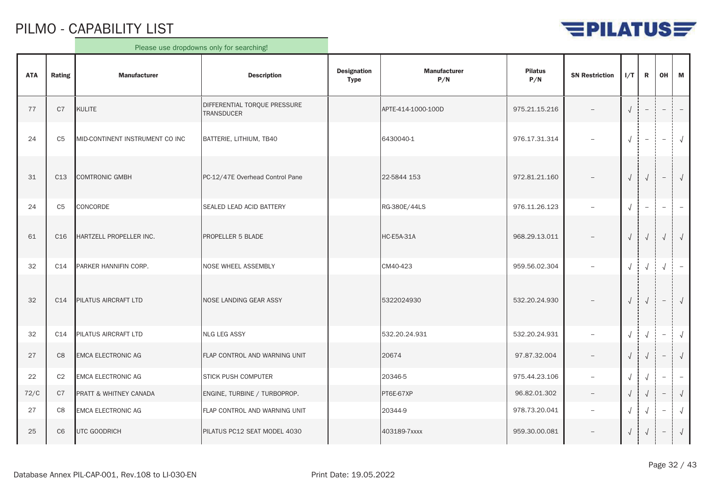

| <b>ATA</b> | Rating          | <b>Manufacturer</b>             | <b>Description</b>                                | <b>Designation</b><br><b>Type</b> | <b>Manufacturer</b><br>P/N | <b>Pilatus</b><br>P/N | <b>SN Restriction</b>    | I/T                  | R          | OH         | M             |
|------------|-----------------|---------------------------------|---------------------------------------------------|-----------------------------------|----------------------------|-----------------------|--------------------------|----------------------|------------|------------|---------------|
| 77         | C7              | KULITE                          | DIFFERENTIAL TORQUE PRESSURE<br><b>TRANSDUCER</b> |                                   | APTE-414-1000-100D         | 975.21.15.216         | $\overline{\phantom{0}}$ | $\sqrt{2}$           |            |            |               |
| 24         | C <sub>5</sub>  | MID-CONTINENT INSTRUMENT CO INC | BATTERIE, LITHIUM, TB40                           |                                   | 6430040-1                  | 976.17.31.314         |                          | $\sqrt{ }$           |            |            | $\frac{1}{2}$ |
| 31         | C13             | <b>COMTRONIC GMBH</b>           | PC-12/47E Overhead Control Pane                   |                                   | 22-5844 153                | 972.81.21.160         |                          | $\sqrt{\phantom{a}}$ | $\sqrt{ }$ | $-$        | $\sqrt{ }$    |
| 24         | C <sub>5</sub>  | CONCORDE                        | SEALED LEAD ACID BATTERY                          |                                   | RG-380E/44LS               | 976.11.26.123         | $\overline{\phantom{0}}$ |                      |            |            |               |
| 61         | C <sub>16</sub> | HARTZELL PROPELLER INC.         | PROPELLER 5 BLADE                                 |                                   | <b>HC-E5A-31A</b>          | 968.29.13.011         |                          | $\sqrt{ }$           | $\sqrt{ }$ | $\sqrt{ }$ | $\sqrt{ }$    |
| 32         | C14             | PARKER HANNIFIN CORP.           | NOSE WHEEL ASSEMBLY                               |                                   | CM40-423                   | 959.56.02.304         | $\overline{\phantom{0}}$ | $\sqrt{ }$           | $\sqrt{ }$ |            |               |
| 32         | C14             | <b>PILATUS AIRCRAFT LTD</b>     | NOSE LANDING GEAR ASSY                            |                                   | 5322024930                 | 532.20.24.930         |                          | $\sqrt{2}$           | $\sqrt{ }$ |            |               |
| 32         | C14             | PILATUS AIRCRAFT LTD            | NLG LEG ASSY                                      |                                   | 532.20.24.931              | 532.20.24.931         | $\overline{\phantom{a}}$ | $\sqrt{ }$           |            |            | $\sqrt{ }$    |
| 27         | C8              | <b>EMCA ELECTRONIC AG</b>       | FLAP CONTROL AND WARNING UNIT                     |                                   | 20674                      | 97.87.32.004          | $\overline{\phantom{0}}$ | $\sqrt{ }$           | $\sqrt{ }$ |            | $\sqrt{ }$    |
| 22         | C <sub>2</sub>  | <b>EMCA ELECTRONIC AG</b>       | STICK PUSH COMPUTER                               |                                   | 20346-5                    | 975.44.23.106         | $\equiv$                 | $\sqrt{ }$           |            |            |               |
| 72/C       | C7              | PRATT & WHITNEY CANADA          | ENGINE, TURBINE / TURBOPROP.                      |                                   | PT6E-67XP                  | 96.82.01.302          |                          | $\sqrt{ }$           |            |            | $\sqrt{ }$    |
| 27         | C8              | <b>EMCA ELECTRONIC AG</b>       | FLAP CONTROL AND WARNING UNIT                     |                                   | 20344-9                    | 978.73.20.041         | $\overline{\phantom{0}}$ | $\sqrt{ }$           |            |            |               |
| 25         | C6              | UTC GOODRICH                    | PILATUS PC12 SEAT MODEL 4030                      |                                   | 403189-7xxxx               | 959.30.00.081         |                          | $\sqrt{2}$           |            |            | $\sqrt{ }$    |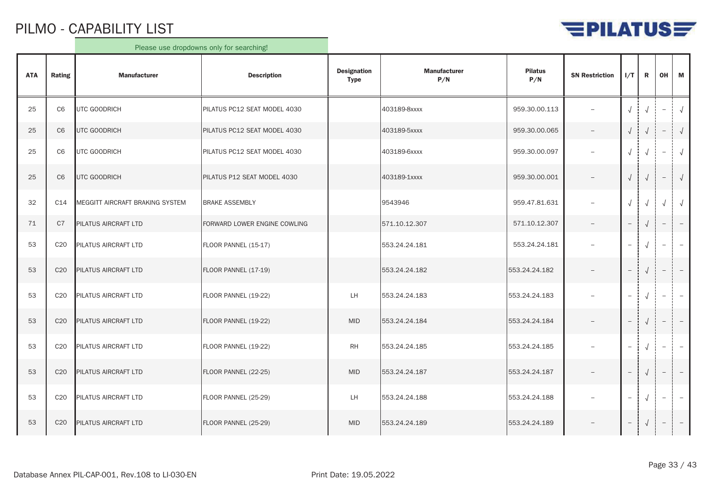

| <b>ATA</b> | Rating          | <b>Manufacturer</b>             | <b>Description</b>           | <b>Designation</b><br><b>Type</b> | <b>Manufacturer</b><br>P/N | <b>Pilatus</b><br>P/N | <b>SN Restriction</b> | I/T               | R | OH | M                        |
|------------|-----------------|---------------------------------|------------------------------|-----------------------------------|----------------------------|-----------------------|-----------------------|-------------------|---|----|--------------------------|
| 25         | C6              | UTC GOODRICH                    | PILATUS PC12 SEAT MODEL 4030 |                                   | 403189-8xxxx               | 959.30.00.113         |                       | $\sqrt{ }$        |   |    | $\sqrt{ }$               |
| 25         | C <sub>6</sub>  | UTC GOODRICH                    | PILATUS PC12 SEAT MODEL 4030 |                                   | 403189-5xxxx               | 959.30.00.065         |                       | $\sqrt{ }$        |   |    | $\sqrt{ }$               |
| 25         | C6              | UTC GOODRICH                    | PILATUS PC12 SEAT MODEL 4030 |                                   | 403189-6xxxx               | 959.30.00.097         |                       | $\sqrt{ }$        |   |    | $\sqrt{ }$               |
| 25         | C6              | UTC GOODRICH                    | PILATUS P12 SEAT MODEL 4030  |                                   | 403189-1xxxx               | 959.30.00.001         |                       |                   |   |    | $\sqrt{ }$               |
| 32         | C14             | MEGGITT AIRCRAFT BRAKING SYSTEM | <b>BRAKE ASSEMBLY</b>        |                                   | 9543946                    | 959.47.81.631         |                       | $\sqrt{2}$        |   |    | $\sqrt{ }$               |
| 71         | C7              | PILATUS AIRCRAFT LTD            | FORWARD LOWER ENGINE COWLING |                                   | 571.10.12.307              | 571.10.12.307         |                       |                   |   |    | $\overline{\phantom{a}}$ |
| 53         | C20             | PILATUS AIRCRAFT LTD            | FLOOR PANNEL (15-17)         |                                   | 553.24.24.181              | 553.24.24.181         |                       | $\qquad \qquad -$ |   |    | $ \,$                    |
| 53         | C20             | PILATUS AIRCRAFT LTD            | FLOOR PANNEL (17-19)         |                                   | 553.24.24.182              | 553.24.24.182         |                       |                   |   |    | $ \,$                    |
| 53         | C20             | PILATUS AIRCRAFT LTD            | FLOOR PANNEL (19-22)         | LH <sub></sub>                    | 553.24.24.183              | 553.24.24.183         |                       |                   |   |    | $-$                      |
| 53         | C20             | PILATUS AIRCRAFT LTD            | FLOOR PANNEL (19-22)         | <b>MID</b>                        | 553.24.24.184              | 553.24.24.184         |                       |                   |   |    | $-$                      |
| 53         | C <sub>20</sub> | PILATUS AIRCRAFT LTD            | FLOOR PANNEL (19-22)         | <b>RH</b>                         | 553.24.24.185              | 553.24.24.185         |                       |                   |   |    | $ \,$                    |
| 53         | C <sub>20</sub> | PILATUS AIRCRAFT LTD            | FLOOR PANNEL (22-25)         | <b>MID</b>                        | 553.24.24.187              | 553.24.24.187         |                       |                   |   |    | $-$                      |
| 53         | C20             | PILATUS AIRCRAFT LTD            | FLOOR PANNEL (25-29)         | LH                                | 553.24.24.188              | 553.24.24.188         |                       |                   |   |    | $-$                      |
| 53         | C <sub>20</sub> | PILATUS AIRCRAFT LTD            | FLOOR PANNEL (25-29)         | <b>MID</b>                        | 553.24.24.189              | 553.24.24.189         |                       |                   |   |    | $\overline{\phantom{0}}$ |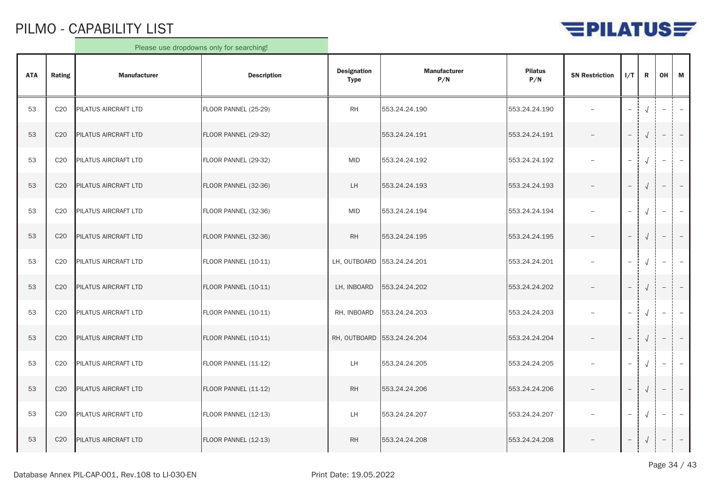

| <b>ATA</b> | Rating          | <b>Manufacturer</b>         | <b>Description</b>   | <b>Designation</b><br><b>Type</b> | <b>Manufacturer</b><br>P/N | <b>Pilatus</b><br>P/N | <b>SN Restriction</b> | I/T                               | R          | OH | M                               |
|------------|-----------------|-----------------------------|----------------------|-----------------------------------|----------------------------|-----------------------|-----------------------|-----------------------------------|------------|----|---------------------------------|
| 53         | C <sub>20</sub> | PILATUS AIRCRAFT LTD        | FLOOR PANNEL (25-29) | <b>RH</b>                         | 553.24.24.190              | 553.24.24.190         |                       | $\equiv$                          |            |    | $\overline{\phantom{m}}$        |
| 53         | C <sub>20</sub> | PILATUS AIRCRAFT LTD        | FLOOR PANNEL (29-32) |                                   | 553.24.24.191              | 553.24.24.191         |                       |                                   | $\sqrt{ }$ |    | $\overline{\phantom{m}}$        |
| 53         | C <sub>20</sub> | <b>PILATUS AIRCRAFT LTD</b> | FLOOR PANNEL (29-32) | <b>MID</b>                        | 553.24.24.192              | 553.24.24.192         |                       | $\overline{\phantom{0}}$          |            |    | $\overline{\phantom{m}}$        |
| 53         | C <sub>20</sub> | PILATUS AIRCRAFT LTD        | FLOOR PANNEL (32-36) | LH                                | 553.24.24.193              | 553.24.24.193         |                       |                                   | $\sqrt{ }$ |    | $\overline{\phantom{m}}$        |
| 53         | C20             | PILATUS AIRCRAFT LTD        | FLOOR PANNEL (32-36) | <b>MID</b>                        | 553.24.24.194              | 553.24.24.194         |                       | $\overline{\phantom{a}}$          | $\sqrt{ }$ |    | $\overline{\phantom{a}}$        |
| 53         | C20             | PILATUS AIRCRAFT LTD        | FLOOR PANNEL (32-36) | RH                                | 553.24.24.195              | 553.24.24.195         |                       | $\qquad \qquad -$                 | $\sqrt{ }$ |    | $\overline{\phantom{a}}$        |
| 53         | C <sub>20</sub> | PILATUS AIRCRAFT LTD        | FLOOR PANNEL (10-11) |                                   | LH, OUTBOARD 553.24.24.201 | 553.24.24.201         |                       | $\overline{\phantom{0}}$          | $\sqrt{ }$ |    | $\hspace{0.1mm}-\hspace{0.1mm}$ |
| 53         | C <sub>20</sub> | PILATUS AIRCRAFT LTD        | FLOOR PANNEL (10-11) | LH, INBOARD                       | 553.24.24.202              | 553.24.24.202         |                       | $\hspace{1.0cm} - \hspace{1.0cm}$ | $\sqrt{ }$ |    |                                 |
| 53         | C <sub>20</sub> | PILATUS AIRCRAFT LTD        | FLOOR PANNEL (10-11) | RH, INBOARD                       | 553.24.24.203              | 553.24.24.203         |                       | $\overline{\phantom{0}}$          | $\sqrt{ }$ |    | $\overline{\phantom{a}}$        |
| 53         | C <sub>20</sub> | PILATUS AIRCRAFT LTD        | FLOOR PANNEL (10-11) |                                   | RH, OUTBOARD 553.24.24.204 | 553.24.24.204         |                       |                                   |            |    | $\overline{\phantom{a}}$        |
| 53         | C <sub>20</sub> | PILATUS AIRCRAFT LTD        | FLOOR PANNEL (11-12) | LH                                | 553.24.24.205              | 553.24.24.205         |                       |                                   |            |    | $\overline{\phantom{m}}$        |
| 53         | C <sub>20</sub> | PILATUS AIRCRAFT LTD        | FLOOR PANNEL (11-12) | <b>RH</b>                         | 553.24.24.206              | 553.24.24.206         |                       | $\overline{\phantom{m}}$          | $\sqrt{ }$ |    | $\overline{\phantom{a}}$        |
| 53         | C <sub>20</sub> | <b>PILATUS AIRCRAFT LTD</b> | FLOOR PANNEL (12-13) | LH                                | 553.24.24.207              | 553.24.24.207         |                       |                                   |            |    | $\overline{\phantom{a}}$        |
| 53         | C20             | PILATUS AIRCRAFT LTD        | FLOOR PANNEL (12-13) | RH                                | 553.24.24.208              | 553.24.24.208         |                       | $\qquad \qquad -$                 | $\sqrt{ }$ |    | $\overline{\phantom{m}}$        |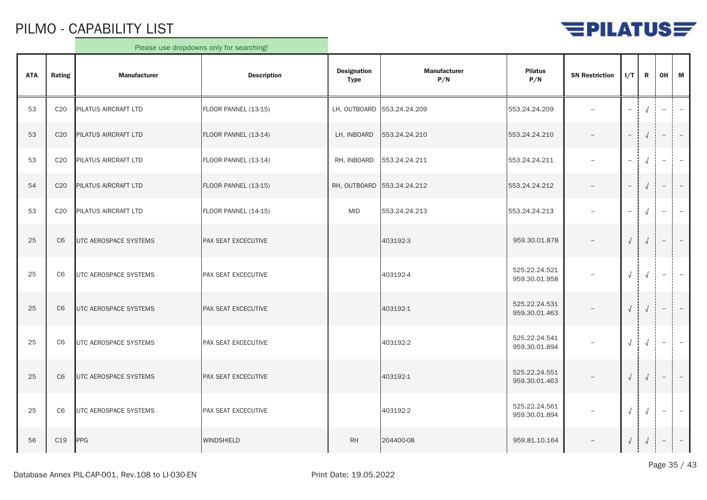

| <b>ATA</b> | Rating          | <b>Manufacturer</b>   | <b>Description</b>   | <b>Designation</b><br><b>Type</b> | <b>Manufacturer</b><br>P/N | <b>Pilatus</b><br>P/N          | <b>SN Restriction</b> | I/T                      | R                    |                          | OH M |
|------------|-----------------|-----------------------|----------------------|-----------------------------------|----------------------------|--------------------------------|-----------------------|--------------------------|----------------------|--------------------------|------|
| 53         | C20             | PILATUS AIRCRAFT LTD  | FLOOR PANNEL (13-15) |                                   | LH, OUTBOARD 553.24.24.209 | 553.24.24.209                  |                       | $\equiv$                 | $\sqrt{ }$           |                          |      |
| 53         | C <sub>20</sub> | PILATUS AIRCRAFT LTD  | FLOOR PANNEL (13-14) | LH, INBOARD                       | 553.24.24.210              | 553.24.24.210                  |                       | $\overline{\phantom{a}}$ | $\sqrt{2}$           |                          |      |
| 53         | C <sub>20</sub> | PILATUS AIRCRAFT LTD  | FLOOR PANNEL (13-14) | RH. INBOARD                       | 553.24.24.211              | 553.24.24.211                  |                       | $\overline{\phantom{a}}$ | $\sqrt{ }$           |                          |      |
| 54         | C20             | PILATUS AIRCRAFT LTD  | FLOOR PANNEL (13-15) |                                   | RH, OUTBOARD 553.24.24.212 | 553.24.24.212                  |                       | $\overline{\phantom{a}}$ | $\sqrt{ }$           |                          |      |
| 53         | C20             | PILATUS AIRCRAFT LTD  | FLOOR PANNEL (14-15) | <b>MID</b>                        | 553.24.24.213              | 553.24.24.213                  |                       | $\overline{\phantom{0}}$ | $\sqrt{\phantom{a}}$ | $\overline{\phantom{a}}$ |      |
| 25         | C <sub>6</sub>  | UTC AEROSPACE SYSTEMS | PAX SEAT EXCECUTIVE  |                                   | 403192-3                   | 959.30.01.878                  |                       | $\sqrt{ }$               | $\sqrt{ }$           | $\qquad \qquad -$        |      |
| 25         | C6              | UTC AEROSPACE SYSTEMS | PAX SEAT EXCECUTIVE  |                                   | 403192-4                   | 525.22.24.521<br>959.30.01.958 |                       | $\sqrt{}$                | $\sqrt{ }$           | $\overline{\phantom{m}}$ |      |
| 25         | C6              | UTC AEROSPACE SYSTEMS | PAX SEAT EXCECUTIVE  |                                   | 403192-1                   | 525.22.24.531<br>959.30.01.463 |                       | $\sqrt{ }$               | $\sqrt{ }$           |                          |      |
| 25         | C6              | UTC AEROSPACE SYSTEMS | PAX SEAT EXCECUTIVE  |                                   | 403192-2                   | 525.22.24.541<br>959.30.01.894 |                       | $\sqrt{ }$               | $\sqrt{ }$           |                          |      |
| 25         | C <sub>6</sub>  | UTC AEROSPACE SYSTEMS | PAX SEAT EXCECUTIVE  |                                   | 403192-1                   | 525.22.24.551<br>959.30.01.463 |                       | $\sqrt{ }$               | $\sqrt{ }$           | $\overline{\phantom{m}}$ |      |
| 25         | C6              | UTC AEROSPACE SYSTEMS | PAX SEAT EXCECUTIVE  |                                   | 403192-2                   | 525.22.24.561<br>959.30.01.894 |                       | $\sqrt{\phantom{a}}$     | $\sqrt{ }$           | $\overline{\phantom{a}}$ |      |
| 56         | C <sub>19</sub> | PPG                   | <b>WINDSHIELD</b>    | <b>RH</b>                         | 204400-08                  | 959.81.10.164                  |                       | $\sqrt{ }$               | $\sqrt{ }$           |                          |      |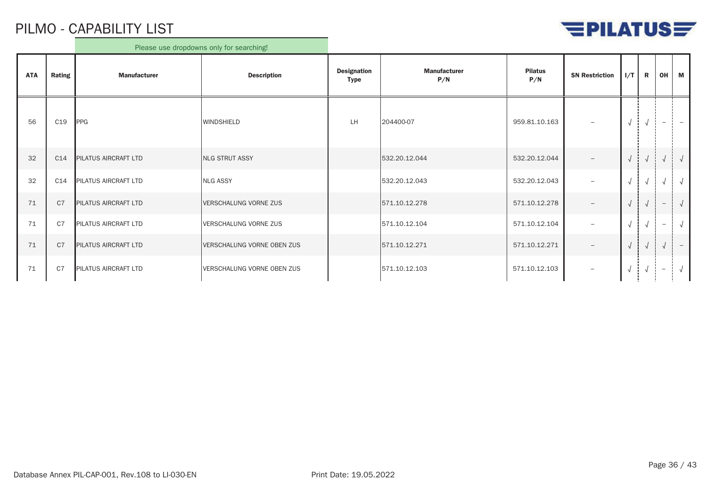

| <b>ATA</b> | Rating          | <b>Manufacturer</b>  | <b>Description</b>           | <b>Designation</b><br>Type | <b>Manufacturer</b><br>P/N | <b>Pilatus</b><br>P/N | <b>SN Restriction</b>    | I/T        | $\mathbf R$ |                                             | $OH$ M                          |
|------------|-----------------|----------------------|------------------------------|----------------------------|----------------------------|-----------------------|--------------------------|------------|-------------|---------------------------------------------|---------------------------------|
| 56         | C19             | <b>PPG</b>           | <b>WINDSHIELD</b>            | LH                         | 204400-07                  | 959.81.10.163         | $\qquad \qquad -$        | $\sqrt{2}$ | $\sqrt{ }$  | $\sim$                                      | $\hspace{0.1mm}-\hspace{0.1mm}$ |
| 32         | C <sub>14</sub> | PILATUS AIRCRAFT LTD | <b>NLG STRUT ASSY</b>        |                            | 532.20.12.044              | 532.20.12.044         | $\overline{\phantom{0}}$ |            |             | $\sqrt{1}$ $\sqrt{1}$ $\sqrt{1}$ $\sqrt{1}$ |                                 |
| 32         | C14             | PILATUS AIRCRAFT LTD | <b>NLG ASSY</b>              |                            | 532.20.12.043              | 532.20.12.043         | $\overline{\phantom{0}}$ | $\sqrt{ }$ | $\sqrt{ }$  |                                             | $\sqrt{ }$                      |
| 71         | C <sub>7</sub>  | PILATUS AIRCRAFT LTD | <b>VERSCHALUNG VORNE ZUS</b> |                            | 571.10.12.278              | 571.10.12.278         | $\overline{\phantom{0}}$ | $\sqrt{2}$ |             | $\overline{\phantom{m}}$                    | $\sqrt{ }$                      |
| 71         | C <sub>7</sub>  | PILATUS AIRCRAFT LTD | <b>VERSCHALUNG VORNE ZUS</b> |                            | 571.10.12.104              | 571.10.12.104         | $\overline{\phantom{0}}$ | $\sqrt{ }$ | $\sqrt{ }$  | $-1$                                        | $\sqrt{ }$                      |
| 71         | C <sub>7</sub>  | PILATUS AIRCRAFT LTD | VERSCHALUNG VORNE OBEN ZUS   |                            | 571.10.12.271              | 571.10.12.271         | $\overline{\phantom{0}}$ | $\sqrt{ }$ | $\sqrt{ }$  | $\sqrt{ }$                                  |                                 |
| 71         | C <sub>7</sub>  | PILATUS AIRCRAFT LTD | VERSCHALUNG VORNE OBEN ZUS   |                            | 571.10.12.103              | 571.10.12.103         | $\overline{\phantom{m}}$ | $\sqrt{ }$ |             | $\overline{\phantom{m}}$                    | $\sqrt{ }$                      |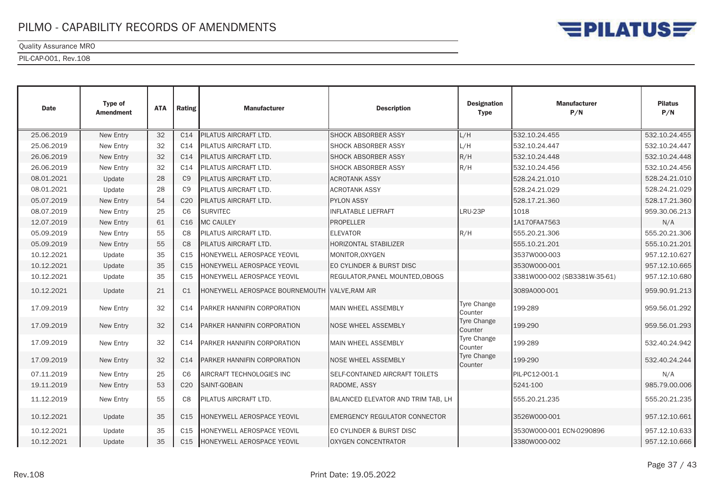

Quality Assurance MRO

PIL-CAP-001, Rev.108

| <b>Date</b> | Type of<br><b>Amendment</b> | <b>ATA</b> | Rating          | <b>Manufacturer</b>             | <b>Description</b>                 | <b>Designation</b><br><b>Type</b> | <b>Manufacturer</b><br>P/N   | <b>Pilatus</b><br>P/N |
|-------------|-----------------------------|------------|-----------------|---------------------------------|------------------------------------|-----------------------------------|------------------------------|-----------------------|
| 25.06.2019  | New Entry                   | 32         | C <sub>14</sub> | PILATUS AIRCRAFT LTD.           | SHOCK ABSORBER ASSY                | L/H                               | 532.10.24.455                | 532.10.24.455         |
| 25.06.2019  | New Entry                   | 32         | C14             | PILATUS AIRCRAFT LTD.           | SHOCK ABSORBER ASSY                | L/H                               | 532.10.24.447                | 532.10.24.447         |
| 26.06.2019  | New Entry                   | 32         | C <sub>14</sub> | PILATUS AIRCRAFT LTD.           | SHOCK ABSORBER ASSY                | R/H                               | 532.10.24.448                | 532.10.24.448         |
| 26.06.2019  | New Entry                   | 32         | C14             | PILATUS AIRCRAFT LTD.           | SHOCK ABSORBER ASSY                | R/H                               | 532.10.24.456                | 532.10.24.456         |
| 08.01.2021  | Update                      | 28         | C <sub>9</sub>  | PILATUS AIRCRAFT LTD.           | <b>ACROTANK ASSY</b>               |                                   | 528.24.21.010                | 528.24.21.010         |
| 08.01.2021  | Update                      | 28         | C9              | PILATUS AIRCRAFT LTD.           | ACROTANK ASSY                      |                                   | 528.24.21.029                | 528.24.21.029         |
| 05.07.2019  | New Entry                   | 54         | C20             | PILATUS AIRCRAFT LTD.           | PYLON ASSY                         |                                   | 528.17.21.360                | 528.17.21.360         |
| 08.07.2019  | New Entry                   | 25         | C6              | <b>SURVITEC</b>                 | <b>INFLATABLE LIEFRAFT</b>         | LRU-23P                           | 1018                         | 959.30.06.213         |
| 12.07.2019  | New Entry                   | 61         | C <sub>16</sub> | <b>MC CAULEY</b>                | <b>PROPELLER</b>                   |                                   | 1A170FAA7563                 | N/A                   |
| 05.09.2019  | New Entry                   | 55         | C8              | PILATUS AIRCRAFT LTD.           | <b>ELEVATOR</b>                    | R/H                               | 555.20.21.306                | 555.20.21.306         |
| 05.09.2019  | New Entry                   | 55         | C8              | PILATUS AIRCRAFT LTD.           | HORIZONTAL STABILIZER              |                                   | 555.10.21.201                | 555.10.21.201         |
| 10.12.2021  | Update                      | 35         | C <sub>15</sub> | HONEYWELL AEROSPACE YEOVIL      | MONITOR, OXYGEN                    |                                   | 3537W000-003                 | 957.12.10.627         |
| 10.12.2021  | Update                      | 35         | C <sub>15</sub> | HONEYWELL AEROSPACE YEOVIL      | EO CYLINDER & BURST DISC           |                                   | 3530W000-001                 | 957.12.10.665         |
| 10.12.2021  | Update                      | 35         | C <sub>15</sub> | HONEYWELL AEROSPACE YEOVIL      | REGULATOR, PANEL MOUNTED, OBOGS    |                                   | 3381W000-002 (SB3381W-35-61) | 957.12.10.680         |
| 10.12.2021  | Update                      | 21         | C1              | HONEYWELL AEROSPACE BOURNEMOUTH | VALVE, RAM AIR                     |                                   | 3089A000-001                 | 959.90.91.213         |
| 17.09.2019  | New Entry                   | 32         | C <sub>14</sub> | PARKER HANNIFIN CORPORATION     | MAIN WHEEL ASSEMBLY                | Tyre Change<br>Counter            | 199-289                      | 959.56.01.292         |
| 17.09.2019  | New Entry                   | 32         | C <sub>14</sub> | PARKER HANNIFIN CORPORATION     | NOSE WHEEL ASSEMBLY                | Tyre Change<br>Counter            | 199-290                      | 959.56.01.293         |
| 17.09.2019  | New Entry                   | 32         | C <sub>14</sub> | PARKER HANNIFIN CORPORATION     | MAIN WHEEL ASSEMBLY                | Tyre Change<br>Counter            | 199-289                      | 532.40.24.942         |
| 17.09.2019  | New Entry                   | 32         | C <sub>14</sub> | PARKER HANNIFIN CORPORATION     | NOSE WHEEL ASSEMBLY                | Tyre Change<br>Counter            | 199-290                      | 532.40.24.244         |
| 07.11.2019  | New Entry                   | 25         | C <sub>6</sub>  | AIRCRAFT TECHNOLOGIES INC       | SELF-CONTAINED AIRCRAFT TOILETS    |                                   | PIL-PC12-001-1               | N/A                   |
| 19.11.2019  | New Entry                   | 53         | C <sub>20</sub> | SAINT-GOBAIN                    | RADOME, ASSY                       |                                   | 5241-100                     | 985.79.00.006         |
| 11.12.2019  | New Entry                   | 55         | C8              | PILATUS AIRCRAFT LTD.           | BALANCED ELEVATOR AND TRIM TAB, LH |                                   | 555.20.21.235                | 555.20.21.235         |
| 10.12.2021  | Update                      | 35         | C <sub>15</sub> | HONEYWELL AEROSPACE YEOVIL      | EMERGENCY REGULATOR CONNECTOR      |                                   | 3526W000-001                 | 957.12.10.661         |
| 10.12.2021  | Update                      | 35         | C <sub>15</sub> | HONEYWELL AEROSPACE YEOVIL      | EO CYLINDER & BURST DISC           |                                   | 3530W000-001 ECN-0290896     | 957.12.10.633         |
| 10.12.2021  | Update                      | 35         | C <sub>15</sub> | HONEYWELL AEROSPACE YEOVIL      | <b>OXYGEN CONCENTRATOR</b>         |                                   | 3380W000-002                 | 957.12.10.666         |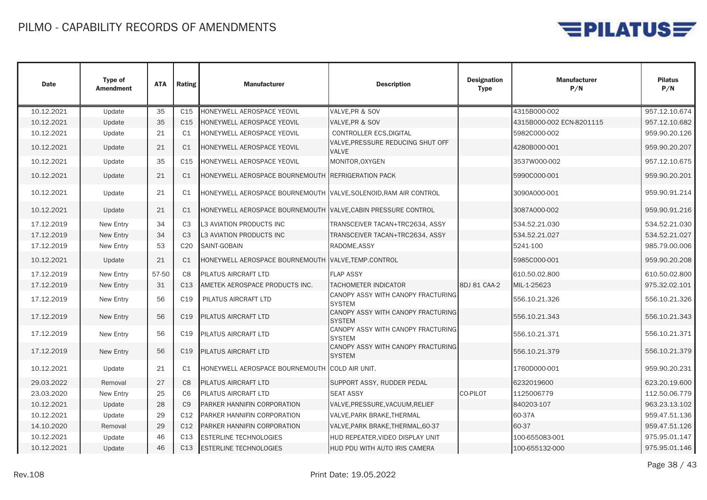

| Date       | Type of<br><b>Amendment</b> | ATA   | Rating          | <b>Manufacturer</b>                                            | <b>Description</b>                                  | <b>Designation</b><br><b>Type</b> | <b>Manufacturer</b><br>P/N | <b>Pilatus</b><br>P/N |
|------------|-----------------------------|-------|-----------------|----------------------------------------------------------------|-----------------------------------------------------|-----------------------------------|----------------------------|-----------------------|
| 10.12.2021 | Update                      | 35    | C <sub>15</sub> | HONEYWELL AEROSPACE YEOVIL                                     | VALVE.PR & SOV                                      |                                   | 4315B000-002               | 957.12.10.674         |
| 10.12.2021 | Update                      | 35    | C <sub>15</sub> | HONEYWELL AEROSPACE YEOVIL                                     | VALVE, PR & SOV                                     |                                   | 4315B000-002 ECN-8201115   | 957.12.10.682         |
| 10.12.2021 | Update                      | 21    | C1              | HONEYWELL AEROSPACE YEOVIL                                     | CONTROLLER ECS, DIGITAL                             |                                   | 5982C000-002               | 959.90.20.126         |
| 10.12.2021 | Update                      | 21    | C1              | HONEYWELL AEROSPACE YEOVIL                                     | VALVE, PRESSURE REDUCING SHUT OFF<br><b>VALVE</b>   |                                   | 4280B000-001               | 959.90.20.207         |
| 10.12.2021 | Update                      | 35    | C <sub>15</sub> | HONEYWELL AEROSPACE YEOVIL                                     | MONITOR, OXYGEN                                     |                                   | 3537W000-002               | 957.12.10.675         |
| 10.12.2021 | Update                      | 21    | C1              | HONEYWELL AEROSPACE BOURNEMOUTH                                | <b>IREFRIGERATION PACK</b>                          |                                   | 5990C000-001               | 959.90.20.201         |
| 10.12.2021 | Update                      | 21    | C1              | HONEYWELL AEROSPACE BOURNEMOUTH VALVE,SOLENOID,RAM AIR CONTROL |                                                     |                                   | 3090A000-001               | 959.90.91.214         |
| 10.12.2021 | Update                      | 21    | C1              | HONEYWELL AEROSPACE BOURNEMOUTH VALVE,CABIN PRESSURE CONTROL   |                                                     |                                   | 3087A000-002               | 959.90.91.216         |
| 17.12.2019 | New Entry                   | 34    | C <sub>3</sub>  | L3 AVIATION PRODUCTS INC                                       | TRANSCEIVER TACAN+TRC2634, ASSY                     |                                   | 534.52.21.030              | 534.52.21.030         |
| 17.12.2019 | New Entry                   | 34    | C <sub>3</sub>  | L3 AVIATION PRODUCTS INC                                       | TRANSCEIVER TACAN+TRC2634, ASSY                     |                                   | 534.52.21.027              | 534.52.21.027         |
| 17.12.2019 | New Entry                   | 53    | C <sub>20</sub> | SAINT-GOBAIN                                                   | RADOME, ASSY                                        |                                   | 5241-100                   | 985.79.00.006         |
| 10.12.2021 | Update                      | 21    | C1              | HONEYWELL AEROSPACE BOURNEMOUTH VALVE, TEMP.CONTROL            |                                                     |                                   | 5985C000-001               | 959.90.20.208         |
| 17.12.2019 | New Entry                   | 57-50 | C <sub>8</sub>  | PILATUS AIRCRAFT LTD                                           | <b>FLAP ASSY</b>                                    |                                   | 610.50.02.800              | 610.50.02.800         |
| 17.12.2019 | New Entry                   | 31    | C <sub>13</sub> | AMETEK AEROSPACE PRODUCTS INC.                                 | <b>TACHOMETER INDICATOR</b>                         | 8DJ 81 CAA-2                      | MIL-1-25623                | 975.32.02.101         |
| 17.12.2019 | New Entry                   | 56    | C <sub>19</sub> | PILATUS AIRCRAFT LTD                                           | CANOPY ASSY WITH CANOPY FRACTURING<br><b>SYSTEM</b> |                                   | 556.10.21.326              | 556.10.21.326         |
| 17.12.2019 | New Entry                   | 56    | C <sub>19</sub> | PILATUS AIRCRAFT LTD                                           | CANOPY ASSY WITH CANOPY FRACTURING<br><b>SYSTEM</b> |                                   | 556.10.21.343              | 556.10.21.343         |
| 17.12.2019 | New Entry                   | 56    | C <sub>19</sub> | PILATUS AIRCRAFT LTD                                           | CANOPY ASSY WITH CANOPY FRACTURING<br><b>SYSTEM</b> |                                   | 556.10.21.371              | 556.10.21.371         |
| 17.12.2019 | New Entry                   | 56    | C <sub>19</sub> | PILATUS AIRCRAFT LTD                                           | CANOPY ASSY WITH CANOPY FRACTURING<br><b>SYSTEM</b> |                                   | 556.10.21.379              | 556.10.21.379         |
| 10.12.2021 | Update                      | 21    | C1              | HONEYWELL AEROSPACE BOURNEMOUTH                                | COLD AIR UNIT.                                      |                                   | 1760D000-001               | 959.90.20.231         |
| 29.03.2022 | Removal                     | 27    | C8              | PILATUS AIRCRAFT LTD                                           | SUPPORT ASSY, RUDDER PEDAL                          |                                   | 6232019600                 | 623.20.19.600         |
| 23.03.2020 | New Entry                   | 25    | C <sub>6</sub>  | PILATUS AIRCRAFT LTD                                           | <b>SEAT ASSY</b>                                    | CO-PILOT                          | 1125006779                 | 112.50.06.779         |
| 10.12.2021 | Update                      | 28    | C <sub>9</sub>  | PARKER HANNIFIN CORPORATION                                    | VALVE, PRESSURE, VACUUM, RELIEF                     |                                   | 840203-107                 | 963.23.13.102         |
| 10.12.2021 | Update                      | 29    | C12             | PARKER HANNIFIN CORPORATION                                    | VALVE, PARK BRAKE, THERMAL                          |                                   | 60-37A                     | 959.47.51.136         |
| 14.10.2020 | Removal                     | 29    | C12             | PARKER HANNIFIN CORPORATION                                    | VALVE, PARK BRAKE, THERMAL, 60-37                   |                                   | 60-37                      | 959.47.51.126         |
| 10.12.2021 | Update                      | 46    | C <sub>13</sub> | <b>ESTERLINE TECHNOLOGIES</b>                                  | HUD REPEATER, VIDEO DISPLAY UNIT                    |                                   | 100-655083-001             | 975.95.01.147         |
| 10.12.2021 | Update                      | 46    | C <sub>13</sub> | <b>ESTERLINE TECHNOLOGIES</b>                                  | HUD PDU WITH AUTO IRIS CAMERA                       |                                   | 100-655132-000             | 975.95.01.146         |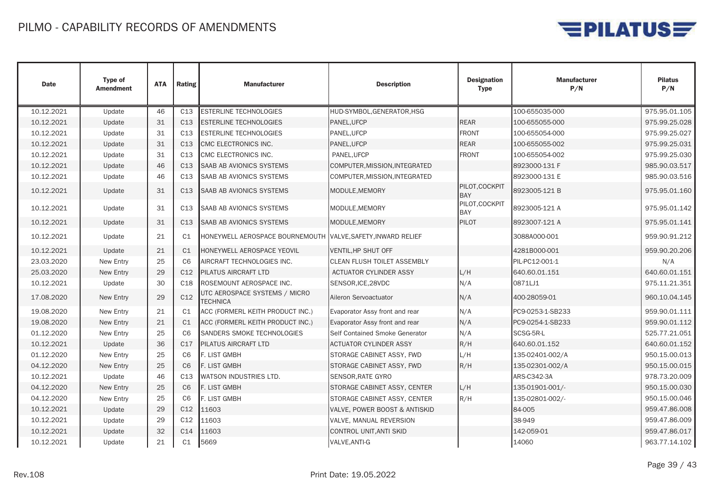

| <b>Date</b> | Type of<br><b>Amendment</b> | <b>ATA</b> | Rating          | <b>Manufacturer</b>                                          | <b>Description</b>                 | <b>Designation</b><br><b>Type</b> | <b>Manufacturer</b><br>P/N | <b>Pilatus</b><br>P/N |
|-------------|-----------------------------|------------|-----------------|--------------------------------------------------------------|------------------------------------|-----------------------------------|----------------------------|-----------------------|
| 10.12.2021  | Update                      | 46         | C13             | <b>ESTERLINE TECHNOLOGIES</b>                                | HUD-SYMBOL, GENERATOR, HSG         |                                   | 100-655035-000             | 975.95.01.105         |
| 10.12.2021  | Update                      | 31         | C <sub>13</sub> | <b>ESTERLINE TECHNOLOGIES</b>                                | PANEL, UFCP                        | <b>REAR</b>                       | 100-655055-000             | 975.99.25.028         |
| 10.12.2021  | Update                      | 31         | C <sub>13</sub> | <b>ESTERLINE TECHNOLOGIES</b>                                | PANEL, UFCP                        | <b>FRONT</b>                      | 100-655054-000             | 975.99.25.027         |
| 10.12.2021  | Update                      | 31         | C <sub>13</sub> | CMC ELECTRONICS INC.                                         | PANEL, UFCP                        | <b>REAR</b>                       | 100-655055-002             | 975.99.25.031         |
| 10.12.2021  | Update                      | 31         | C13             | CMC ELECTRONICS INC.                                         | PANEL, UFCP                        | <b>FRONT</b>                      | 100-655054-002             | 975.99.25.030         |
| 10.12.2021  | Update                      | 46         | C <sub>13</sub> | <b>SAAB AB AVIONICS SYSTEMS</b>                              | COMPUTER, MISSION, INTEGRATED      |                                   | 8923000-131 F              | 985.90.03.517         |
| 10.12.2021  | Update                      | 46         | C13             | <b>SAAB AB AVIONICS SYSTEMS</b>                              | COMPUTER, MISSION, INTEGRATED      |                                   | 8923000-131 E              | 985.90.03.516         |
| 10.12.2021  | Update                      | 31         | C <sub>13</sub> | <b>SAAB AB AVIONICS SYSTEMS</b>                              | MODULE, MEMORY                     | PILOT, COCKPIT<br><b>BAY</b>      | 8923005-121 B              | 975.95.01.160         |
| 10.12.2021  | Update                      | 31         | C13             | SAAB AB AVIONICS SYSTEMS                                     | MODULE, MEMORY                     | PILOT, COCKPIT<br>BAY             | 8923005-121 A              | 975.95.01.142         |
| 10.12.2021  | Update                      | 31         | C <sub>13</sub> | <b>SAAB AB AVIONICS SYSTEMS</b>                              | MODULE, MEMORY                     | PILOT                             | 8923007-121 A              | 975.95.01.141         |
| 10.12.2021  | Update                      | 21         | C <sub>1</sub>  | HONEYWELL AEROSPACE BOURNEMOUTH VALVE, SAFETY, INWARD RELIEF |                                    |                                   | 3088A000-001               | 959.90.91.212         |
| 10.12.2021  | Update                      | 21         | C1              | HONEYWELL AEROSPACE YEOVIL                                   | <b>VENTIL.HP SHUT OFF</b>          |                                   | 4281B000-001               | 959.90.20.206         |
| 23.03.2020  | New Entry                   | 25         | C <sub>6</sub>  | AIRCRAFT TECHNOLOGIES INC.                                   | <b>CLEAN FLUSH TOILET ASSEMBLY</b> |                                   | PIL-PC12-001-1             | N/A                   |
| 25.03.2020  | New Entry                   | 29         | C12             | PILATUS AIRCRAFT LTD                                         | <b>ACTUATOR CYLINDER ASSY</b>      | L/H                               | 640.60.01.151              | 640.60.01.151         |
| 10.12.2021  | Update                      | 30         | C <sub>18</sub> | ROSEMOUNT AEROSPACE INC.                                     | SENSOR, ICE, 28VDC                 | N/A                               | 0871LJ1                    | 975.11.21.351         |
| 17.08.2020  | New Entry                   | 29         | C12             | UTC AEROSPACE SYSTEMS / MICRO<br><b>TECHNICA</b>             | Aileron Servoactuator              | N/A                               | 400-28059-01               | 960.10.04.145         |
| 19.08.2020  | New Entry                   | 21         | C <sub>1</sub>  | ACC (FORMERL KEITH PRODUCT INC.)                             | Evaporator Assy front and rear     | N/A                               | PC9-0253-1-SB233           | 959.90.01.111         |
| 19.08.2020  | New Entry                   | 21         | C <sub>1</sub>  | ACC (FORMERL KEITH PRODUCT INC.)                             | Evaporator Assy front and rear     | N/A                               | PC9-0254-1-SB233           | 959.90.01.112         |
| 01.12.2020  | New Entry                   | 25         | C <sub>6</sub>  | <b>SANDERS SMOKE TECHNOLOGIES</b>                            | Self Contained Smoke Generator     | N/A                               | SCSG-5R-L                  | 525.77.21.051         |
| 10.12.2021  | Update                      | 36         | C <sub>17</sub> | PILATUS AIRCRAFT LTD                                         | <b>ACTUATOR CYLINDER ASSY</b>      | R/H                               | 640.60.01.152              | 640.60.01.152         |
| 01.12.2020  | New Entry                   | 25         | C <sub>6</sub>  | F. LIST GMBH                                                 | STORAGE CABINET ASSY, FWD          | L/H                               | 135-02401-002/A            | 950.15.00.013         |
| 04.12.2020  | New Entry                   | 25         | C <sub>6</sub>  | <b>F. LIST GMBH</b>                                          | STORAGE CABINET ASSY, FWD          | R/H                               | 135-02301-002/A            | 950.15.00.015         |
| 10.12.2021  | Update                      | 46         | C <sub>13</sub> | WATSON INDUSTRIES LTD.                                       | SENSOR, RATE GYRO                  |                                   | ARS-C342-3A                | 978.73.20.009         |
| 04.12.2020  | New Entry                   | 25         | C <sub>6</sub>  | F. LIST GMBH                                                 | STORAGE CABINET ASSY, CENTER       | L/H                               | 135-01901-001/-            | 950.15.00.030         |
| 04.12.2020  | New Entry                   | 25         | C <sub>6</sub>  | F. LIST GMBH                                                 | STORAGE CABINET ASSY, CENTER       | R/H                               | 135-02801-002/-            | 950.15.00.046         |
| 10.12.2021  | Update                      | 29         | C12             | 11603                                                        | VALVE, POWER BOOST & ANTISKID      |                                   | 84-005                     | 959.47.86.008         |
| 10.12.2021  | Update                      | 29         | C12             | 11603                                                        | VALVE, MANUAL REVERSION            |                                   | 38-949                     | 959.47.86.009         |
| 10.12.2021  | Update                      | 32         | C <sub>14</sub> | 11603                                                        | CONTROL UNIT, ANTI SKID            |                                   | 142-059-01                 | 959.47.86.017         |
| 10.12.2021  | Update                      | 21         | C1              | 5669                                                         | VALVE, ANTI-G                      |                                   | 14060                      | 963.77.14.102         |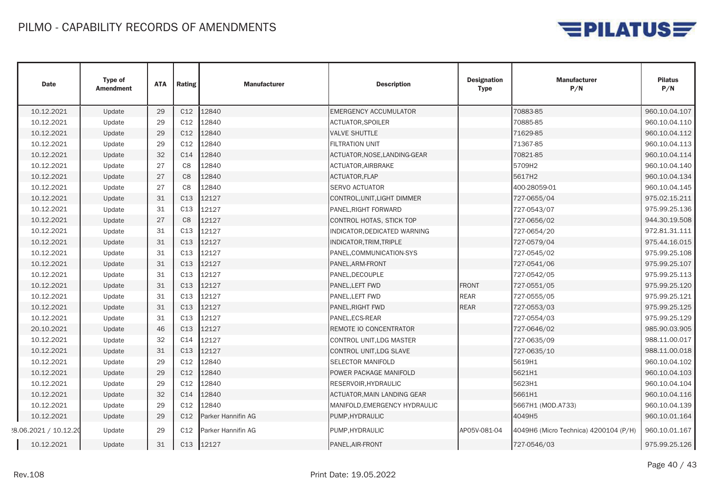

| <b>Date</b>           | Type of<br><b>Amendment</b> | <b>ATA</b> | Rating          | <b>Manufacturer</b> | <b>Description</b>            | <b>Designation</b><br><b>Type</b> | <b>Manufacturer</b><br>P/N            | <b>Pilatus</b><br>P/N |
|-----------------------|-----------------------------|------------|-----------------|---------------------|-------------------------------|-----------------------------------|---------------------------------------|-----------------------|
| 10.12.2021            | Update                      | 29         | C12             | 12840               | <b>EMERGENCY ACCUMULATOR</b>  |                                   | 70883-85                              | 960.10.04.107         |
| 10.12.2021            | Update                      | 29         | C12             | 12840               | ACTUATOR, SPOILER             |                                   | 70885-85                              | 960.10.04.110         |
| 10.12.2021            | Update                      | 29         | C <sub>12</sub> | 12840               | <b>VALVE SHUTTLE</b>          |                                   | 71629-85                              | 960.10.04.112         |
| 10.12.2021            | Update                      | 29         | C12             | 12840               | <b>FILTRATION UNIT</b>        |                                   | 71367-85                              | 960.10.04.113         |
| 10.12.2021            | Update                      | 32         | C <sub>14</sub> | 12840               | ACTUATOR,NOSE,LANDING-GEAR    |                                   | 70821-85                              | 960.10.04.114         |
| 10.12.2021            | Update                      | 27         | C8              | 12840               | ACTUATOR, AIRBRAKE            |                                   | 5709H2                                | 960.10.04.140         |
| 10.12.2021            | Update                      | 27         | C <sub>8</sub>  | 12840               | <b>ACTUATOR,FLAP</b>          |                                   | 5617H2                                | 960.10.04.134         |
| 10.12.2021            | Update                      | 27         | C8              | 12840               | <b>SERVO ACTUATOR</b>         |                                   | 400-28059-01                          | 960.10.04.145         |
| 10.12.2021            | Update                      | 31         | C13             | 12127               | CONTROL, UNIT, LIGHT DIMMER   |                                   | 727-0655/04                           | 975.02.15.211         |
| 10.12.2021            | Update                      | 31         | C13             | 12127               | PANEL, RIGHT FORWARD          |                                   | 727-0543/07                           | 975.99.25.136         |
| 10.12.2021            | Update                      | 27         | C8              | 12127               | CONTROL HOTAS, STICK TOP      |                                   | 727-0656/02                           | 944.30.19.508         |
| 10.12.2021            | Update                      | 31         | C13             | 12127               | NDICATOR.DEDICATED WARNING    |                                   | 727-0654/20                           | 972.81.31.111         |
| 10.12.2021            | Update                      | 31         | C13             | 12127               | INDICATOR,TRIM,TRIPLE         |                                   | 727-0579/04                           | 975.44.16.015         |
| 10.12.2021            | Update                      | 31         | C13             | 12127               | PANEL, COMMUNICATION-SYS      |                                   | 727-0545/02                           | 975.99.25.108         |
| 10.12.2021            | Update                      | 31         | C13             | 12127               | PANEL, ARM-FRONT              |                                   | 727-0541/06                           | 975.99.25.107         |
| 10.12.2021            | Update                      | 31         | C13             | 12127               | PANEL, DECOUPLE               |                                   | 727-0542/05                           | 975.99.25.113         |
| 10.12.2021            | Update                      | 31         | C13             | 12127               | PANEL, LEFT FWD               | <b>FRONT</b>                      | 727-0551/05                           | 975.99.25.120         |
| 10.12.2021            | Update                      | 31         | C13             | 12127               | PANEL, LEFT FWD               | <b>REAR</b>                       | 727-0555/05                           | 975.99.25.121         |
| 10.12.2021            | Update                      | 31         | C13             | 12127               | PANEL,RIGHT FWD               | <b>REAR</b>                       | 727-0553/03                           | 975.99.25.125         |
| 10.12.2021            | Update                      | 31         | C13             | 12127               | PANEL, ECS-REAR               |                                   | 727-0554/03                           | 975.99.25.129         |
| 20.10.2021            | Update                      | 46         | C13             | 12127               | REMOTE IO CONCENTRATOR        |                                   | 727-0646/02                           | 985.90.03.905         |
| 10.12.2021            | Update                      | 32         | C14             | 12127               | CONTROL UNIT, LDG MASTER      |                                   | 727-0635/09                           | 988.11.00.017         |
| 10.12.2021            | Update                      | 31         | C <sub>13</sub> | 12127               | CONTROL UNIT, LDG SLAVE       |                                   | 727-0635/10                           | 988.11.00.018         |
| 10.12.2021            | Update                      | 29         | C12             | 12840               | <b>SELECTOR MANIFOLD</b>      |                                   | 5619H1                                | 960.10.04.102         |
| 10.12.2021            | Update                      | 29         | C12             | 12840               | POWER PACKAGE MANIFOLD        |                                   | 5621H1                                | 960.10.04.103         |
| 10.12.2021            | Update                      | 29         | C12             | 12840               | RESERVOIR, HYDRAULIC          |                                   | 5623H1                                | 960.10.04.104         |
| 10.12.2021            | Update                      | 32         | C14             | 12840               | ACTUATOR,MAIN LANDING GEAR    |                                   | 5661H1                                | 960.10.04.116         |
| 10.12.2021            | Update                      | 29         | C12             | 12840               | MANIFOLD, EMERGENCY HYDRAULIC |                                   | 5667H1 (MOD.A733)                     | 960.10.04.139         |
| 10.12.2021            | Update                      | 29         | C12             | Parker Hannifin AG  | PUMP,HYDRAULIC                |                                   | 4049H5                                | 960.10.01.164         |
| 28.06.2021 / 10.12.20 | Update                      | 29         | C12             | Parker Hannifin AG  | PUMP, HYDRAULIC               | AP05V-081-04                      | 4049H6 (Micro Technica) 4200104 (P/H) | 960.10.01.167         |
| 10.12.2021            | Update                      | 31         | C13             | 12127               | PANEL, AIR-FRONT              |                                   | 727-0546/03                           | 975.99.25.126         |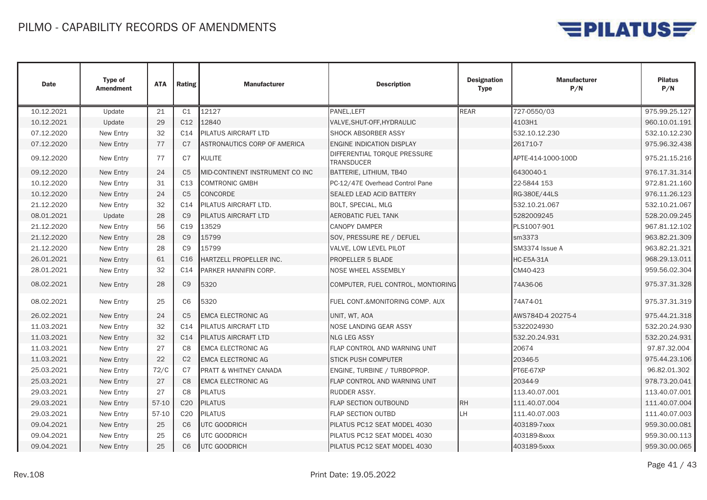

| <b>Date</b> | Type of<br><b>Amendment</b> | <b>ATA</b> | Rating          | <b>Manufacturer</b>               | <b>Description</b>                         | <b>Designation</b><br><b>Type</b> | <b>Manufacturer</b><br>P/N | <b>Pilatus</b><br>P/N |
|-------------|-----------------------------|------------|-----------------|-----------------------------------|--------------------------------------------|-----------------------------------|----------------------------|-----------------------|
| 10.12.2021  | Update                      | 21         | C1              | 12127                             | <b>PANEL.LEFT</b>                          | <b>REAR</b>                       | 727-0550/03                | 975.99.25.127         |
| 10.12.2021  | Update                      | 29         | C <sub>12</sub> | 12840                             | VALVE, SHUT-OFF, HYDRAULIC                 |                                   | 4103H1                     | 960.10.01.191         |
| 07.12.2020  | New Entry                   | 32         | C14             | PILATUS AIRCRAFT LTD              | SHOCK ABSORBER ASSY                        |                                   | 532.10.12.230              | 532.10.12.230         |
| 07.12.2020  | New Entry                   | 77         | C <sub>7</sub>  | ASTRONAUTICS CORP OF AMERICA      | <b>ENGINE INDICATION DISPLAY</b>           |                                   | 261710-7                   | 975.96.32.438         |
| 09.12.2020  | New Entry                   | 77         | C <sub>7</sub>  | <b>KULITE</b>                     | DIFFERENTIAL TORQUE PRESSURE<br>TRANSDUCER |                                   | APTE-414-1000-100D         | 975.21.15.216         |
| 09.12.2020  | New Entry                   | 24         | C <sub>5</sub>  | MID-CONTINENT INSTRUMENT CO INC   | BATTERIE, LITHIUM, TB40                    |                                   | 6430040-1                  | 976.17.31.314         |
| 10.12.2020  | New Entry                   | 31         | C <sub>13</sub> | COMTRONIC GMBH                    | PC-12/47E Overhead Control Pane            |                                   | 22-5844 153                | 972.81.21.160         |
| 10.12.2020  | New Entry                   | 24         | C <sub>5</sub>  | CONCORDE                          | <b>SEALED LEAD ACID BATTERY</b>            |                                   | RG-380E/44LS               | 976.11.26.123         |
| 21.12.2020  | New Entry                   | 32         | C14             | PILATUS AIRCRAFT LTD.             | BOLT, SPECIAL, MLG                         |                                   | 532.10.21.067              | 532.10.21.067         |
| 08.01.2021  | Update                      | 28         | C9              | PILATUS AIRCRAFT LTD              | AEROBATIC FUEL TANK                        |                                   | 5282009245                 | 528.20.09.245         |
| 21.12.2020  | New Entry                   | 56         | C <sub>19</sub> | 13529                             | <b>CANOPY DAMPER</b>                       |                                   | PLS1007-901                | 967.81.12.102         |
| 21.12.2020  | New Entry                   | 28         | C <sub>9</sub>  | 15799                             | SOV, PRESSURE RE / DEFUEL                  |                                   | sm3373                     | 963.82.21.309         |
| 21.12.2020  | New Entry                   | 28         | C <sub>9</sub>  | 15799                             | VALVE, LOW LEVEL PILOT                     |                                   | SM3374 Issue A             | 963.82.21.321         |
| 26.01.2021  | New Entry                   | 61         | C <sub>16</sub> | HARTZELL PROPELLER INC.           | <b>PROPELLER 5 BLADE</b>                   |                                   | <b>HC-E5A-31A</b>          | 968.29.13.011         |
| 28.01.2021  | <b>New Entry</b>            | 32         | C <sub>14</sub> | PARKER HANNIFIN CORP.             | NOSE WHEEL ASSEMBLY                        |                                   | CM40-423                   | 959.56.02.304         |
| 08.02.2021  | New Entry                   | 28         | C <sub>9</sub>  | 5320                              | COMPUTER, FUEL CONTROL, MONTIORING         |                                   | 74A36-06                   | 975.37.31.328         |
| 08.02.2021  | New Entry                   | 25         | C <sub>6</sub>  | 5320                              | FUEL CONT.&MONITORING COMP. AUX            |                                   | 74A74-01                   | 975.37.31.319         |
| 26.02.2021  | New Entry                   | 24         | C <sub>5</sub>  | <b>EMCA ELECTRONIC AG</b>         | UNIT, WT, AOA                              |                                   | AWS784D-4 20275-4          | 975.44.21.318         |
| 11.03.2021  | New Entry                   | 32         | C <sub>14</sub> | PILATUS AIRCRAFT LTD              | NOSE LANDING GEAR ASSY                     |                                   | 5322024930                 | 532.20.24.930         |
| 11.03.2021  | New Entry                   | 32         | C14             | PILATUS AIRCRAFT LTD              | <b>NLG LEG ASSY</b>                        |                                   | 532.20.24.931              | 532.20.24.931         |
| 11.03.2021  | New Entry                   | 27         | C8              | <b>EMCA ELECTRONIC AG</b>         | FLAP CONTROL AND WARNING UNIT              |                                   | 20674                      | 97.87.32.004          |
| 11.03.2021  | New Entry                   | 22         | C <sub>2</sub>  | <b>EMCA ELECTRONIC AG</b>         | <b>STICK PUSH COMPUTER</b>                 |                                   | 20346-5                    | 975.44.23.106         |
| 25.03.2021  | New Entry                   | 72/C       | C <sub>7</sub>  | <b>PRATT &amp; WHITNEY CANADA</b> | ENGINE, TURBINE / TURBOPROP.               |                                   | PT6E-67XP                  | 96.82.01.302          |
| 25.03.2021  | New Entry                   | 27         | C8              | <b>EMCA ELECTRONIC AG</b>         | FLAP CONTROL AND WARNING UNIT              |                                   | 20344-9                    | 978.73.20.041         |
| 29.03.2021  | New Entry                   | 27         | C8              | <b>PILATUS</b>                    | RUDDER ASSY.                               |                                   | 113.40.07.001              | 113.40.07.001         |
| 29.03.2021  | New Entry                   | 57-10      | C <sub>20</sub> | <b>PILATUS</b>                    | FLAP SECTION OUTBOUND                      | <b>RH</b>                         | 111.40.07.004              | 111.40.07.004         |
| 29.03.2021  | <b>New Entry</b>            | 57-10      | C <sub>20</sub> | <b>PILATUS</b>                    | <b>FLAP SECTION OUTBD</b>                  | LH                                | 111.40.07.003              | 111.40.07.003         |
| 09.04.2021  | New Entry                   | 25         | C6              | UTC GOODRICH                      | PILATUS PC12 SEAT MODEL 4030               |                                   | 403189-7xxxx               | 959.30.00.081         |
| 09.04.2021  | New Entry                   | 25         | C <sub>6</sub>  | UTC GOODRICH                      | PILATUS PC12 SEAT MODEL 4030               |                                   | 403189-8xxxx               | 959.30.00.113         |
| 09.04.2021  | New Entry                   | 25         | C <sub>6</sub>  | UTC GOODRICH                      | PILATUS PC12 SEAT MODEL 4030               |                                   | 403189-5xxxx               | 959.30.00.065         |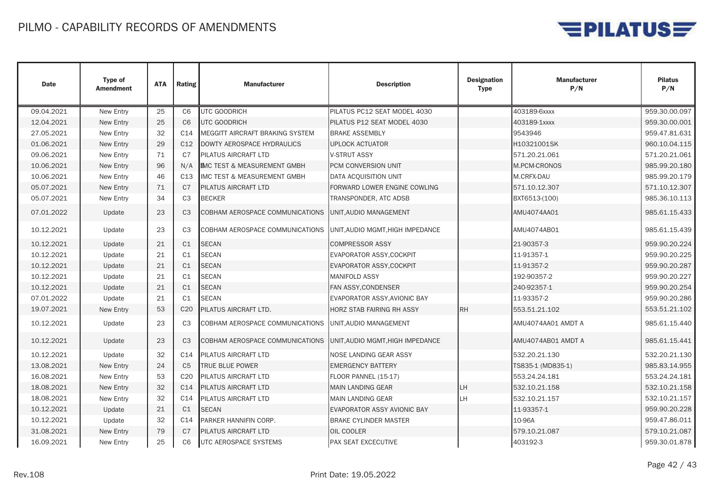

| Date       | Type of<br><b>Amendment</b> | <b>ATA</b> | Rating          | <b>Manufacturer</b>                    | <b>Description</b>               | <b>Designation</b><br><b>Type</b> | <b>Manufacturer</b><br>P/N | <b>Pilatus</b><br>P/N |
|------------|-----------------------------|------------|-----------------|----------------------------------------|----------------------------------|-----------------------------------|----------------------------|-----------------------|
| 09.04.2021 | New Entry                   | 25         | C <sub>6</sub>  | UTC GOODRICH                           | PILATUS PC12 SEAT MODEL 4030     |                                   | 403189-6xxxx               | 959.30.00.097         |
| 12.04.2021 | <b>New Entry</b>            | 25         | C <sub>6</sub>  | UTC GOODRICH                           | PILATUS P12 SEAT MODEL 4030      |                                   | 403189-1xxxx               | 959.30.00.001         |
| 27.05.2021 | New Entry                   | 32         | C14             | MEGGITT AIRCRAFT BRAKING SYSTEM        | <b>BRAKE ASSEMBLY</b>            |                                   | 9543946                    | 959.47.81.631         |
| 01.06.2021 | New Entry                   | 29         | C12             | DOWTY AEROSPACE HYDRAULICS             | UPLOCK ACTUATOR                  |                                   | H10321001SK                | 960.10.04.115         |
| 09.06.2021 | New Entry                   | 71         | C <sub>7</sub>  | PILATUS AIRCRAFT LTD                   | <b>V-STRUT ASSY</b>              |                                   | 571.20.21.061              | 571.20.21.061         |
| 10.06.2021 | New Entry                   | 96         | N/A             | <b>MC TEST &amp; MEASUREMENT GMBH</b>  | PCM CONVERSION UNIT              |                                   | M.PCM-CRONOS               | 985.99.20.180         |
| 10.06.2021 | New Entry                   | 46         | C <sub>13</sub> | <b>IMC TEST &amp; MEASUREMENT GMBH</b> | DATA ACQUISITION UNIT            |                                   | M.CRFX-DAU                 | 985.99.20.179         |
| 05.07.2021 | New Entry                   | 71         | C <sub>7</sub>  | PILATUS AIRCRAFT LTD                   | FORWARD LOWER ENGINE COWLING     |                                   | 571.10.12.307              | 571.10.12.307         |
| 05.07.2021 | New Entry                   | 34         | C <sub>3</sub>  | <b>BECKER</b>                          | TRANSPONDER, ATC ADSB            |                                   | BXT6513-(100)              | 985.36.10.113         |
| 07.01.2022 | Update                      | 23         | C <sub>3</sub>  | COBHAM AEROSPACE COMMUNICATIONS        | UNIT, AUDIO MANAGEMENT           |                                   | AMU4074AA01                | 985.61.15.433         |
| 10.12.2021 | Update                      | 23         | C <sub>3</sub>  | COBHAM AEROSPACE COMMUNICATIONS        | UNIT, AUDIO MGMT, HIGH IMPEDANCE |                                   | AMU4074AB01                | 985.61.15.439         |
| 10.12.2021 | Update                      | 21         | C1              | <b>SECAN</b>                           | <b>COMPRESSOR ASSY</b>           |                                   | 21-90357-3                 | 959.90.20.224         |
| 10.12.2021 | Update                      | 21         | C <sub>1</sub>  | <b>SECAN</b>                           | EVAPORATOR ASSY, COCKPIT         |                                   | 11-91357-1                 | 959.90.20.225         |
| 10.12.2021 | Update                      | 21         | C1              | <b>SECAN</b>                           | EVAPORATOR ASSY, COCKPIT         |                                   | 11-91357-2                 | 959.90.20.287         |
| 10.12.2021 | Update                      | 21         | C1              | <b>SECAN</b>                           | <b>MANIFOLD ASSY</b>             |                                   | 192-90357-2                | 959.90.20.227         |
| 10.12.2021 | Update                      | 21         | C1              | <b>SECAN</b>                           | FAN ASSY, CONDENSER              |                                   | 240-92357-1                | 959.90.20.254         |
| 07.01.2022 | Update                      | 21         | C1              | <b>SECAN</b>                           | EVAPORATOR ASSY, AVIONIC BAY     |                                   | 11-93357-2                 | 959.90.20.286         |
| 19.07.2021 | New Entry                   | 53         | C20             | PILATUS AIRCRAFT LTD.                  | HORZ STAB FAIRING RH ASSY        | <b>RH</b>                         | 553.51.21.102              | 553.51.21.102         |
| 10.12.2021 | Update                      | 23         | C <sub>3</sub>  | COBHAM AEROSPACE COMMUNICATIONS        | UNIT, AUDIO MANAGEMENT           |                                   | AMU4074AA01 AMDT A         | 985.61.15.440         |
| 10.12.2021 | Update                      | 23         | C <sub>3</sub>  | COBHAM AEROSPACE COMMUNICATIONS        | UNIT, AUDIO MGMT, HIGH IMPEDANCE |                                   | AMU4074AB01 AMDT A         | 985.61.15.441         |
| 10.12.2021 | Update                      | 32         | C <sub>14</sub> | PILATUS AIRCRAFT LTD                   | NOSE LANDING GEAR ASSY           |                                   | 532.20.21.130              | 532.20.21.130         |
| 13.08.2021 | New Entry                   | 24         | C <sub>5</sub>  | TRUE BLUE POWER                        | <b>EMERGENCY BATTERY</b>         |                                   | TS835-1 (MD835-1)          | 985.83.14.955         |
| 16.08.2021 | New Entry                   | 53         | C20             | PILATUS AIRCRAFT LTD                   | FLOOR PANNEL (15-17)             |                                   | 553.24.24.181              | 553.24.24.181         |
| 18.08.2021 | New Entry                   | 32         | C14             | PILATUS AIRCRAFT LTD                   | MAIN LANDING GEAR                | IГН                               | 532.10.21.158              | 532.10.21.158         |
| 18.08.2021 | New Entry                   | 32         | C14             | PILATUS AIRCRAFT LTD                   | MAIN LANDING GEAR                | IГН                               | 532.10.21.157              | 532.10.21.157         |
| 10.12.2021 | Update                      | 21         | C1              | <b>SECAN</b>                           | EVAPORATOR ASSY AVIONIC BAY      |                                   | 11-93357-1                 | 959.90.20.228         |
| 10.12.2021 | Update                      | 32         | C <sub>14</sub> | PARKER HANNIFIN CORP.                  | <b>BRAKE CYLINDER MASTER</b>     |                                   | 10-96A                     | 959.47.86.011         |
| 31.08.2021 | New Entry                   | 79         | C <sub>7</sub>  | PILATUS AIRCRAFT LTD                   | <b>OIL COOLER</b>                |                                   | 579.10.21.087              | 579.10.21.087         |
| 16.09.2021 | New Entry                   | 25         | C <sub>6</sub>  | <b>UTC AEROSPACE SYSTEMS</b>           | PAX SEAT EXCECUTIVE              |                                   | 403192-3                   | 959.30.01.878         |